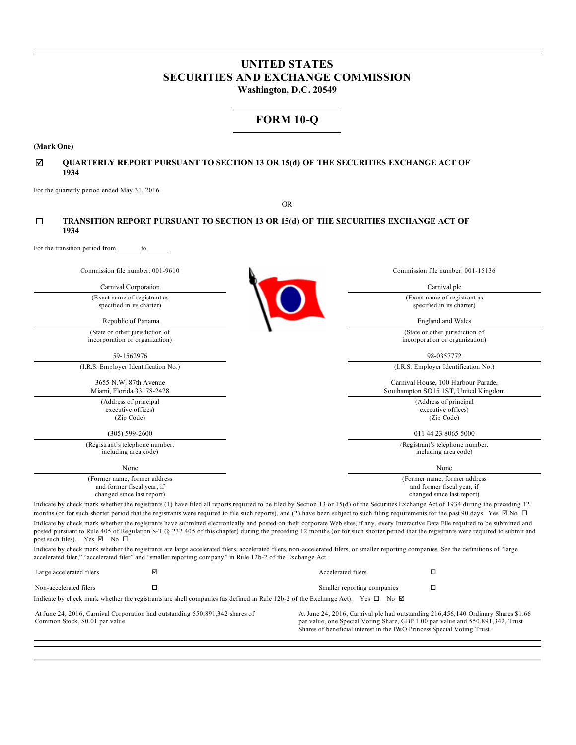# **UNITED STATES SECURITIES AND EXCHANGE COMMISSION Washington, D.C. 20549**

# **FORM 10-Q**

**(Mark One)**

# þ **QUARTERLY REPORT PURSUANT TO SECTION 13 OR 15(d) OF THE SECURITIES EXCHANGE ACT OF 1934**

For the quarterly period ended May 31, 2016

OR

# o **TRANSITION REPORT PURSUANT TO SECTION 13 OR 15(d) OF THE SECURITIES EXCHANGE ACT OF 1934**

For the transition period from \_\_\_\_\_\_\_ to \_\_\_\_\_\_\_

| Commission file number: 001-9610                                                                                |                                                                                                                                         | Commission file number: 001-15136                                                                                                                                                                                                                                                                                                                                                          |
|-----------------------------------------------------------------------------------------------------------------|-----------------------------------------------------------------------------------------------------------------------------------------|--------------------------------------------------------------------------------------------------------------------------------------------------------------------------------------------------------------------------------------------------------------------------------------------------------------------------------------------------------------------------------------------|
| Carnival Corporation                                                                                            |                                                                                                                                         | Carnival plc                                                                                                                                                                                                                                                                                                                                                                               |
| (Exact name of registrant as<br>specified in its charter)                                                       |                                                                                                                                         | (Exact name of registrant as<br>specified in its charter)                                                                                                                                                                                                                                                                                                                                  |
| Republic of Panama                                                                                              |                                                                                                                                         | <b>England</b> and Wales                                                                                                                                                                                                                                                                                                                                                                   |
| (State or other jurisdiction of<br>incorporation or organization)                                               |                                                                                                                                         | (State or other jurisdiction of<br>incorporation or organization)                                                                                                                                                                                                                                                                                                                          |
| 59-1562976                                                                                                      |                                                                                                                                         | 98-0357772                                                                                                                                                                                                                                                                                                                                                                                 |
| (I.R.S. Employer Identification No.)                                                                            |                                                                                                                                         | (I.R.S. Employer Identification No.)                                                                                                                                                                                                                                                                                                                                                       |
| 3655 N.W. 87th Avenue<br>Miami, Florida 33178-2428                                                              |                                                                                                                                         | Carnival House, 100 Harbour Parade,<br>Southampton SO15 1ST, United Kingdom                                                                                                                                                                                                                                                                                                                |
| (Address of principal)<br>executive offices)<br>(Zip Code)                                                      |                                                                                                                                         | (Address of principal<br>executive offices)<br>(Zip Code)                                                                                                                                                                                                                                                                                                                                  |
| $(305) 599 - 2600$                                                                                              |                                                                                                                                         | 011 44 23 8065 5000                                                                                                                                                                                                                                                                                                                                                                        |
| (Registrant's telephone number,<br>including area code)                                                         |                                                                                                                                         | (Registrant's telephone number,<br>including area code)                                                                                                                                                                                                                                                                                                                                    |
| None                                                                                                            |                                                                                                                                         | None                                                                                                                                                                                                                                                                                                                                                                                       |
| (Former name, former address<br>and former fiscal year, if<br>changed since last report)                        |                                                                                                                                         | (Former name, former address<br>and former fiscal year, if<br>changed since last report)                                                                                                                                                                                                                                                                                                   |
|                                                                                                                 |                                                                                                                                         | Indicate by check mark whether the registrants (1) have filed all reports required to be filed by Section 13 or 15(d) of the Securities Exchange Act of 1934 during the preceding 12<br>months (or for such shorter period that the registrants were required to file such reports), and (2) have been subject to such filing requirements for the past 90 days. Yes $\boxtimes$ No $\Box$ |
| post such files). Yes $\boxtimes$ No $\square$                                                                  |                                                                                                                                         | Indicate by check mark whether the registrants have submitted electronically and posted on their corporate Web sites, if any, every Interactive Data File required to be submitted and<br>posted pursuant to Rule 405 of Regulation S-T (§ 232.405 of this chapter) during the preceding 12 months (or for such shorter period that the registrants were required to submit and            |
|                                                                                                                 | accelerated filer," "accelerated filer" and "smaller reporting company" in Rule 12b-2 of the Exchange Act.                              | Indicate by check mark whether the registrants are large accelerated filers, accelerated filers, non-accelerated filers, or smaller reporting companies. See the definitions of "large                                                                                                                                                                                                     |
| Large accelerated filers                                                                                        | ☑                                                                                                                                       | Accelerated filers<br>□                                                                                                                                                                                                                                                                                                                                                                    |
| Non-accelerated filers                                                                                          | $\Box$                                                                                                                                  | □<br>Smaller reporting companies                                                                                                                                                                                                                                                                                                                                                           |
|                                                                                                                 | Indicate by check mark whether the registrants are shell companies (as defined in Rule 12b-2 of the Exchange Act). Yes $\Box$ No $\Box$ |                                                                                                                                                                                                                                                                                                                                                                                            |
| At June 24, 2016, Carnival Corporation had outstanding 550,891,342 shares of<br>Common Stock, \$0.01 par value. |                                                                                                                                         | At June 24, 2016, Carnival plc had outstanding 216,456,140 Ordinary Shares \$1.66<br>par value, one Special Voting Share, GBP 1.00 par value and 550,891,342, Trust<br>Shares of beneficial interest in the P&O Princess Special Voting Trust.                                                                                                                                             |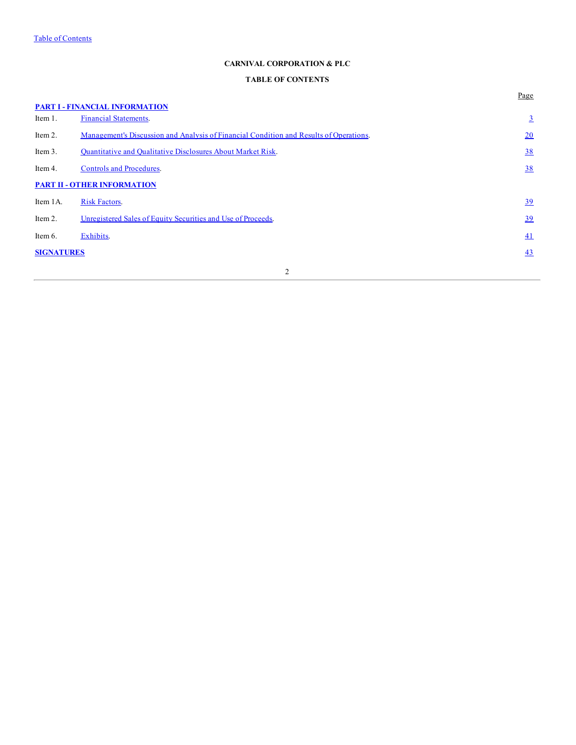# **CARNIVAL CORPORATION & PLC**

# **TABLE OF CONTENTS**

<span id="page-1-0"></span>

|                   |                                                                                               | Page           |
|-------------------|-----------------------------------------------------------------------------------------------|----------------|
|                   | <b>PART I - FINANCIAL INFORMATION</b>                                                         |                |
| Item 1.           | <b>Financial Statements</b> .                                                                 | $\overline{3}$ |
| Item 2.           | <u>Management's Discussion and Analysis of Financial Condition and Results of Operations.</u> | 20             |
| Item 3.           | <b>Quantitative and Qualitative Disclosures About Market Risk.</b>                            | <u>38</u>      |
| Item 4.           | <b>Controls and Procedures.</b>                                                               | 38             |
|                   | <b>PART II - OTHER INFORMATION</b>                                                            |                |
| Item 1A.          | <b>Risk Factors</b>                                                                           | 39             |
| Item 2.           | Unregistered Sales of Equity Securities and Use of Proceeds.                                  | 39             |
| Item 6.           | Exhibits.                                                                                     | 41             |
| <b>SIGNATURES</b> |                                                                                               | 43             |
|                   | $\overline{2}$                                                                                |                |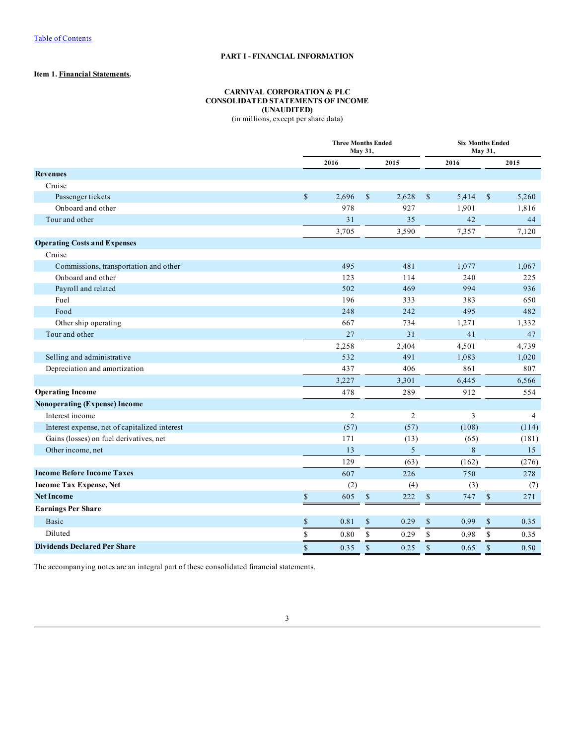# **PART I - FINANCIAL INFORMATION**

# **Item 1. Financial Statements.**

# **CARNIVAL CORPORATION & PLC CONSOLIDATED STATEMENTS OF INCOME (UNAUDITED)**

(in millions, except per share data)

|                                               |              | <b>Three Months Ended</b><br>May 31, |              |                |              | <b>Six Months Ended</b><br>May 31, |               |                |  |
|-----------------------------------------------|--------------|--------------------------------------|--------------|----------------|--------------|------------------------------------|---------------|----------------|--|
|                                               |              | 2016                                 |              | 2015           |              | 2016                               |               | 2015           |  |
| <b>Revenues</b>                               |              |                                      |              |                |              |                                    |               |                |  |
| Cruise                                        |              |                                      |              |                |              |                                    |               |                |  |
| Passenger tickets                             | $\mathbb S$  | 2,696                                | $\mathbb{S}$ | 2,628          | $\mathbb{S}$ | 5,414                              | \$            | 5,260          |  |
| Onboard and other                             |              | 978                                  |              | 927            |              | 1,901                              |               | 1,816          |  |
| Tour and other                                |              | 31                                   |              | 35             |              | 42                                 |               | 44             |  |
|                                               |              | 3,705                                |              | 3,590          |              | 7,357                              |               | 7,120          |  |
| <b>Operating Costs and Expenses</b>           |              |                                      |              |                |              |                                    |               |                |  |
| Cruise                                        |              |                                      |              |                |              |                                    |               |                |  |
| Commissions, transportation and other         |              | 495                                  |              | 481            |              | 1,077                              |               | 1,067          |  |
| Onboard and other                             |              | 123                                  |              | 114            |              | 240                                |               | 225            |  |
| Payroll and related                           |              | 502                                  |              | 469            |              | 994                                |               | 936            |  |
| Fuel                                          |              | 196                                  |              | 333            |              | 383                                |               | 650            |  |
| Food                                          |              | 248                                  |              | 242            |              | 495                                |               | 482            |  |
| Other ship operating                          |              | 667                                  |              | 734            |              | 1,271                              |               | 1,332          |  |
| Tour and other                                |              | 27                                   |              | 31             |              | 41                                 |               | 47             |  |
|                                               |              | 2,258                                |              | 2,404          |              | 4,501                              |               | 4,739          |  |
| Selling and administrative                    |              | 532                                  |              | 491            |              | 1,083                              |               | 1,020          |  |
| Depreciation and amortization                 |              | 437                                  |              | 406            |              | 861                                |               | 807            |  |
|                                               |              | 3,227                                |              | 3,301          |              | 6,445                              |               | 6,566          |  |
| <b>Operating Income</b>                       |              | 478                                  |              | 289            |              | 912                                |               | 554            |  |
| <b>Nonoperating (Expense) Income</b>          |              |                                      |              |                |              |                                    |               |                |  |
| Interest income                               |              | $\overline{2}$                       |              | $\overline{2}$ |              | 3                                  |               | $\overline{4}$ |  |
| Interest expense, net of capitalized interest |              | (57)                                 |              | (57)           |              | (108)                              |               | (114)          |  |
| Gains (losses) on fuel derivatives, net       |              | 171                                  |              | (13)           |              | (65)                               |               | (181)          |  |
| Other income, net                             |              | 13                                   |              | 5              |              | $\,$ 8 $\,$                        |               | 15             |  |
|                                               |              | 129                                  |              | (63)           |              | (162)                              |               | (276)          |  |
| <b>Income Before Income Taxes</b>             |              | 607                                  |              | 226            |              | 750                                |               | 278            |  |
| <b>Income Tax Expense, Net</b>                |              | (2)                                  |              | (4)            |              | (3)                                |               | (7)            |  |
| <b>Net Income</b>                             | $\mathbb{S}$ | 605                                  | $\mathbb{S}$ | 222            | $\mathbb{S}$ | 747                                | $\mathcal{S}$ | 271            |  |
| <b>Earnings Per Share</b>                     |              |                                      |              |                |              |                                    |               |                |  |
| <b>Basic</b>                                  | $\mathbb S$  | 0.81                                 | $\mathbb{S}$ | 0.29           | $\mathbb{S}$ | 0.99                               | $\mathcal{S}$ | 0.35           |  |
| Diluted                                       | \$           | 0.80                                 | \$           | 0.29           | \$           | 0.98                               | $\mathbb{S}$  | 0.35           |  |
| <b>Dividends Declared Per Share</b>           | $\mathbb{S}$ | 0.35                                 | $\mathbb{S}$ | 0.25           | $\mathbb{S}$ | 0.65                               | $\mathbb{S}$  | 0.50           |  |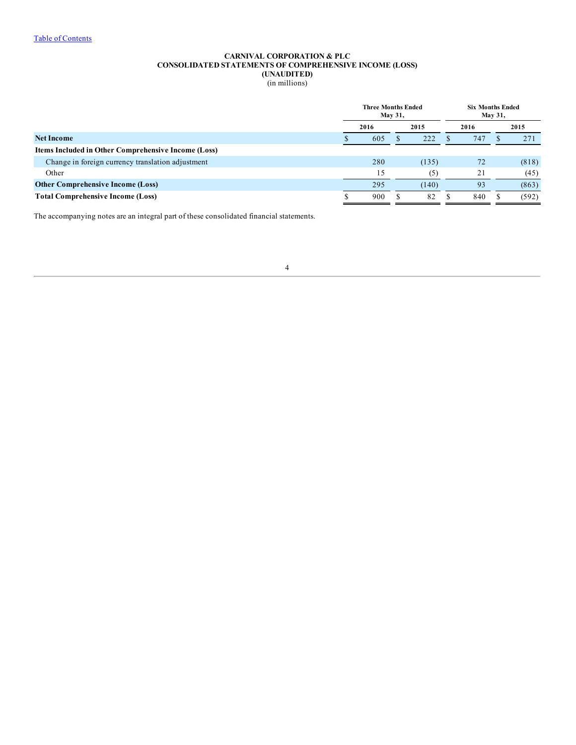# **CARNIVAL CORPORATION & PLC CONSOLIDATED STATEMENTS OF COMPREHENSIVE INCOME (LOSS) (UNAUDITED)** (in millions)

|                                                     | <b>Three Months Ended</b><br>May 31, |     |  | <b>Six Months Ended</b><br>May 31, |  |      |  |       |
|-----------------------------------------------------|--------------------------------------|-----|--|------------------------------------|--|------|--|-------|
|                                                     | 2016<br>2015                         |     |  |                                    |  | 2016 |  | 2015  |
| <b>Net Income</b>                                   |                                      | 605 |  | 222                                |  | 747  |  | 271   |
| Items Included in Other Comprehensive Income (Loss) |                                      |     |  |                                    |  |      |  |       |
| Change in foreign currency translation adjustment   |                                      | 280 |  | (135)                              |  | 72   |  | (818) |
| Other                                               |                                      | 15  |  | (5)                                |  | 21   |  | (45)  |
| <b>Other Comprehensive Income (Loss)</b>            |                                      | 295 |  | (140)                              |  | 93   |  | (863) |
| <b>Total Comprehensive Income (Loss)</b>            |                                      | 900 |  | 82                                 |  | 840  |  | (592) |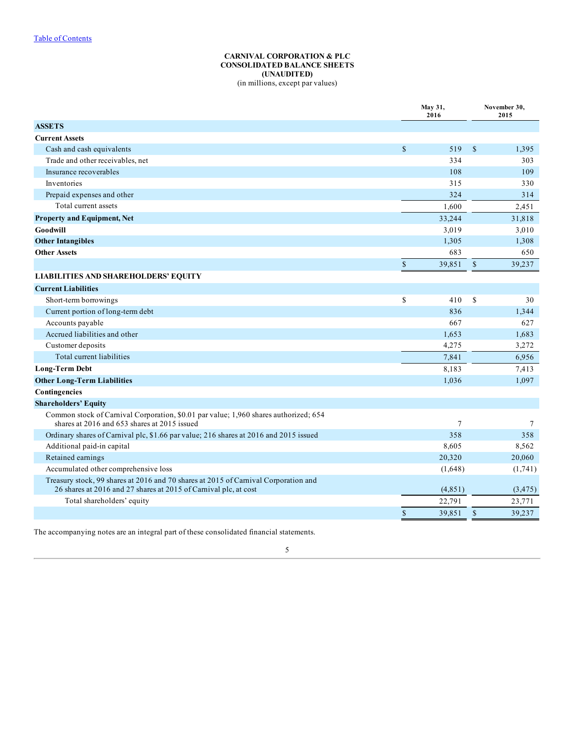# **CARNIVAL CORPORATION & PLC CONSOLIDATED BALANCE SHEETS (UNAUDITED)** (in millions, except par values)

| <b>ASSETS</b><br><b>Current Assets</b><br>$\mathbb{S}$<br>$\mathbb{S}$<br>Cash and cash equivalents<br>519<br>1,395<br>Trade and other receivables, net<br>303<br>334<br>109<br>Insurance recoverables<br>108<br>Inventories<br>330<br>315<br>Prepaid expenses and other<br>324<br>314<br>Total current assets<br>1,600<br>2,451<br><b>Property and Equipment, Net</b><br>33,244<br>31,818<br>Goodwill<br>3,019<br>3,010<br><b>Other Intangibles</b><br>1,305<br>1,308<br>683<br>650<br><b>Other Assets</b><br>$\mathbb{S}$<br>$\mathbb{S}$<br>39,851<br>39,237<br><b>LIABILITIES AND SHAREHOLDERS' EQUITY</b><br><b>Current Liabilities</b><br>$\mathbb{S}$<br>410<br>\$<br>Short-term borrowings<br>30<br>Current portion of long-term debt<br>836<br>1,344 |
|---------------------------------------------------------------------------------------------------------------------------------------------------------------------------------------------------------------------------------------------------------------------------------------------------------------------------------------------------------------------------------------------------------------------------------------------------------------------------------------------------------------------------------------------------------------------------------------------------------------------------------------------------------------------------------------------------------------------------------------------------------------|
|                                                                                                                                                                                                                                                                                                                                                                                                                                                                                                                                                                                                                                                                                                                                                               |
|                                                                                                                                                                                                                                                                                                                                                                                                                                                                                                                                                                                                                                                                                                                                                               |
|                                                                                                                                                                                                                                                                                                                                                                                                                                                                                                                                                                                                                                                                                                                                                               |
|                                                                                                                                                                                                                                                                                                                                                                                                                                                                                                                                                                                                                                                                                                                                                               |
|                                                                                                                                                                                                                                                                                                                                                                                                                                                                                                                                                                                                                                                                                                                                                               |
|                                                                                                                                                                                                                                                                                                                                                                                                                                                                                                                                                                                                                                                                                                                                                               |
|                                                                                                                                                                                                                                                                                                                                                                                                                                                                                                                                                                                                                                                                                                                                                               |
|                                                                                                                                                                                                                                                                                                                                                                                                                                                                                                                                                                                                                                                                                                                                                               |
|                                                                                                                                                                                                                                                                                                                                                                                                                                                                                                                                                                                                                                                                                                                                                               |
|                                                                                                                                                                                                                                                                                                                                                                                                                                                                                                                                                                                                                                                                                                                                                               |
|                                                                                                                                                                                                                                                                                                                                                                                                                                                                                                                                                                                                                                                                                                                                                               |
|                                                                                                                                                                                                                                                                                                                                                                                                                                                                                                                                                                                                                                                                                                                                                               |
|                                                                                                                                                                                                                                                                                                                                                                                                                                                                                                                                                                                                                                                                                                                                                               |
|                                                                                                                                                                                                                                                                                                                                                                                                                                                                                                                                                                                                                                                                                                                                                               |
|                                                                                                                                                                                                                                                                                                                                                                                                                                                                                                                                                                                                                                                                                                                                                               |
|                                                                                                                                                                                                                                                                                                                                                                                                                                                                                                                                                                                                                                                                                                                                                               |
|                                                                                                                                                                                                                                                                                                                                                                                                                                                                                                                                                                                                                                                                                                                                                               |
| Accounts payable<br>627<br>667                                                                                                                                                                                                                                                                                                                                                                                                                                                                                                                                                                                                                                                                                                                                |
| Accrued liabilities and other<br>1,683<br>1,653                                                                                                                                                                                                                                                                                                                                                                                                                                                                                                                                                                                                                                                                                                               |
| Customer deposits<br>4,275<br>3,272                                                                                                                                                                                                                                                                                                                                                                                                                                                                                                                                                                                                                                                                                                                           |
| Total current liabilities<br>7,841<br>6,956                                                                                                                                                                                                                                                                                                                                                                                                                                                                                                                                                                                                                                                                                                                   |
| <b>Long-Term Debt</b><br>8,183<br>7,413                                                                                                                                                                                                                                                                                                                                                                                                                                                                                                                                                                                                                                                                                                                       |
| <b>Other Long-Term Liabilities</b><br>1.036<br>1,097                                                                                                                                                                                                                                                                                                                                                                                                                                                                                                                                                                                                                                                                                                          |
| Contingencies                                                                                                                                                                                                                                                                                                                                                                                                                                                                                                                                                                                                                                                                                                                                                 |
| <b>Shareholders' Equity</b>                                                                                                                                                                                                                                                                                                                                                                                                                                                                                                                                                                                                                                                                                                                                   |
| Common stock of Carnival Corporation, \$0.01 par value; 1,960 shares authorized; 654<br>shares at 2016 and 653 shares at 2015 issued<br>$\overline{7}$<br>7                                                                                                                                                                                                                                                                                                                                                                                                                                                                                                                                                                                                   |
| Ordinary shares of Carnival plc, \$1.66 par value; 216 shares at 2016 and 2015 issued<br>358<br>358                                                                                                                                                                                                                                                                                                                                                                                                                                                                                                                                                                                                                                                           |
| 8,562<br>Additional paid-in capital<br>8,605                                                                                                                                                                                                                                                                                                                                                                                                                                                                                                                                                                                                                                                                                                                  |
| Retained earnings<br>20,320<br>20,060                                                                                                                                                                                                                                                                                                                                                                                                                                                                                                                                                                                                                                                                                                                         |
| Accumulated other comprehensive loss<br>(1,648)<br>(1,741)                                                                                                                                                                                                                                                                                                                                                                                                                                                                                                                                                                                                                                                                                                    |
| Treasury stock, 99 shares at 2016 and 70 shares at 2015 of Carnival Corporation and<br>26 shares at 2016 and 27 shares at 2015 of Carnival plc, at cost<br>(4, 851)<br>(3, 475)                                                                                                                                                                                                                                                                                                                                                                                                                                                                                                                                                                               |
| Total shareholders' equity<br>22,791<br>23,771                                                                                                                                                                                                                                                                                                                                                                                                                                                                                                                                                                                                                                                                                                                |
| $\mathbb{S}$<br>\$<br>39,851<br>39,237                                                                                                                                                                                                                                                                                                                                                                                                                                                                                                                                                                                                                                                                                                                        |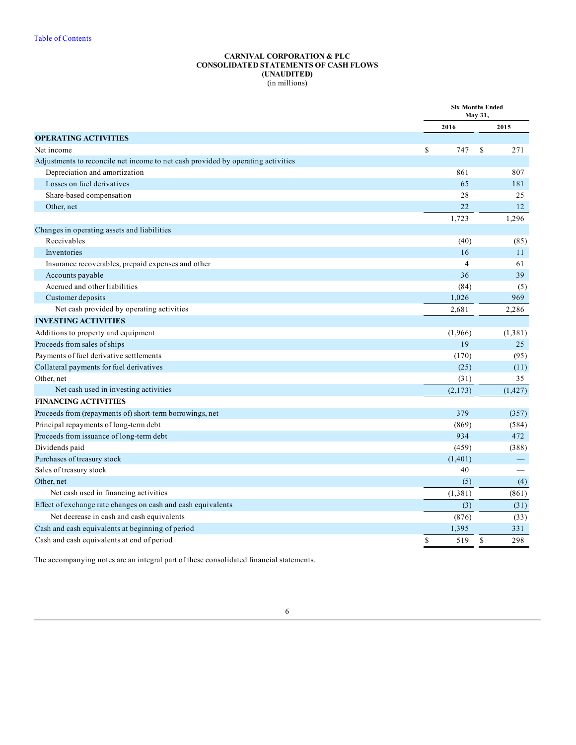#### **CARNIVAL CORPORATION & PLC CONSOLIDATED STATEMENTS OF CASH FLOWS (UNAUDITED)** (in millions)

|                                                                                  |                | <b>Six Months Ended</b><br>May 31, |          |  |  |
|----------------------------------------------------------------------------------|----------------|------------------------------------|----------|--|--|
|                                                                                  | 2016           |                                    | 2015     |  |  |
| <b>OPERATING ACTIVITIES</b>                                                      |                |                                    |          |  |  |
| Net income                                                                       | \$<br>747      | \$                                 | 271      |  |  |
| Adjustments to reconcile net income to net cash provided by operating activities |                |                                    |          |  |  |
| Depreciation and amortization                                                    | 861            |                                    | 807      |  |  |
| Losses on fuel derivatives                                                       | 65             |                                    | 181      |  |  |
| Share-based compensation                                                         | 28             |                                    | 25       |  |  |
| Other, net                                                                       | 22             |                                    | 12       |  |  |
|                                                                                  | 1,723          |                                    | 1,296    |  |  |
| Changes in operating assets and liabilities                                      |                |                                    |          |  |  |
| Receivables                                                                      | (40)           |                                    | (85)     |  |  |
| Inventories                                                                      | 16             |                                    | 11       |  |  |
| Insurance recoverables, prepaid expenses and other                               | $\overline{4}$ |                                    | 61       |  |  |
| Accounts payable                                                                 | 36             |                                    | 39       |  |  |
| Accrued and other liabilities                                                    | (84)           |                                    | (5)      |  |  |
| Customer deposits                                                                | 1,026          |                                    | 969      |  |  |
| Net cash provided by operating activities                                        | 2,681          |                                    | 2,286    |  |  |
| <b>INVESTING ACTIVITIES</b>                                                      |                |                                    |          |  |  |
| Additions to property and equipment                                              | (1,966)        |                                    | (1,381)  |  |  |
| Proceeds from sales of ships                                                     | 19             |                                    | 25       |  |  |
| Payments of fuel derivative settlements                                          | (170)          |                                    | (95)     |  |  |
| Collateral payments for fuel derivatives                                         | (25)           |                                    | (11)     |  |  |
| Other, net                                                                       | (31)           |                                    | 35       |  |  |
| Net cash used in investing activities                                            | (2,173)        |                                    | (1, 427) |  |  |
| <b>FINANCING ACTIVITIES</b>                                                      |                |                                    |          |  |  |
| Proceeds from (repayments of) short-term borrowings, net                         | 379            |                                    | (357)    |  |  |
| Principal repayments of long-term debt                                           | (869)          |                                    | (584)    |  |  |
| Proceeds from issuance of long-term debt                                         | 934            |                                    | 472      |  |  |
| Dividends paid                                                                   | (459)          |                                    | (388)    |  |  |
| Purchases of treasury stock                                                      | (1,401)        |                                    |          |  |  |
| Sales of treasury stock                                                          | 40             |                                    |          |  |  |
| Other, net                                                                       | (5)            |                                    | (4)      |  |  |
| Net cash used in financing activities                                            | (1,381)        |                                    | (861)    |  |  |
| Effect of exchange rate changes on cash and cash equivalents                     | (3)            |                                    | (31)     |  |  |
| Net decrease in cash and cash equivalents                                        | (876)          |                                    | (33)     |  |  |
| Cash and cash equivalents at beginning of period                                 | 1,395          |                                    | 331      |  |  |
| Cash and cash equivalents at end of period                                       | \$<br>519      | \$                                 | 298      |  |  |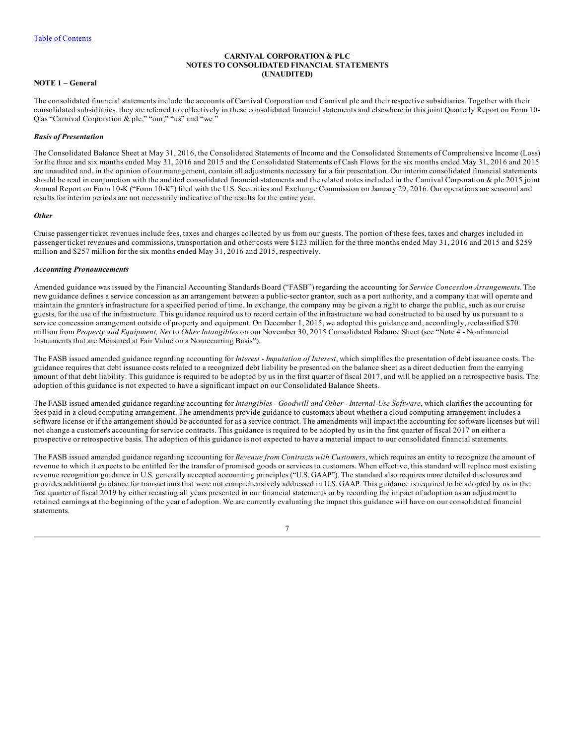# **CARNIVAL CORPORATION & PLC NOTES TO CONSOLIDATED FINANCIAL STATEMENTS (UNAUDITED)**

## **NOTE 1 – General**

The consolidated financial statements include the accounts of Carnival Corporation and Carnival plc and their respective subsidiaries. Together with their consolidated subsidiaries, they are referred to collectively in these consolidated financial statements and elsewhere in this joint Quarterly Report on Form 10- Q as "Carnival Corporation & plc," "our," "us" and "we."

# *Basis of Presentation*

The Consolidated Balance Sheet at May 31, 2016, the Consolidated Statements of Income and the Consolidated Statements of Comprehensive Income (Loss) for the three and six months ended May 31, 2016 and 2015 and the Consolidated Statements of Cash Flows for the six months ended May 31, 2016 and 2015 are unaudited and, in the opinion of our management, contain all adjustments necessary for a fair presentation. Our interim consolidated financial statements should be read in conjunction with the audited consolidated financial statements and the related notes included in the Carnival Corporation & plc 2015 joint Annual Report on Form 10-K ("Form 10-K") filed with the U.S. Securities and Exchange Commission on January 29, 2016. Our operations are seasonal and results for interim periods are not necessarily indicative of the results for the entire year.

# *Other*

Cruise passenger ticket revenues include fees, taxes and charges collected by us from our guests. The portion of these fees, taxes and charges included in passenger ticket revenues and commissions, transportation and other costs were \$123 million for the three months ended May 31, 2016 and 2015 and \$259 million and \$257 million for the six months ended May 31, 2016 and 2015, respectively.

# *Accounting Pronouncements*

Amended guidance was issued by the Financial Accounting Standards Board ("FASB") regarding the accounting for *Service Concession Arrangements*. The new guidance defines a service concession as an arrangement between a public-sector grantor, such as a port authority, and a company that will operate and maintain the grantor's infrastructure for a specified period of time. In exchange, the company may be given a right to charge the public, such as our cruise guests, for the use of the infrastructure. This guidance required us to record certain of the infrastructure we had constructed to be used by us pursuant to a service concession arrangement outside of property and equipment. On December 1, 2015, we adopted this guidance and, accordingly, reclassified \$70 million from *Property and Equipment, Net* to *Other Intangibles* on our November 30, 2015 Consolidated Balance Sheet (see "Note 4 - Nonfinancial Instruments that are Measured at Fair Value on a Nonrecurring Basis").

The FASB issued amended guidance regarding accounting for *Interest - Imputation of Interest*, which simplifies the presentation of debt issuance costs. The guidance requires that debt issuance costs related to a recognized debt liability be presented on the balance sheet as a direct deduction from the carrying amount of that debt liability. This guidance is required to be adopted by us in the first quarter of fiscal 2017, and will be applied on a retrospective basis. The adoption of this guidance is not expected to have a significant impact on our Consolidated Balance Sheets.

The FASB issued amended guidance regarding accounting for *Intangibles - Goodwill and Other - Internal-Use Software*, which clarifies the accounting for fees paid in a cloud computing arrangement. The amendments provide guidance to customers about whether a cloud computing arrangement includes a software license or if the arrangement should be accounted for as a service contract. The amendments will impact the accounting for software licenses but will not change a customer's accounting for service contracts. This guidance is required to be adopted by us in the first quarter of fiscal 2017 on either a prospective or retrospective basis. The adoption of this guidance is not expected to have a material impact to our consolidated financial statements.

The FASB issued amended guidance regarding accounting for *Revenue from Contracts with Customers*, which requires an entity to recognize the amount of revenue to which it expects to be entitled for the transfer of promised goods or services to customers. When effective, this standard will replace most existing revenue recognition guidance in U.S. generally accepted accounting principles ("U.S. GAAP"). The standard also requires more detailed disclosures and provides additional guidance for transactions that were not comprehensively addressed in U.S. GAAP. This guidance is required to be adopted by us in the first quarter of fiscal 2019 by either recasting all years presented in our financial statements or by recording the impact of adoption as an adjustment to retained earnings at the beginning of the year of adoption. We are currently evaluating the impact this guidance will have on our consolidated financial statements.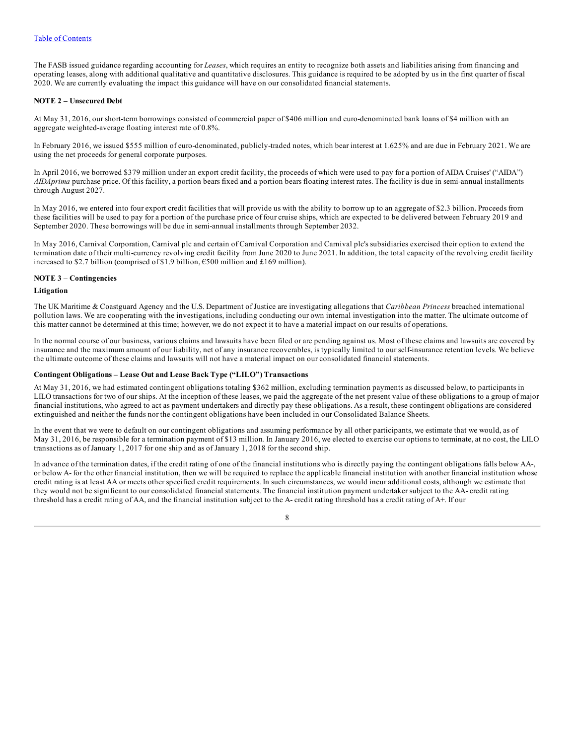The FASB issued guidance regarding accounting for *Leases*, which requires an entity to recognize both assets and liabilities arising from financing and operating leases, along with additional qualitative and quantitative disclosures. This guidance is required to be adopted by us in the first quarter of fiscal 2020. We are currently evaluating the impact this guidance will have on our consolidated financial statements.

# **NOTE 2 – Unsecured Debt**

At May 31, 2016, our short-term borrowings consisted of commercial paper of \$406 million and euro-denominated bank loans of \$4 million with an aggregate weighted-average floating interest rate of 0.8%.

In February 2016, we issued \$555 million of euro-denominated, publicly-traded notes, which bear interest at 1.625% and are due in February 2021. We are using the net proceeds for general corporate purposes.

In April 2016, we borrowed \$379 million under an export credit facility, the proceeds of which were used to pay for a portion of AIDA Cruises' ("AIDA") *AIDAprima* purchase price. Of this facility, a portion bears fixed and a portion bears floating interest rates. The facility is due in semi-annual installments through August 2027.

In May 2016, we entered into four export credit facilities that will provide us with the ability to borrow up to an aggregate of \$2.3 billion. Proceeds from these facilities will be used to pay for a portion of the purchase price of four cruise ships, which are expected to be delivered between February 2019 and September 2020. These borrowings will be due in semi-annual installments through September 2032.

In May 2016, Carnival Corporation, Carnival plc and certain of Carnival Corporation and Carnival plc's subsidiaries exercised their option to extend the termination date of their multi-currency revolving credit facility from June 2020 to June 2021. In addition, the total capacity of the revolving credit facility increased to \$2.7 billion (comprised of \$1.9 billion,  $\epsilon$ 500 million and £169 million).

#### **NOTE 3 – Contingencies**

# **Litigation**

The UK Maritime & Coastguard Agency and the U.S. Department of Justice are investigating allegations that *Caribbean Princess* breached international pollution laws. We are cooperating with the investigations, including conducting our own internal investigation into the matter. The ultimate outcome of this matter cannot be determined at this time; however, we do not expect it to have a material impact on our results of operations.

In the normal course of our business, various claims and lawsuits have been filed or are pending against us. Most of these claims and lawsuits are covered by insurance and the maximum amount of our liability, net of any insurance recoverables, is typically limited to our self-insurance retention levels. We believe the ultimate outcome of these claims and lawsuits will not have a material impact on our consolidated financial statements.

# **Contingent Obligations – Lease Out and Lease Back Type ("LILO") Transactions**

At May 31, 2016, we had estimated contingent obligations totaling \$362 million, excluding termination payments as discussed below, to participants in LILO transactions for two of our ships. At the inception of these leases, we paid the aggregate of the net present value of these obligations to a group of major financial institutions, who agreed to act as payment undertakers and directly pay these obligations. As a result, these contingent obligations are considered extinguished and neither the funds nor the contingent obligations have been included in our Consolidated Balance Sheets.

In the event that we were to default on our contingent obligations and assuming performance by all other participants, we estimate that we would, as of May 31, 2016, be responsible for a termination payment of \$13 million. In January 2016, we elected to exercise our options to terminate, at no cost, the LILO transactions as of January 1, 2017 for one ship and as of January 1, 2018 for the second ship.

In advance of the termination dates, if the credit rating of one of the financial institutions who is directly paying the contingent obligations falls below AA-, or below A- for the other financial institution, then we will be required to replace the applicable financial institution with another financial institution whose credit rating is at least AA or meets other specified credit requirements. In such circumstances, we would incur additional costs, although we estimate that they would not be significant to our consolidated financial statements. The financial institution payment undertaker subject to the AA- credit rating threshold has a credit rating of AA, and the financial institution subject to the A- credit rating threshold has a credit rating of A+. If our

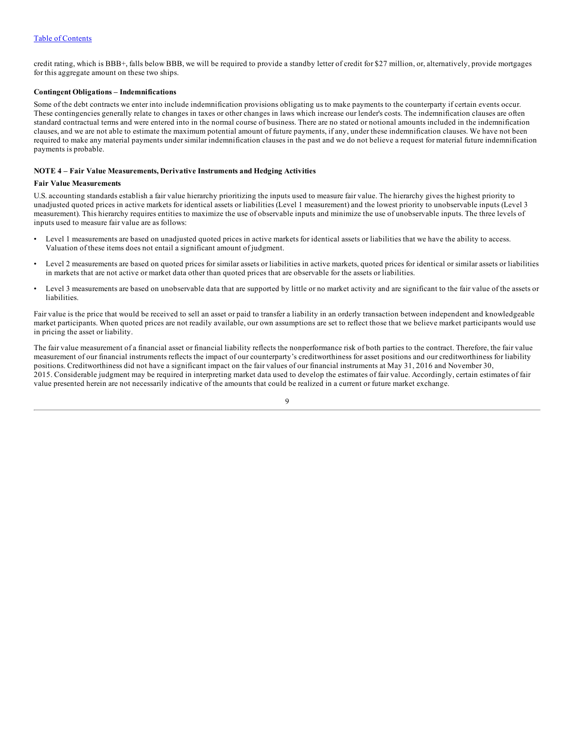credit rating, which is BBB+, falls below BBB, we will be required to provide a standby letter of credit for \$27 million, or, alternatively, provide mortgages for this aggregate amount on these two ships.

# **Contingent Obligations – Indemnifications**

Some of the debt contracts we enter into include indemnification provisions obligating us to make payments to the counterparty if certain events occur. These contingencies generally relate to changes in taxes or other changes in laws which increase our lender's costs. The indemnification clauses are often standard contractual terms and were entered into in the normal course of business. There are no stated or notional amounts included in the indemnification clauses, and we are not able to estimate the maximum potential amount of future payments, if any, under these indemnification clauses. We have not been required to make any material payments under similar indemnification clauses in the past and we do not believe a request for material future indemnification payments is probable.

# **NOTE 4 – Fair Value Measurements, Derivative Instruments and Hedging Activities**

#### **Fair Value Measurements**

U.S. accounting standards establish a fair value hierarchy prioritizing the inputs used to measure fair value. The hierarchy gives the highest priority to unadjusted quoted prices in active markets for identical assets or liabilities (Level 1 measurement) and the lowest priority to unobservable inputs (Level 3 measurement). This hierarchy requires entities to maximize the use of observable inputs and minimize the use of unobservable inputs. The three levels of inputs used to measure fair value are as follows:

- Level 1 measurements are based on unadjusted quoted prices in active markets for identical assets or liabilities that we have the ability to access. Valuation of these items does not entail a significant amount of judgment.
- Level 2 measurements are based on quoted prices for similar assets or liabilities in active markets, quoted prices for identical or similar assets or liabilities in markets that are not active or market data other than quoted prices that are observable for the assets or liabilities.
- Level 3 measurements are based on unobservable data that are supported by little or no market activity and are significant to the fair value of the assets or liabilities.

Fair value is the price that would be received to sell an asset or paid to transfer a liability in an orderly transaction between independent and knowledgeable market participants. When quoted prices are not readily available, our own assumptions are set to reflect those that we believe market participants would use in pricing the asset or liability.

The fair value measurement of a financial asset or financial liability reflects the nonperformance risk of both parties to the contract. Therefore, the fair value measurement of our financial instruments reflects the impact of our counterparty's creditworthiness for asset positions and our creditworthiness for liability positions. Creditworthiness did not have a significant impact on the fair values of our financial instruments at May 31, 2016 and November 30, 2015. Considerable judgment may be required in interpreting market data used to develop the estimates of fair value. Accordingly, certain estimates of fair value presented herein are not necessarily indicative of the amounts that could be realized in a current or future market exchange.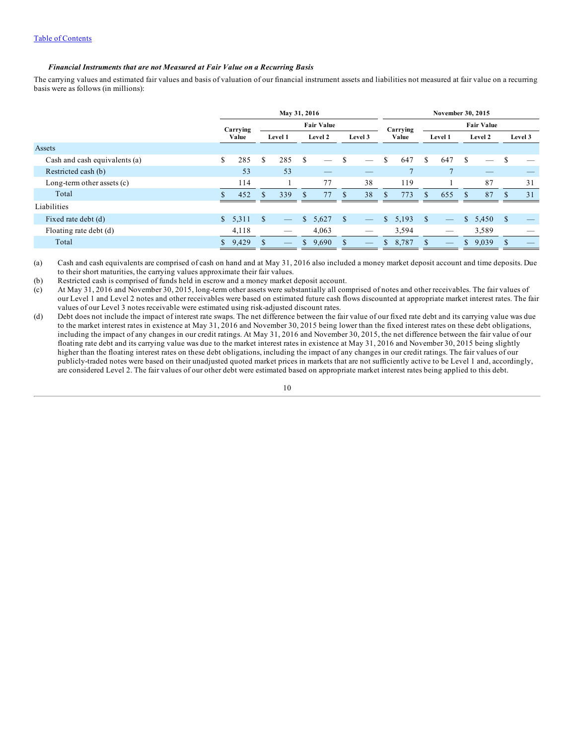# *Financial Instruments that are not Measured at Fair Value on a Recurring Basis*

The carrying values and estimated fair values and basis of valuation of our financial instrument assets and liabilities not measured at fair value on a recurring basis were as follows (in millions):

|                               | May 31, 2016   |       |                   |                   |              |         |               | November 30, 2015 |                   |         |               |                   |              |         |               |         |
|-------------------------------|----------------|-------|-------------------|-------------------|--------------|---------|---------------|-------------------|-------------------|---------|---------------|-------------------|--------------|---------|---------------|---------|
|                               | Carrying       |       | <b>Fair Value</b> |                   |              |         |               | Carrying          | <b>Fair Value</b> |         |               |                   |              |         |               |         |
|                               |                | Value |                   | Level 1           |              | Level 2 |               | Level 3           |                   | Value   |               | Level 1           |              | Level 2 |               | Level 3 |
| Assets                        |                |       |                   |                   |              |         |               |                   |                   |         |               |                   |              |         |               |         |
| Cash and cash equivalents (a) | \$             | 285   | S                 | 285               | S            |         |               |                   | S                 | 647     | \$            | 647               | S            |         | <sup>\$</sup> |         |
| Restricted cash (b)           |                | 53    |                   | 53                |              |         |               |                   |                   |         |               | $\overline{7}$    |              |         |               |         |
| Long-term other assets $(c)$  |                | 114   |                   |                   |              | 77      |               | 38                |                   | 119     |               |                   |              | 87      |               | 31      |
| Total                         |                | 452   | \$.               | 339               | \$.          | 77      | \$.           | 38                | <b>S</b>          | 773     | \$.           | 655               | <b>S</b>     | 87      |               | 31      |
| Liabilities                   |                |       |                   |                   |              |         |               |                   |                   |         |               |                   |              |         |               |         |
| Fixed rate debt (d)           | $\mathbb{S}$   | 5,311 | \$                |                   | $\mathbb{S}$ | 5,627   | <sup>\$</sup> | $\qquad \qquad -$ |                   | \$5,193 | <sup>\$</sup> | $\hspace{0.05cm}$ |              | \$5,450 | - \$          |         |
| Floating rate debt (d)        |                | 4,118 |                   | $-$               |              | 4,063   |               |                   |                   | 3,594   |               | $\sim$            |              | 3,589   |               |         |
| Total                         | $\mathbb{S}^-$ | 9,429 |                   | $\qquad \qquad -$ | $\mathbb{S}$ | 9,690   |               | $\qquad \qquad -$ | \$                | 8,787   |               |                   | $\mathbb{S}$ | 9,039   |               |         |
|                               |                |       |                   |                   |              |         |               |                   |                   |         |               |                   |              |         |               |         |

(a) Cash and cash equivalents are comprised of cash on hand and at May 31, 2016 also included a money market deposit account and time deposits. Due to their short maturities, the carrying values approximate their fair values.

(b) Restricted cash is comprised of funds held in escrow and a money market deposit account.

(c) At May 31, 2016 and November 30, 2015, long-term other assets were substantially all comprised of notes and other receivables. The fair values of our Level 1 and Level 2 notes and other receivables were based on estimated future cash flows discounted at appropriate market interest rates. The fair values of our Level 3 notes receivable were estimated using risk-adjusted discount rates.

(d) Debt does not include the impact of interest rate swaps. The net difference between the fair value of our fixed rate debt and its carrying value was due to the market interest rates in existence at May 31, 2016 and November 30, 2015 being lower than the fixed interest rates on these debt obligations, including the impact of any changes in our credit ratings. At May 31, 2016 and November 30, 2015, the net difference between the fair value of our floating rate debt and its carrying value was due to the market interest rates in existence at May 31, 2016 and November 30, 2015 being slightly higher than the floating interest rates on these debt obligations, including the impact of any changes in our credit ratings. The fair values of our publicly-traded notes were based on their unadjusted quoted market prices in markets that are not sufficiently active to be Level 1 and, accordingly, are considered Level 2. The fair values of our other debt were estimated based on appropriate market interest rates being applied to this debt.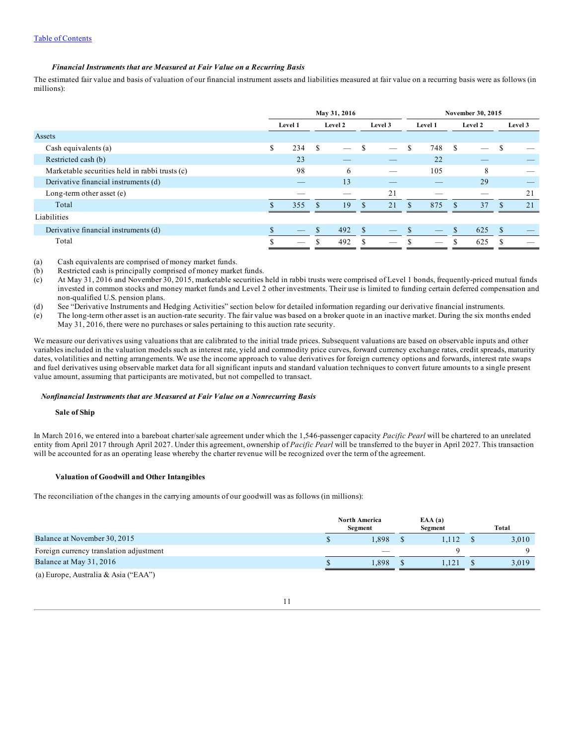# *Financial Instruments that are Measured at Fair Value on a Recurring Basis*

The estimated fair value and basis of valuation of our financial instrument assets and liabilities measured at fair value on a recurring basis were as follows (in millions):

|                                                | May 31, 2016 |     |               |         |                    |         | November 30, 2015  |                          |               |         |               |         |  |
|------------------------------------------------|--------------|-----|---------------|---------|--------------------|---------|--------------------|--------------------------|---------------|---------|---------------|---------|--|
|                                                | Level 1      |     |               | Level 2 |                    | Level 3 |                    | Level 1                  |               | Level 2 |               | Level 3 |  |
| Assets                                         |              |     |               |         |                    |         |                    |                          |               |         |               |         |  |
| Cash equivalents (a)                           | \$.          | 234 | -S            |         |                    |         | \$.                | 748                      | <sup>\$</sup> |         | \$            |         |  |
| Restricted cash (b)                            |              | 23  |               |         |                    |         |                    | 22                       |               |         |               |         |  |
| Marketable securities held in rabbi trusts (c) |              | 98  |               | 6       |                    |         |                    | 105                      |               | 8       |               |         |  |
| Derivative financial instruments (d)           |              |     |               | 13      |                    |         |                    |                          |               | 29      |               |         |  |
| Long-term other asset (e)                      |              |     |               |         |                    | 21      |                    |                          |               |         |               | 21      |  |
| Total                                          |              | 355 | $\mathcal{S}$ | 19      | $\mathbf{\hat{x}}$ | 21      | $\mathbf{\hat{s}}$ | 875                      | £.            | 37      | -S            | 21      |  |
| Liabilities                                    |              |     |               |         |                    |         |                    |                          |               |         |               |         |  |
| Derivative financial instruments (d)           |              |     |               | 492     | S.                 |         |                    | $\overline{\phantom{m}}$ | \$.           | 625     | <sup>\$</sup> |         |  |
| Total                                          |              |     |               | 492     |                    |         |                    |                          |               | 625     |               |         |  |

(a) Cash equivalents are comprised of money market funds.

(b) Restricted cash is principally comprised of money market funds.

(c) At May 31, 2016 and November 30, 2015, marketable securities held in rabbi trusts were comprised of Level 1 bonds, frequently-priced mutual funds invested in common stocks and money market funds and Level 2 other investments. Their use is limited to funding certain deferred compensation and non-qualified U.S. pension plans.

(d) See "Derivative Instruments and Hedging Activities" section below for detailed information regarding our derivative financial instruments.

(e) The long-term other asset is an auction-rate security. The fair value was based on a broker quote in an inactive market. During the six months ended May 31, 2016, there were no purchases or sales pertaining to this auction rate security.

We measure our derivatives using valuations that are calibrated to the initial trade prices. Subsequent valuations are based on observable inputs and other variables included in the valuation models such as interest rate, yield and commodity price curves, forward currency exchange rates, credit spreads, maturity dates, volatilities and netting arrangements. We use the income approach to value derivatives for foreign currency options and forwards, interest rate swaps and fuel derivatives using observable market data for all significant inputs and standard valuation techniques to convert future amounts to a single present value amount, assuming that participants are motivated, but not compelled to transact.

# *Nonfinancial Instruments that are Measured at Fair Value on a Nonrecurring Basis*

# **Sale of Ship**

In March 2016, we entered into a bareboat charter/sale agreement under which the 1,546-passenger capacity *Pacific Pearl* will be chartered to an unrelated entity from April 2017 through April 2027. Under this agreement, ownership of *Pacific Pearl* will be transferred to the buyer in April 2027. This transaction will be accounted for as an operating lease whereby the charter revenue will be recognized over the term of the agreement.

### **Valuation of Goodwill and Other Intangibles**

The reconciliation of the changes in the carrying amounts of our goodwill was as follows (in millions):

|                                         | <b>North America</b><br>Segment | EAA(a)<br>Segment | Total |
|-----------------------------------------|---------------------------------|-------------------|-------|
| Balance at November 30, 2015            | 1.898                           | 1.112             | 3,010 |
| Foreign currency translation adjustment |                                 |                   |       |
| Balance at May 31, 2016                 | 1.898                           | 1.121             | 3,019 |
| (a) Europe, Australia & Asia ("EAA")    |                                 |                   |       |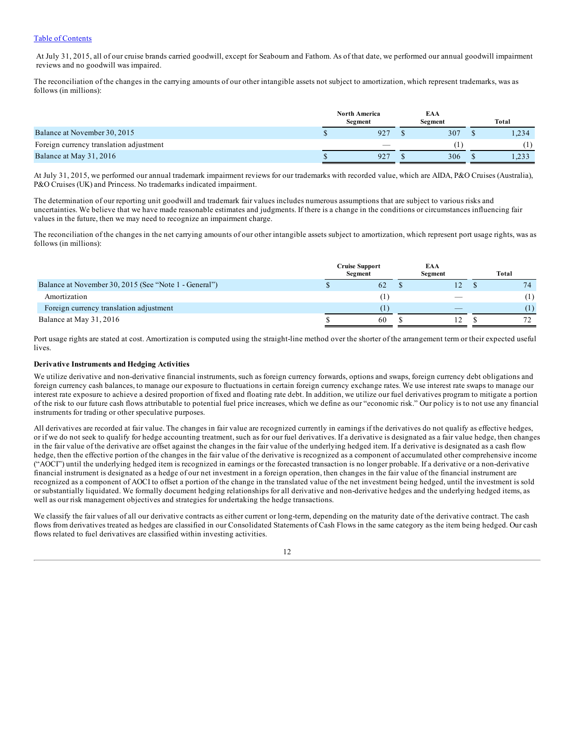At July 31, 2015, all of our cruise brands carried goodwill, except for Seabourn and Fathom. As of that date, we performed our annual goodwill impairment reviews and no goodwill was impaired.

The reconciliation of the changes in the carrying amounts of our other intangible assets not subject to amortization, which represent trademarks, was as follows (in millions):

|                                         | <b>North America</b><br>Segment |     | EAA<br>Segment | Total |
|-----------------------------------------|---------------------------------|-----|----------------|-------|
| Balance at November 30, 2015            |                                 | 927 | 307            | 1,234 |
| Foreign currency translation adjustment |                                 | --  |                |       |
| Balance at May 31, 2016                 |                                 | 927 | 306            | 1.233 |

At July 31, 2015, we performed our annual trademark impairment reviews for our trademarks with recorded value, which are AIDA, P&O Cruises (Australia), P&O Cruises (UK) and Princess. No trademarks indicated impairment.

The determination of our reporting unit goodwill and trademark fair values includes numerous assumptions that are subject to various risks and uncertainties. We believe that we have made reasonable estimates and judgments. If there is a change in the conditions or circumstances influencing fair values in the future, then we may need to recognize an impairment charge.

The reconciliation of the changes in the net carrying amounts of our other intangible assets subject to amortization, which represent port usage rights, was as follows (in millions):

|                                                       | <b>Cruise Support</b><br>Segment | EAA<br>Segment | Total            |
|-------------------------------------------------------|----------------------------------|----------------|------------------|
| Balance at November 30, 2015 (See "Note 1 - General") | 62                               |                | 74               |
| Amortization                                          | $\Gamma$                         |                | $\left(1\right)$ |
| Foreign currency translation adjustment               |                                  |                | (1)              |
| Balance at May 31, 2016                               | 60                               | $\sim$         |                  |

Port usage rights are stated at cost. Amortization is computed using the straight-line method over the shorter of the arrangement term or their expected useful lives.

# **Derivative Instruments and Hedging Activities**

We utilize derivative and non-derivative financial instruments, such as foreign currency forwards, options and swaps, foreign currency debt obligations and foreign currency cash balances, to manage our exposure to fluctuations in certain foreign currency exchange rates. We use interest rate swaps to manage our interest rate exposure to achieve a desired proportion of fixed and floating rate debt. In addition, we utilize our fuel derivatives program to mitigate a portion of the risk to our future cash flows attributable to potential fuel price increases, which we define as our "economic risk." Our policy is to not use any financial instruments for trading or other speculative purposes.

All derivatives are recorded at fair value. The changes in fair value are recognized currently in earnings if the derivatives do not qualify as effective hedges, or if we do not seek to qualify for hedge accounting treatment, such as for our fuel derivatives. If a derivative is designated as a fair value hedge, then changes in the fair value of the derivative are offset against the changes in the fair value of the underlying hedged item. If a derivative is designated as a cash flow hedge, then the effective portion of the changes in the fair value of the derivative is recognized as a component of accumulated other comprehensive income ("AOCI") until the underlying hedged item is recognized in earnings or the forecasted transaction is no longer probable. If a derivative or a non-derivative financial instrument is designated as a hedge of our net investment in a foreign operation, then changes in the fair value of the financial instrument are recognized as a component of AOCI to offset a portion of the change in the translated value of the net investment being hedged, until the investment is sold or substantially liquidated. We formally document hedging relationships for all derivative and non-derivative hedges and the underlying hedged items, as well as our risk management objectives and strategies for undertaking the hedge transactions.

We classify the fair values of all our derivative contracts as either current or long-term, depending on the maturity date of the derivative contract. The cash flows from derivatives treated as hedges are classified in our Consolidated Statements of Cash Flows in the same category as the item being hedged. Our cash flows related to fuel derivatives are classified within investing activities.

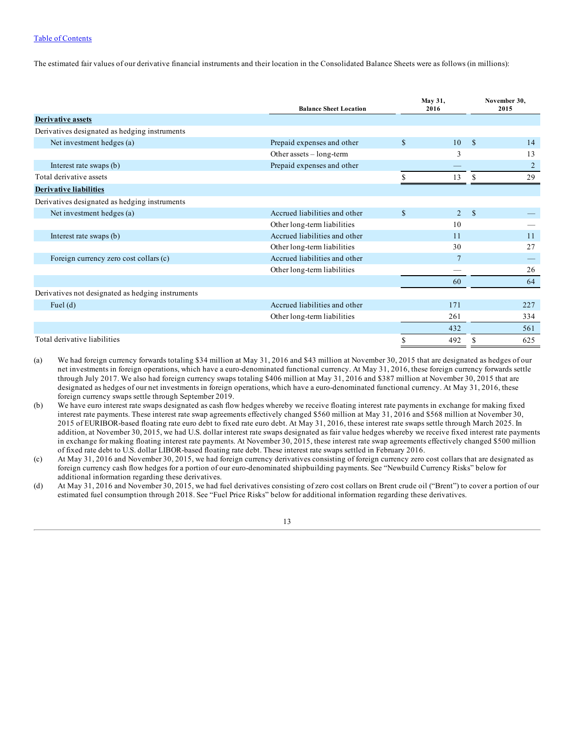The estimated fair values of our derivative financial instruments and their location in the Consolidated Balance Sheets were as follows (in millions):

|                                                   | <b>Balance Sheet Location</b> | May 31,<br>2016 |                |               | November 30.<br>2015 |
|---------------------------------------------------|-------------------------------|-----------------|----------------|---------------|----------------------|
| Derivative assets                                 |                               |                 |                |               |                      |
| Derivatives designated as hedging instruments     |                               |                 |                |               |                      |
| Net investment hedges (a)                         | Prepaid expenses and other    | $\mathbb{S}$    | 10             | $\mathbf{s}$  | 14                   |
|                                                   | Other assets $-$ long-term    |                 | 3              |               | 13                   |
| Interest rate swaps (b)                           | Prepaid expenses and other    |                 |                |               | $\overline{2}$       |
| Total derivative assets                           |                               | \$              | 13             | <sup>\$</sup> | 29                   |
| <b>Derivative liabilities</b>                     |                               |                 |                |               |                      |
| Derivatives designated as hedging instruments     |                               |                 |                |               |                      |
| Net investment hedges (a)                         | Accrued liabilities and other | \$              | $\overline{2}$ | $\mathbb{S}$  |                      |
|                                                   | Other long-term liabilities   |                 | 10             |               |                      |
| Interest rate swaps (b)                           | Accrued liabilities and other |                 | 11             |               | 11                   |
|                                                   | Other long-term liabilities   |                 | 30             |               | 27                   |
| Foreign currency zero cost collars (c)            | Accrued liabilities and other |                 | $\overline{7}$ |               |                      |
|                                                   | Other long-term liabilities   |                 |                |               | 26                   |
|                                                   |                               |                 | 60             |               | 64                   |
| Derivatives not designated as hedging instruments |                               |                 |                |               |                      |
| Fuel $(d)$                                        | Accrued liabilities and other |                 | 171            |               | 227                  |
|                                                   | Other long-term liabilities   |                 | 261            |               | 334                  |
|                                                   |                               |                 | 432            |               | 561                  |
| Total derivative liabilities                      |                               |                 | 492            |               | 625                  |

(a) We had foreign currency forwards totaling \$34 million at May 31, 2016 and \$43 million at November 30, 2015 that are designated as hedges of our net investments in foreign operations, which have a euro-denominated functional currency. At May 31, 2016, these foreign currency forwards settle through July 2017. We also had foreign currency swaps totaling \$406 million at May 31, 2016 and \$387 million at November 30, 2015 that are designated as hedges of our net investments in foreign operations, which have a euro-denominated functional currency. At May 31, 2016, these foreign currency swaps settle through September 2019.

(b) We have euro interest rate swaps designated as cash flow hedges whereby we receive floating interest rate payments in exchange for making fixed interest rate payments. These interest rate swap agreements effectively changed \$560 million at May 31, 2016 and \$568 million at November 30, 2015 of EURIBOR-based floating rate euro debt to fixed rate euro debt. At May 31, 2016, these interest rate swaps settle through March 2025. In addition, at November 30, 2015, we had U.S. dollar interest rate swaps designated as fair value hedges whereby we receive fixed interest rate payments in exchange for making floating interest rate payments. At November 30, 2015, these interest rate swap agreements effectively changed \$500 million of fixed rate debt to U.S. dollar LIBOR-based floating rate debt. These interest rate swaps settled in February 2016.

(c) At May 31, 2016 and November 30, 2015, we had foreign currency derivatives consisting of foreign currency zero cost collars that are designated as foreign currency cash flow hedges for a portion of our euro-denominated shipbuilding payments. See "Newbuild Currency Risks" below for additional information regarding these derivatives.

(d) At May 31, 2016 and November 30, 2015, we had fuel derivatives consisting of zero cost collars on Brent crude oil ("Brent") to cover a portion of our estimated fuel consumption through 2018. See "Fuel Price Risks" below for additional information regarding these derivatives.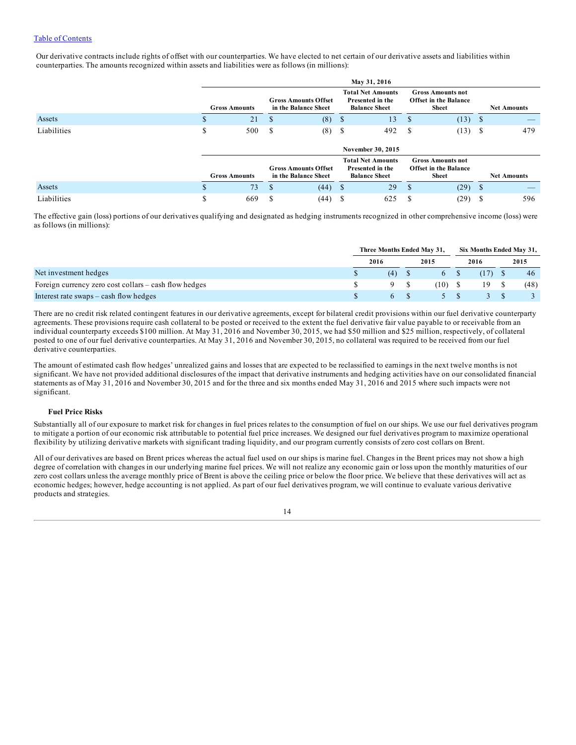Our derivative contracts include rights of offset with our counterparties. We have elected to net certain of our derivative assets and liabilities within counterparties. The amounts recognized within assets and liabilities were as follows (in millions):

|             |                      |                      |    |                                                     |   | May 31, 2016                                                         |     |                                                                          |                                                                          |                    |
|-------------|----------------------|----------------------|----|-----------------------------------------------------|---|----------------------------------------------------------------------|-----|--------------------------------------------------------------------------|--------------------------------------------------------------------------|--------------------|
|             |                      | <b>Gross Amounts</b> |    | <b>Gross Amounts Offset</b><br>in the Balance Sheet |   | <b>Total Net Amounts</b><br>Presented in the<br><b>Balance Sheet</b> |     |                                                                          | <b>Gross Amounts not</b><br><b>Offset in the Balance</b><br><b>Sheet</b> | <b>Net Amounts</b> |
| Assets      | ٠D                   | 21                   | -S | (8)                                                 | S | 13                                                                   | S   | $(13)$ \$                                                                | –                                                                        |                    |
| Liabilities | ۰D.                  | 500                  | -S | (8)                                                 | S | 492                                                                  | S   | $(13)$ \$                                                                | 479                                                                      |                    |
|             |                      |                      |    |                                                     |   | November 30, 2015                                                    |     |                                                                          |                                                                          |                    |
|             | <b>Gross Amounts</b> |                      |    | <b>Gross Amounts Offset</b><br>in the Balance Sheet |   | <b>Total Net Amounts</b><br>Presented in the<br><b>Balance Sheet</b> |     | <b>Gross Amounts not</b><br><b>Offset in the Balance</b><br><b>Sheet</b> | <b>Net Amounts</b>                                                       |                    |
| Assets      | аĐ.                  | 73                   | -S | (44)                                                | S | 29                                                                   | \$. | $(29)$ \$                                                                |                                                                          |                    |
| Liabilities |                      | 669                  |    | (44)                                                | S | 625                                                                  | S   | (29)                                                                     | 596                                                                      |                    |

The effective gain (loss) portions of our derivatives qualifying and designated as hedging instruments recognized in other comprehensive income (loss) were as follows (in millions):

|                                                       | Three Months Ended May 31, |      |           |    | Six Months Ended May 31, |  |      |  |  |
|-------------------------------------------------------|----------------------------|------|-----------|----|--------------------------|--|------|--|--|
|                                                       | 2016                       | 2015 |           |    | 2016                     |  | 2015 |  |  |
| Net investment hedges                                 | $(4)$ \$                   |      |           | 6S | $(17)$ \$                |  | 46   |  |  |
| Foreign currency zero cost collars – cash flow hedges | 9S                         |      | $(10)$ \$ |    | 19 \$                    |  | (48) |  |  |
| Interest rate swaps – cash flow hedges                | 6S                         |      | 5S        |    |                          |  |      |  |  |

There are no credit risk related contingent features in our derivative agreements, except for bilateral credit provisions within our fuel derivative counterparty agreements. These provisions require cash collateral to be posted or received to the extent the fuel derivative fair value payable to or receivable from an individual counterparty exceeds \$100 million. At May 31, 2016 and November 30, 2015, we had \$50 million and \$25 million, respectively, of collateral posted to one of our fuel derivative counterparties. At May 31, 2016 and November 30, 2015, no collateral was required to be received from our fuel derivative counterparties.

The amount of estimated cash flow hedges' unrealized gains and losses that are expected to be reclassified to earnings in the next twelve months is not significant. We have not provided additional disclosures of the impact that derivative instruments and hedging activities have on our consolidated financial statements as of May 31, 2016 and November 30, 2015 and for the three and six months ended May 31, 2016 and 2015 where such impacts were not significant.

# **Fuel Price Risks**

Substantially all of our exposure to market risk for changes in fuel prices relates to the consumption of fuel on our ships. We use our fuel derivatives program to mitigate a portion of our economic risk attributable to potential fuel price increases. We designed our fuel derivatives program to maximize operational flexibility by utilizing derivative markets with significant trading liquidity, and our program currently consists of zero cost collars on Brent.

All of our derivatives are based on Brent prices whereas the actual fuel used on our ships is marine fuel. Changes in the Brent prices may not show a high degree of correlation with changes in our underlying marine fuel prices. We will not realize any economic gain or loss upon the monthly maturities of our zero cost collars unless the average monthly price of Brent is above the ceiling price or below the floor price. We believe that these derivatives will act as economic hedges; however, hedge accounting is not applied. As part of our fuel derivatives program, we will continue to evaluate various derivative products and strategies.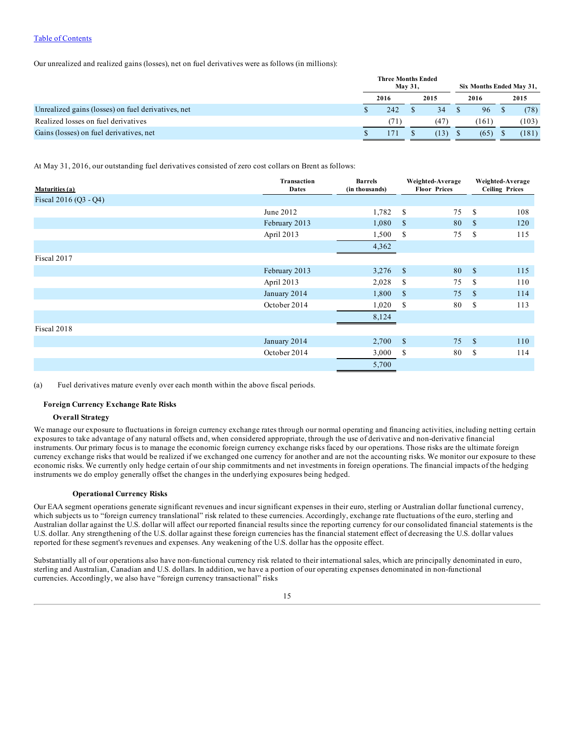Our unrealized and realized gains (losses), net on fuel derivatives were as follows (in millions):

|                                                    | <b>Three Months Ended</b> | May 31, |      |      | Six Months Ended May 31, |  |       |
|----------------------------------------------------|---------------------------|---------|------|------|--------------------------|--|-------|
|                                                    | 2016                      | 2015    |      | 2016 |                          |  | 2015  |
| Unrealized gains (losses) on fuel derivatives, net | 242                       |         | 34   |      | 96                       |  | (78)  |
| Realized losses on fuel derivatives                | (71                       |         | (47) |      | (161)                    |  | (103) |
| Gains (losses) on fuel derivatives, net            |                           |         | (13) |      | (65)                     |  | (181) |

At May 31, 2016, our outstanding fuel derivatives consisted of zero cost collars on Brent as follows:

| Maturities (a)        | Transaction<br><b>Dates</b> | <b>Barrels</b><br>(in thousands) | Weighted-Average<br><b>Floor Prices</b> |    |               | Weighted-Average<br><b>Ceiling Prices</b> |
|-----------------------|-----------------------------|----------------------------------|-----------------------------------------|----|---------------|-------------------------------------------|
| Fiscal 2016 (Q3 - Q4) |                             |                                  |                                         |    |               |                                           |
|                       | June 2012                   | 1,782                            | S                                       | 75 | -S            | 108                                       |
|                       | February 2013               | 1,080                            | $\mathbb{S}$                            | 80 | <sup>\$</sup> | 120                                       |
|                       | April 2013                  | 1,500                            | S                                       | 75 | <sup>\$</sup> | 115                                       |
|                       |                             | 4,362                            |                                         |    |               |                                           |
| Fiscal 2017           |                             |                                  |                                         |    |               |                                           |
|                       | February 2013               | 3,276                            | $\mathbb{S}$                            | 80 | <b>S</b>      | 115                                       |
|                       | April 2013                  | 2,028                            | \$                                      | 75 | <sup>\$</sup> | 110                                       |
|                       | January 2014                | 1,800                            | $\mathbb{S}$                            | 75 | $\mathbb{S}$  | 114                                       |
|                       | October 2014                | 1,020                            | S                                       | 80 | <sup>\$</sup> | 113                                       |
|                       |                             | 8,124                            |                                         |    |               |                                           |
| Fiscal 2018           |                             |                                  |                                         |    |               |                                           |
|                       | January 2014                | 2,700                            | $\mathcal{S}$                           | 75 | <b>S</b>      | 110                                       |
|                       | October 2014                | 3,000                            | S                                       | 80 | \$            | 114                                       |
|                       |                             | 5,700                            |                                         |    |               |                                           |

(a) Fuel derivatives mature evenly over each month within the above fiscal periods.

#### **Foreign Currency Exchange Rate Risks**

#### **Overall Strategy**

We manage our exposure to fluctuations in foreign currency exchange rates through our normal operating and financing activities, including netting certain exposures to take advantage of any natural offsets and, when considered appropriate, through the use of derivative and non-derivative financial instruments. Our primary focus is to manage the economic foreign currency exchange risks faced by our operations. Those risks are the ultimate foreign currency exchange risks that would be realized if we exchanged one currency for another and are not the accounting risks. We monitor our exposure to these economic risks. We currently only hedge certain of our ship commitments and net investments in foreign operations. The financial impacts of the hedging instruments we do employ generally offset the changes in the underlying exposures being hedged.

#### **Operational Currency Risks**

Our EAA segment operations generate significant revenues and incur significant expenses in their euro, sterling or Australian dollar functional currency, which subjects us to "foreign currency translational" risk related to these currencies. Accordingly, exchange rate fluctuations of the euro, sterling and Australian dollar against the U.S. dollar will affect our reported financial results since the reporting currency for our consolidated financial statements is the U.S. dollar. Any strengthening of the U.S. dollar against these foreign currencies has the financial statement effect of decreasing the U.S. dollar values reported for these segment's revenues and expenses. Any weakening of the U.S. dollar has the opposite effect.

Substantially all of our operations also have non-functional currency risk related to their international sales, which are principally denominated in euro, sterling and Australian, Canadian and U.S. dollars. In addition, we have a portion of our operating expenses denominated in non-functional currencies. Accordingly, we also have "foreign currency transactional" risks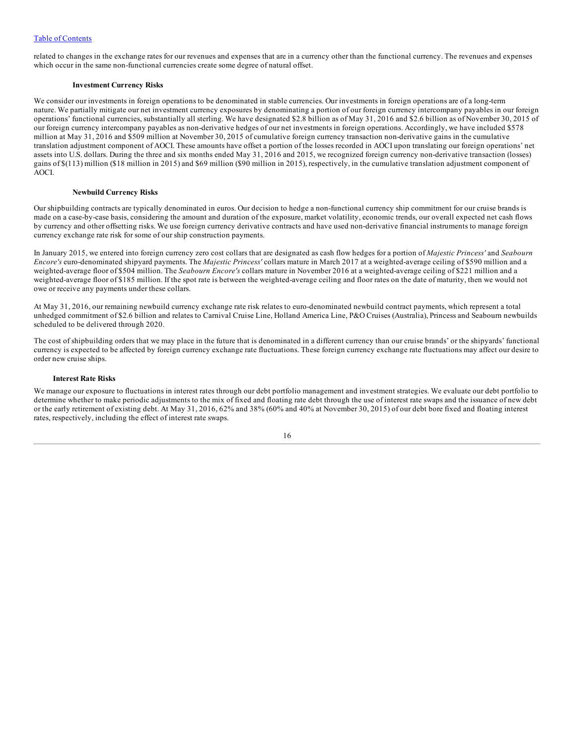related to changes in the exchange rates for our revenues and expenses that are in a currency other than the functional currency. The revenues and expenses which occur in the same non-functional currencies create some degree of natural offset.

#### **Investment Currency Risks**

We consider our investments in foreign operations to be denominated in stable currencies. Our investments in foreign operations are of a long-term nature. We partially mitigate our net investment currency exposures by denominating a portion of our foreign currency intercompany payables in our foreign operations' functional currencies, substantially all sterling. We have designated \$2.8 billion as of May 31, 2016 and \$2.6 billion as of November 30, 2015 of our foreign currency intercompany payables as non-derivative hedges of our net investments in foreign operations. Accordingly, we have included \$578 million at May 31, 2016 and \$509 million at November 30, 2015 of cumulative foreign currency transaction non-derivative gains in the cumulative translation adjustment component of AOCI. These amounts have offset a portion of the losses recorded in AOCI upon translating our foreign operations' net assets into U.S. dollars. During the three and six months ended May 31, 2016 and 2015, we recognized foreign currency non-derivative transaction (losses) gains of \$(113) million (\$18 million in 2015) and \$69 million (\$90 million in 2015), respectively, in the cumulative translation adjustment component of AOCI.

#### **Newbuild Currency Risks**

Our shipbuilding contracts are typically denominated in euros. Our decision to hedge a non-functional currency ship commitment for our cruise brands is made on a case-by-case basis, considering the amount and duration of the exposure, market volatility, economic trends, our overall expected net cash flows by currency and other offsetting risks. We use foreign currency derivative contracts and have used non-derivative financial instruments to manage foreign currency exchange rate risk for some of our ship construction payments.

In January 2015, we entered into foreign currency zero cost collars that are designated as cash flow hedges for a portion of *Majestic Princess'* and *Seabourn Encore's* euro-denominated shipyard payments. The *Majestic Princess'* collars mature in March 2017 at a weighted-average ceiling of \$590 million and a weighted-average floor of \$504 million. The *Seabourn Encore's* collars mature in November 2016 at a weighted-average ceiling of \$221 million and a weighted-average floor of \$185 million. If the spot rate is between the weighted-average ceiling and floor rates on the date of maturity, then we would not owe or receive any payments under these collars.

At May 31, 2016, our remaining newbuild currency exchange rate risk relates to euro-denominated newbuild contract payments, which represent a total unhedged commitment of \$2.6 billion and relates to Carnival Cruise Line, Holland America Line, P&O Cruises (Australia), Princess and Seabourn newbuilds scheduled to be delivered through 2020.

The cost of shipbuilding orders that we may place in the future that is denominated in a different currency than our cruise brands' or the shipyards' functional currency is expected to be affected by foreign currency exchange rate fluctuations. These foreign currency exchange rate fluctuations may affect our desire to order new cruise ships.

#### **Interest Rate Risks**

We manage our exposure to fluctuations in interest rates through our debt portfolio management and investment strategies. We evaluate our debt portfolio to determine whether to make periodic adjustments to the mix of fixed and floating rate debt through the use of interest rate swaps and the issuance of new debt or the early retirement of existing debt. At May 31, 2016, 62% and 38% (60% and 40% at November 30, 2015) of our debt bore fixed and floating interest rates, respectively, including the effect of interest rate swaps.

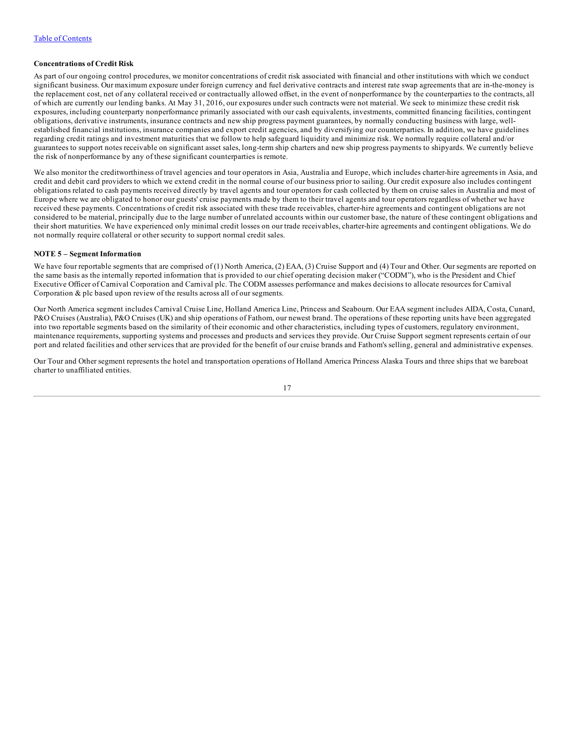# **Concentrations of Credit Risk**

As part of our ongoing control procedures, we monitor concentrations of credit risk associated with financial and other institutions with which we conduct significant business. Our maximum exposure under foreign currency and fuel derivative contracts and interest rate swap agreements that are in-the-money is the replacement cost, net of any collateral received or contractually allowed offset, in the event of nonperformance by the counterparties to the contracts, all of which are currently our lending banks. At May 31, 2016, our exposures under such contracts were not material. We seek to minimize these credit risk exposures, including counterparty nonperformance primarily associated with our cash equivalents, investments, committed financing facilities, contingent obligations, derivative instruments, insurance contracts and new ship progress payment guarantees, by normally conducting business with large, wellestablished financial institutions, insurance companies and export credit agencies, and by diversifying our counterparties. In addition, we have guidelines regarding credit ratings and investment maturities that we follow to help safeguard liquidity and minimize risk. We normally require collateral and/or guarantees to support notes receivable on significant asset sales, long-term ship charters and new ship progress payments to shipyards. We currently believe the risk of nonperformance by any of these significant counterparties is remote.

We also monitor the creditworthiness of travel agencies and tour operators in Asia, Australia and Europe, which includes charter-hire agreements in Asia, and credit and debit card providers to which we extend credit in the normal course of our business prior to sailing. Our credit exposure also includes contingent obligations related to cash payments received directly by travel agents and tour operators for cash collected by them on cruise sales in Australia and most of Europe where we are obligated to honor our guests' cruise payments made by them to their travel agents and tour operators regardless of whether we have received these payments. Concentrations of credit risk associated with these trade receivables, charter-hire agreements and contingent obligations are not considered to be material, principally due to the large number of unrelated accounts within our customer base, the nature of these contingent obligations and their short maturities. We have experienced only minimal credit losses on our trade receivables, charter-hire agreements and contingent obligations. We do not normally require collateral or other security to support normal credit sales.

# **NOTE 5 – Segment Information**

We have four reportable segments that are comprised of (1) North America, (2) EAA, (3) Cruise Support and (4) Tour and Other. Our segments are reported on the same basis as the internally reported information that is provided to our chief operating decision maker ("CODM"), who is the President and Chief Executive Officer of Carnival Corporation and Carnival plc. The CODM assesses performance and makes decisions to allocate resources for Carnival Corporation & plc based upon review of the results across all of our segments.

Our North America segment includes Carnival Cruise Line, Holland America Line, Princess and Seabourn. Our EAA segment includes AIDA, Costa, Cunard, P&O Cruises (Australia), P&O Cruises (UK) and ship operations of Fathom, our newest brand. The operations of these reporting units have been aggregated into two reportable segments based on the similarity of their economic and other characteristics, including types of customers, regulatory environment, maintenance requirements, supporting systems and processes and products and services they provide. Our Cruise Support segment represents certain of our port and related facilities and other services that are provided for the benefit of our cruise brands and Fathom's selling, general and administrative expenses.

Our Tour and Other segment represents the hotel and transportation operations of Holland America Princess Alaska Tours and three ships that we bareboat charter to unaffiliated entities.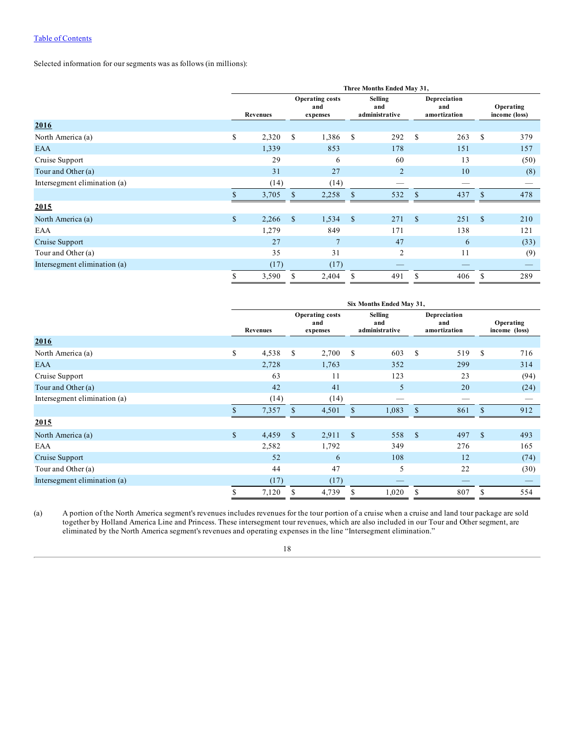Selected information for our segments was as follows (in millions):

|                              | Three Months Ended May 31, |          |               |                                           |              |                                         |              |                                     |               |                            |
|------------------------------|----------------------------|----------|---------------|-------------------------------------------|--------------|-----------------------------------------|--------------|-------------------------------------|---------------|----------------------------|
|                              |                            | Revenues |               | <b>Operating costs</b><br>and<br>expenses |              | <b>Selling</b><br>and<br>administrative |              | Depreciation<br>and<br>amortization |               | Operating<br>income (loss) |
| 2016                         |                            |          |               |                                           |              |                                         |              |                                     |               |                            |
| North America (a)            | \$                         | 2,320    | \$            | 1,386                                     | \$           | 292                                     | \$           | 263                                 | \$            | 379                        |
| <b>EAA</b>                   |                            | 1,339    |               | 853                                       |              | 178                                     |              | 151                                 |               | 157                        |
| Cruise Support               |                            | 29       |               | 6                                         |              | 60                                      |              | 13                                  |               | (50)                       |
| Tour and Other (a)           |                            | 31       |               | 27                                        |              | $\overline{2}$                          |              | 10                                  |               | (8)                        |
| Intersegment elimination (a) |                            | (14)     |               | (14)                                      |              |                                         |              |                                     |               |                            |
|                              |                            | 3,705    | <sup>\$</sup> | 2,258                                     | \$           | 532                                     | \$           | 437                                 | $\mathcal{S}$ | 478                        |
| 2015                         |                            |          |               |                                           |              |                                         |              |                                     |               |                            |
| North America (a)            | \$                         | 2,266    | $\mathbb{S}$  | 1,534                                     | $\mathbb{S}$ | 271                                     | $\mathbb{S}$ | 251                                 | $\mathbb{S}$  | 210                        |
| EAA                          |                            | 1,279    |               | 849                                       |              | 171                                     |              | 138                                 |               | 121                        |
| Cruise Support               |                            | 27       |               | 7                                         |              | 47                                      |              | 6                                   |               | (33)                       |
| Tour and Other (a)           |                            | 35       |               | 31                                        |              | 2                                       |              | 11                                  |               | (9)                        |
| Intersegment elimination (a) |                            | (17)     |               | (17)                                      |              |                                         |              |                                     |               |                            |
|                              | S                          | 3,590    | \$            | 2,404                                     | \$           | 491                                     | \$           | 406                                 | \$            | 289                        |

|                              | Six Months Ended May 31, |                 |               |                                           |              |                                         |               |                                     |               |                            |
|------------------------------|--------------------------|-----------------|---------------|-------------------------------------------|--------------|-----------------------------------------|---------------|-------------------------------------|---------------|----------------------------|
|                              |                          | <b>Revenues</b> |               | <b>Operating costs</b><br>and<br>expenses |              | <b>Selling</b><br>and<br>administrative |               | Depreciation<br>and<br>amortization |               | Operating<br>income (loss) |
| 2016                         |                          |                 |               |                                           |              |                                         |               |                                     |               |                            |
| North America (a)            | \$                       | 4,538           | \$            | 2,700                                     | \$           | 603                                     | <sup>\$</sup> | 519                                 | \$            | 716                        |
| <b>EAA</b>                   |                          | 2,728           |               | 1,763                                     |              | 352                                     |               | 299                                 |               | 314                        |
| Cruise Support               |                          | 63              |               | 11                                        |              | 123                                     |               | 23                                  |               | (94)                       |
| Tour and Other (a)           |                          | 42              |               | 41                                        |              | 5                                       |               | 20                                  |               | (24)                       |
| Intersegment elimination (a) |                          | (14)            |               | (14)                                      |              |                                         |               |                                     |               |                            |
|                              |                          | 7,357           | <sup>\$</sup> | 4,501                                     | $\mathbb{S}$ | 1,083                                   | <sup>\$</sup> | 861                                 | <sup>\$</sup> | 912                        |
| 2015                         |                          |                 |               |                                           |              |                                         |               |                                     |               |                            |
| North America (a)            | $\mathbb{S}$             | 4,459           | $\mathbb{S}$  | 2,911                                     | $\mathbb{S}$ | 558                                     | <sup>\$</sup> | 497                                 | $\mathbb{S}$  | 493                        |
| EAA                          |                          | 2,582           |               | 1,792                                     |              | 349                                     |               | 276                                 |               | 165                        |
| Cruise Support               |                          | 52              |               | 6                                         |              | 108                                     |               | 12                                  |               | (74)                       |
| Tour and Other (a)           |                          | 44              |               | 47                                        |              | 5                                       |               | 22                                  |               | (30)                       |
| Intersegment elimination (a) |                          | (17)            |               | (17)                                      |              |                                         |               |                                     |               |                            |
|                              |                          | 7,120           | \$            | 4,739                                     | \$           | 1,020                                   | S             | 807                                 | \$            | 554                        |

(a) A portion of the North America segment's revenues includes revenues for the tour portion of a cruise when a cruise and land tour package are sold together by Holland America Line and Princess. These intersegment tour revenues, which are also included in our Tour and Other segment, are eliminated by the North America segment's revenues and operating expenses in the line "Intersegment elimination."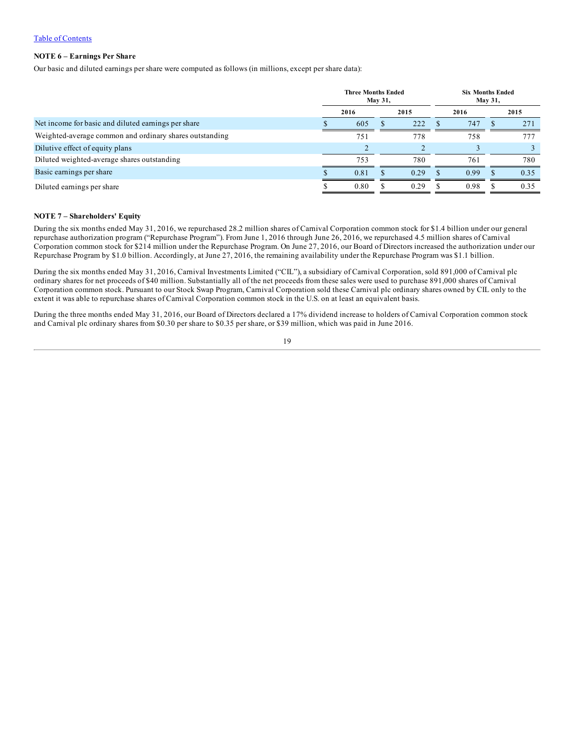### <span id="page-18-0"></span>**NOTE 6 – Earnings Per Share**

Our basic and diluted earnings per share were computed as follows (in millions, except per share data):

|                                                         |      | <b>Three Months Ended</b> | May 31, |      | <b>Six Months Ended</b> | May 31, |      |
|---------------------------------------------------------|------|---------------------------|---------|------|-------------------------|---------|------|
|                                                         | 2016 |                           | 2015    |      | 2016                    |         | 2015 |
| Net income for basic and diluted earnings per share     |      | 605                       | 222     |      | 747                     |         | 271  |
| Weighted-average common and ordinary shares outstanding |      | 751                       |         | 778  | 758                     |         |      |
| Dilutive effect of equity plans                         |      |                           |         |      |                         |         |      |
| Diluted weighted-average shares outstanding             |      | 753                       |         | 780  | 761                     |         | 780  |
| Basic earnings per share                                |      | 0.81                      |         | 0.29 | 0.99                    |         | 0.35 |
| Diluted earnings per share                              |      | 0.80                      |         | 0.29 | 0.98                    |         | 0.35 |

# **NOTE 7 – Shareholders' Equity**

During the six months ended May 31, 2016, we repurchased 28.2 million shares of Carnival Corporation common stock for \$1.4 billion under our general repurchase authorization program ("Repurchase Program"). From June 1, 2016 through June 26, 2016, we repurchased 4.5 million shares of Carnival Corporation common stock for \$214 million under the Repurchase Program. On June 27, 2016, our Board of Directors increased the authorization under our Repurchase Program by \$1.0 billion. Accordingly, at June 27, 2016, the remaining availability under the Repurchase Program was \$1.1 billion.

During the six months ended May 31, 2016, Carnival Investments Limited ("CIL"), a subsidiary of Carnival Corporation, sold 891,000 of Carnival plc ordinary shares for net proceeds of \$40 million. Substantially all of the net proceeds from these sales were used to purchase 891,000 shares of Carnival Corporation common stock. Pursuant to our Stock Swap Program, Carnival Corporation sold these Carnival plc ordinary shares owned by CIL only to the extent it was able to repurchase shares of Carnival Corporation common stock in the U.S. on at least an equivalent basis.

During the three months ended May 31, 2016, our Board of Directors declared a 17% dividend increase to holders of Carnival Corporation common stock and Carnival plc ordinary shares from \$0.30 per share to \$0.35 per share, or \$39 million, which was paid in June 2016.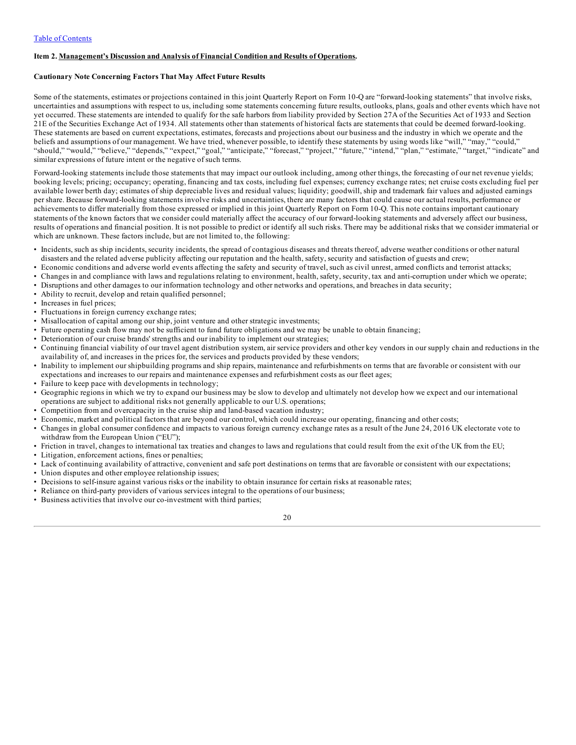# **Item 2. Management's Discussion and Analysis of Financial Condition and Results of Operations.**

# **Cautionary Note Concerning Factors That May Affect Future Results**

Some of the statements, estimates or projections contained in this joint Quarterly Report on Form 10-Q are "forward-looking statements" that involve risks, uncertainties and assumptions with respect to us, including some statements concerning future results, outlooks, plans, goals and other events which have not yet occurred. These statements are intended to qualify for the safe harbors from liability provided by Section 27A of the Securities Act of 1933 and Section 21E of the Securities Exchange Act of 1934. All statements other than statements of historical facts are statements that could be deemed forward-looking. These statements are based on current expectations, estimates, forecasts and projections about our business and the industry in which we operate and the beliefs and assumptions of our management. We have tried, whenever possible, to identify these statements by using words like "will," "may," "could," "should," "would," "believe," "depends," "expect," "goal," "anticipate," "forecast," "project," "future," "intend," "plan," "estimate," "target," "indicate" and similar expressions of future intent or the negative of such terms.

Forward-looking statements include those statements that may impact our outlook including, among other things, the forecasting of our net revenue yields; booking levels; pricing; occupancy; operating, financing and tax costs, including fuel expenses; currency exchange rates; net cruise costs excluding fuel per available lower berth day; estimates of ship depreciable lives and residual values; liquidity; goodwill, ship and trademark fair values and adjusted earnings per share. Because forward-looking statements involve risks and uncertainties, there are many factors that could cause our actual results, performance or achievements to differ materially from those expressed or implied in this joint Quarterly Report on Form 10-Q. This note contains important cautionary statements of the known factors that we consider could materially affect the accuracy of our forward-looking statements and adversely affect our business, results of operations and financial position. It is not possible to predict or identify all such risks. There may be additional risks that we consider immaterial or which are unknown. These factors include, but are not limited to, the following:

- Incidents, such as ship incidents, security incidents, the spread of contagious diseases and threats thereof, adverse weather conditions or other natural disasters and the related adverse publicity affecting our reputation and the health, safety, security and satisfaction of guests and crew;
- Economic conditions and adverse world events affecting the safety and security of travel, such as civil unrest, armed conflicts and terrorist attacks;
- Changes in and compliance with laws and regulations relating to environment, health, safety, security, tax and anti-corruption under which we operate;
- Disruptions and other damages to our information technology and other networks and operations, and breaches in data security;
- Ability to recruit, develop and retain qualified personnel;
- Increases in fuel prices;
- Fluctuations in foreign currency exchange rates;
- Misallocation of capital among our ship, joint venture and other strategic investments;
- Future operating cash flow may not be sufficient to fund future obligations and we may be unable to obtain financing;
- Deterioration of our cruise brands' strengths and our inability to implement our strategies;
- Continuing financial viability of our travel agent distribution system, air service providers and other key vendors in our supply chain and reductions in the availability of, and increases in the prices for, the services and products provided by these vendors;
- Inability to implement our shipbuilding programs and ship repairs, maintenance and refurbishments on terms that are favorable or consistent with our expectations and increases to our repairs and maintenance expenses and refurbishment costs as our fleet ages;
- Failure to keep pace with developments in technology;
- Geographic regions in which we try to expand our business may be slow to develop and ultimately not develop how we expect and our international operations are subject to additional risks not generally applicable to our U.S. operations;
- Competition from and overcapacity in the cruise ship and land-based vacation industry;
- Economic, market and political factors that are beyond our control, which could increase our operating, financing and other costs;
- Changes in global consumer confidence and impacts to various foreign currency exchange rates as a result of the June 24, 2016 UK electorate vote to withdraw from the European Union ("EU");
- Friction in travel, changes to international tax treaties and changes to laws and regulations that could result from the exit of the UK from the EU;
- Litigation, enforcement actions, fines or penalties;
- Lack of continuing availability of attractive, convenient and safe port destinations on terms that are favorable or consistent with our expectations;
- Union disputes and other employee relationship issues;
- Decisions to self-insure against various risks or the inability to obtain insurance for certain risks at reasonable rates;
- Reliance on third-party providers of various services integral to the operations of our business;
- Business activities that involve our co-investment with third parties;
- 20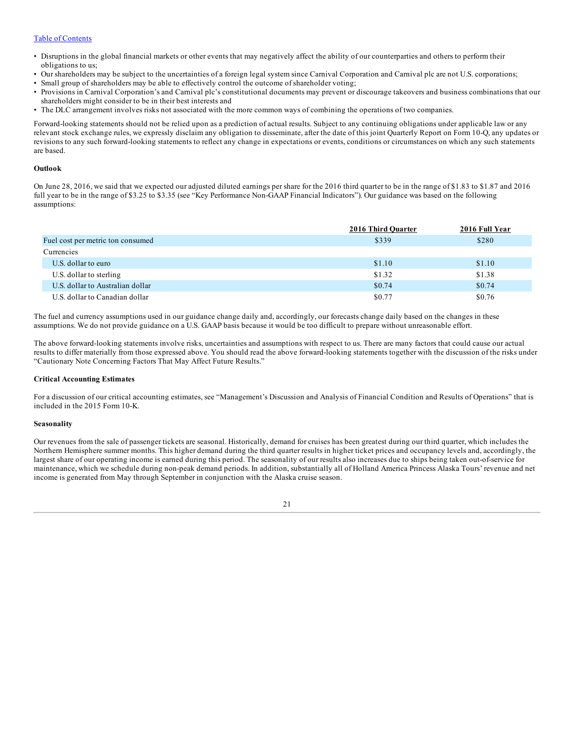- Disruptions in the global financial markets or other events that may negatively affect the ability of our counterparties and others to perform their obligations to us;
- Our shareholders may be subject to the uncertainties of a foreign legal system since Carnival Corporation and Carnival plc are not U.S. corporations;
- Small group of shareholders may be able to effectively control the outcome of shareholder voting;
- Provisions in Carnival Corporation's and Carnival plc's constitutional documents may prevent or discourage takeovers and business combinations that our shareholders might consider to be in their best interests and
- The DLC arrangement involves risks not associated with the more common ways of combining the operations of two companies.

Forward-looking statements should not be relied upon as a prediction of actual results. Subject to any continuing obligations under applicable law or any relevant stock exchange rules, we expressly disclaim any obligation to disseminate, after the date of this joint Quarterly Report on Form 10-Q, any updates or revisions to any such forward-looking statements to reflect any change in expectations or events, conditions or circumstances on which any such statements are based.

### **Outlook**

On June 28, 2016, we said that we expected our adjusted diluted earnings per share for the 2016 third quarter to be in the range of \$1.83 to \$1.87 and 2016 full year to be in the range of \$3.25 to \$3.35 (see "Key Performance Non-GAAP Financial Indicators"). Our guidance was based on the following assumptions:

|                                   | 2016 Third Quarter | 2016 Full Year |
|-----------------------------------|--------------------|----------------|
| Fuel cost per metric ton consumed | \$339              | \$280          |
| Currencies                        |                    |                |
| U.S. dollar to euro               | \$1.10             | \$1.10         |
| U.S. dollar to sterling           | \$1.32             | \$1.38         |
| U.S. dollar to Australian dollar  | \$0.74             | \$0.74         |
| U.S. dollar to Canadian dollar    | \$0.77             | \$0.76         |

The fuel and currency assumptions used in our guidance change daily and, accordingly, our forecasts change daily based on the changes in these assumptions. We do not provide guidance on a U.S. GAAP basis because it would be too difficult to prepare without unreasonable effort.

The above forward-looking statements involve risks, uncertainties and assumptions with respect to us. There are many factors that could cause our actual results to differ materially from those expressed above. You should read the above forward-looking statements together with the discussion of the risks under "Cautionary Note Concerning Factors That May Affect Future Results."

# **Critical Accounting Estimates**

For a discussion of our critical accounting estimates, see "Management's Discussion and Analysis of Financial Condition and Results of Operations" that is included in the 2015 Form 10-K.

#### **Seasonality**

Our revenues from the sale of passenger tickets are seasonal. Historically, demand for cruises has been greatest during our third quarter, which includes the Northern Hemisphere summer months. This higher demand during the third quarter results in higher ticket prices and occupancy levels and, accordingly, the largest share of our operating income is earned during this period. The seasonality of our results also increases due to ships being taken out-of-service for maintenance, which we schedule during non-peak demand periods. In addition, substantially all of Holland America Princess Alaska Tours' revenue and net income is generated from May through September in conjunction with the Alaska cruise season.

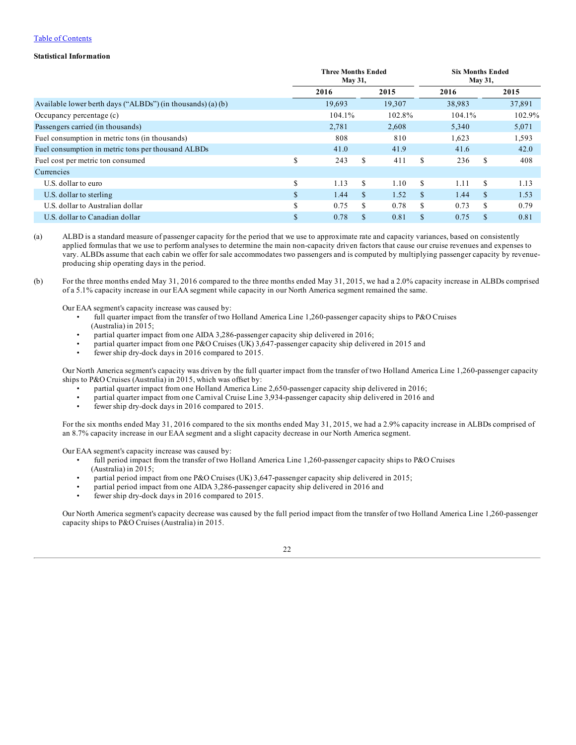# **Statistical Information**

|                                                             | <b>Three Months Ended</b><br>May 31, |              |        |     |        | <b>May 31,</b> | <b>Six Months Ended</b> |  |
|-------------------------------------------------------------|--------------------------------------|--------------|--------|-----|--------|----------------|-------------------------|--|
|                                                             | 2016                                 |              | 2015   |     | 2016   |                | 2015                    |  |
| Available lower berth days ("ALBDs") (in thousands) (a) (b) | 19,693                               |              | 19,307 |     | 38,983 |                | 37,891                  |  |
| Occupancy percentage (c)                                    | 104.1%                               |              | 102.8% |     | 104.1% |                | 102.9%                  |  |
| Passengers carried (in thousands)                           | 2.781                                |              | 2,608  |     | 5,340  |                | 5,071                   |  |
| Fuel consumption in metric tons (in thousands)              | 808                                  |              | 810    |     | 1,623  |                | 1,593                   |  |
| Fuel consumption in metric tons per thousand ALBDs          | 41.0                                 |              | 41.9   |     | 41.6   |                | 42.0                    |  |
| Fuel cost per metric ton consumed                           | \$<br>243                            | S            | 411    | \$  | 236    | S              | 408                     |  |
| Currencies                                                  |                                      |              |        |     |        |                |                         |  |
| U.S. dollar to euro                                         | \$<br>1.13                           | S            | 1.10   | \$  | 1.11   | S              | 1.13                    |  |
| U.S. dollar to sterling                                     | \$<br>1.44                           | \$           | 1.52   | \$. | 1.44   | <sup>\$</sup>  | 1.53                    |  |
| U.S. dollar to Australian dollar                            | \$<br>0.75                           | S            | 0.78   | \$. | 0.73   | S              | 0.79                    |  |
| U.S. dollar to Canadian dollar                              | \$<br>0.78                           | $\mathbb{S}$ | 0.81   | \$  | 0.75   | \$             | 0.81                    |  |

(a) ALBD is a standard measure of passenger capacity for the period that we use to approximate rate and capacity variances, based on consistently applied formulas that we use to perform analyses to determine the main non-capacity driven factors that cause our cruise revenues and expenses to vary. ALBDs assume that each cabin we offer for sale accommodates two passengers and is computed by multiplying passenger capacity by revenueproducing ship operating days in the period.

(b) For the three months ended May 31, 2016 compared to the three months ended May 31, 2015, we had a 2.0% capacity increase in ALBDs comprised of a 5.1% capacity increase in our EAA segment while capacity in our North America segment remained the same.

Our EAA segment's capacity increase was caused by:

- full quarter impact from the transfer of two Holland America Line 1,260-passenger capacity ships to P&O Cruises (Australia) in 2015;
- partial quarter impact from one AIDA 3,286-passenger capacity ship delivered in 2016;
- partial quarter impact from one P&O Cruises (UK) 3,647-passenger capacity ship delivered in 2015 and
- fewer ship dry-dock days in 2016 compared to 2015.

Our North America segment's capacity was driven by the full quarter impact from the transfer of two Holland America Line 1,260-passenger capacity ships to P&O Cruises (Australia) in 2015, which was offset by:

- partial quarter impact from one Holland America Line 2,650-passenger capacity ship delivered in 2016;
- partial quarter impact from one Carnival Cruise Line 3,934-passenger capacity ship delivered in 2016 and
- fewer ship dry-dock days in 2016 compared to 2015.

For the six months ended May 31, 2016 compared to the six months ended May 31, 2015, we had a 2.9% capacity increase in ALBDs comprised of an 8.7% capacity increase in our EAA segment and a slight capacity decrease in our North America segment.

Our EAA segment's capacity increase was caused by:

- full period impact from the transfer of two Holland America Line 1,260-passenger capacity ships to P&O Cruises (Australia) in 2015;
- partial period impact from one P&O Cruises (UK) 3,647-passenger capacity ship delivered in 2015;
- partial period impact from one AIDA 3,286-passenger capacity ship delivered in 2016 and
- fewer ship dry-dock days in 2016 compared to 2015.

Our North America segment's capacity decrease was caused by the full period impact from the transfer of two Holland America Line 1,260-passenger capacity ships to P&O Cruises (Australia) in 2015.

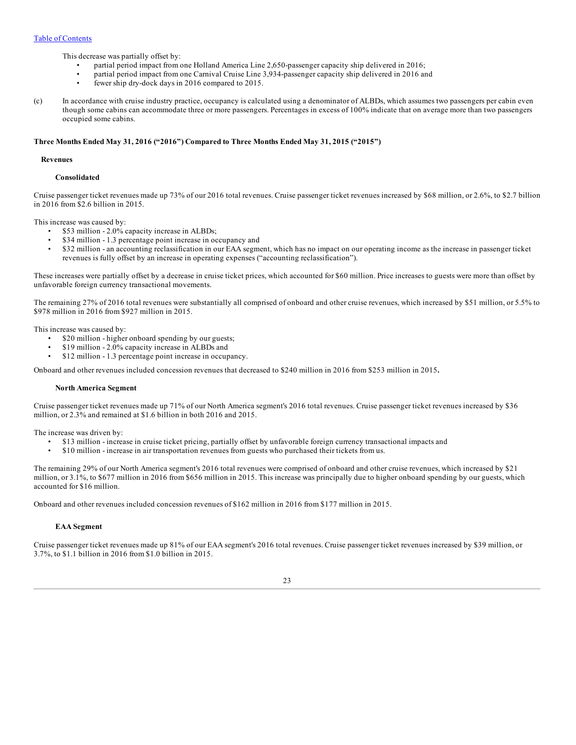This decrease was partially offset by:

- partial period impact from one Holland America Line 2,650-passenger capacity ship delivered in 2016;
- partial period impact from one Carnival Cruise Line 3,934-passenger capacity ship delivered in 2016 and
- fewer ship dry-dock days in 2016 compared to 2015.
- (c) In accordance with cruise industry practice, occupancy is calculated using a denominator of ALBDs, which assumes two passengers per cabin even though some cabins can accommodate three or more passengers. Percentages in excess of 100% indicate that on average more than two passengers occupied some cabins.

#### **Three Months Ended May 31, 2016 ("2016") Compared to Three Months Ended May 31, 2015 ("2015")**

#### **Revenues**

### **Consolidated**

Cruise passenger ticket revenues made up 73% of our 2016 total revenues. Cruise passenger ticket revenues increased by \$68 million, or 2.6%, to \$2.7 billion in 2016 from \$2.6 billion in 2015.

This increase was caused by:

- \$53 million 2.0% capacity increase in ALBDs;
- \$34 million 1.3 percentage point increase in occupancy and
- \$32 million an accounting reclassification in our EAA segment, which has no impact on our operating income as the increase in passenger ticket revenues is fully offset by an increase in operating expenses ("accounting reclassification").

These increases were partially offset by a decrease in cruise ticket prices, which accounted for \$60 million. Price increases to guests were more than offset by unfavorable foreign currency transactional movements.

The remaining 27% of 2016 total revenues were substantially all comprised of onboard and other cruise revenues, which increased by \$51 million, or 5.5% to \$978 million in 2016 from \$927 million in 2015.

This increase was caused by:

- \$20 million higher onboard spending by our guests;
- \$19 million 2.0% capacity increase in ALBDs and
- \$12 million 1.3 percentage point increase in occupancy.

Onboard and other revenues included concession revenues that decreased to \$240 million in 2016 from \$253 million in 2015**.**

#### **North America Segment**

Cruise passenger ticket revenues made up 71% of our North America segment's 2016 total revenues. Cruise passenger ticket revenues increased by \$36 million, or 2.3% and remained at \$1.6 billion in both 2016 and 2015.

The increase was driven by:

- \$13 million increase in cruise ticket pricing, partially offset by unfavorable foreign currency transactional impacts and
- \$10 million increase in air transportation revenues from guests who purchased their tickets from us.

The remaining 29% of our North America segment's 2016 total revenues were comprised of onboard and other cruise revenues, which increased by \$21 million, or 3.1%, to \$677 million in 2016 from \$656 million in 2015. This increase was principally due to higher onboard spending by our guests, which accounted for \$16 million.

Onboard and other revenues included concession revenues of \$162 million in 2016 from \$177 million in 2015.

## **EAA Segment**

Cruise passenger ticket revenues made up 81% of our EAA segment's 2016 total revenues. Cruise passenger ticket revenues increased by \$39 million, or 3.7%, to \$1.1 billion in 2016 from \$1.0 billion in 2015.

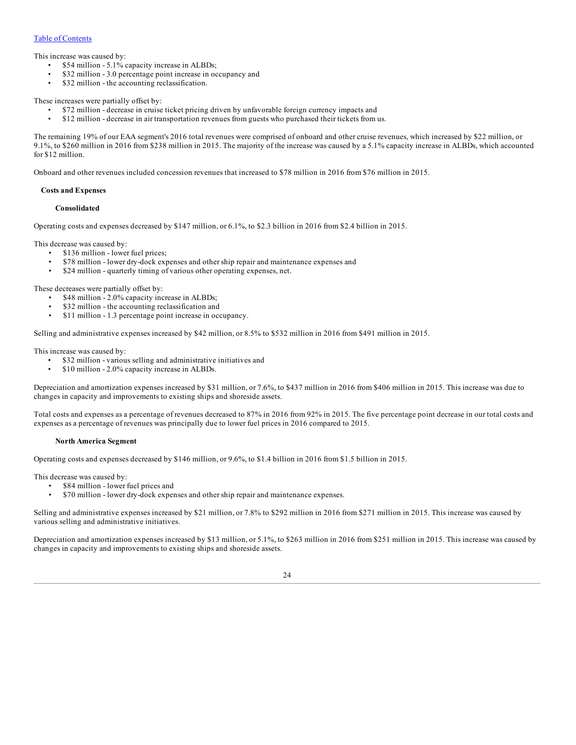This increase was caused by:

- \$54 million 5.1% capacity increase in ALBDs;
- \$32 million 3.0 percentage point increase in occupancy and
- \$32 million the accounting reclassification.

#### These increases were partially offset by:

- \$72 million decrease in cruise ticket pricing driven by unfavorable foreign currency impacts and
- \$12 million decrease in air transportation revenues from guests who purchased their tickets from us.

The remaining 19% of our EAA segment's 2016 total revenues were comprised of onboard and other cruise revenues, which increased by \$22 million, or 9.1%, to \$260 million in 2016 from \$238 million in 2015. The majority of the increase was caused by a 5.1% capacity increase in ALBDs, which accounted for \$12 million.

Onboard and other revenues included concession revenues that increased to \$78 million in 2016 from \$76 million in 2015.

# **Costs and Expenses**

#### **Consolidated**

Operating costs and expenses decreased by \$147 million, or 6.1%, to \$2.3 billion in 2016 from \$2.4 billion in 2015.

This decrease was caused by:

- \$136 million lower fuel prices;
- \$78 million lower dry-dock expenses and other ship repair and maintenance expenses and
- \$24 million quarterly timing of various other operating expenses, net.

These decreases were partially offset by:

- \$48 million 2.0% capacity increase in ALBDs;
- \$32 million the accounting reclassification and
- \$11 million 1.3 percentage point increase in occupancy.

Selling and administrative expenses increased by \$42 million, or 8.5% to \$532 million in 2016 from \$491 million in 2015.

This increase was caused by:

- \$32 million various selling and administrative initiatives and
- \$10 million 2.0% capacity increase in ALBDs.

Depreciation and amortization expenses increased by \$31 million, or 7.6%, to \$437 million in 2016 from \$406 million in 2015. This increase was due to changes in capacity and improvements to existing ships and shoreside assets.

Total costs and expenses as a percentage of revenues decreased to 87% in 2016 from 92% in 2015. The five percentage point decrease in our total costs and expenses as a percentage of revenues was principally due to lower fuel prices in 2016 compared to 2015.

#### **North America Segment**

Operating costs and expenses decreased by \$146 million, or 9.6%, to \$1.4 billion in 2016 from \$1.5 billion in 2015.

This decrease was caused by:

- \$84 million lower fuel prices and
- \$70 million lower dry-dock expenses and other ship repair and maintenance expenses.

Selling and administrative expenses increased by \$21 million, or 7.8% to \$292 million in 2016 from \$271 million in 2015. This increase was caused by various selling and administrative initiatives.

Depreciation and amortization expenses increased by \$13 million, or 5.1%, to \$263 million in 2016 from \$251 million in 2015. This increase was caused by changes in capacity and improvements to existing ships and shoreside assets.

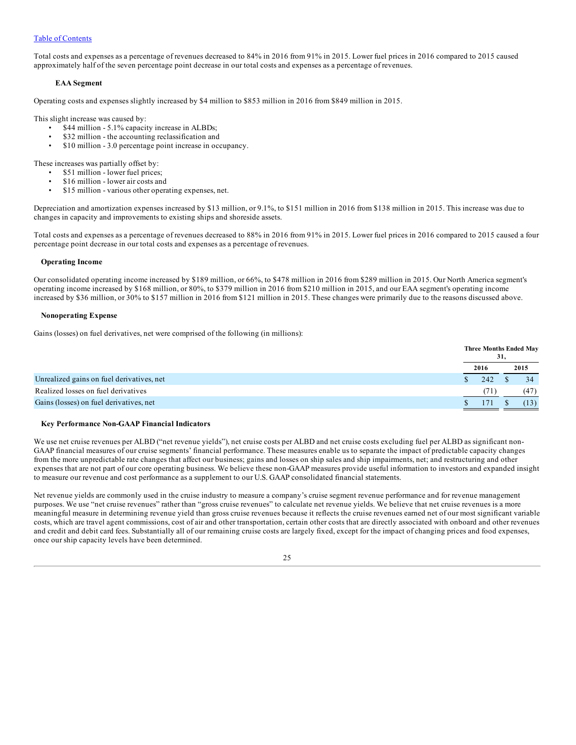Total costs and expenses as a percentage of revenues decreased to 84% in 2016 from 91% in 2015. Lower fuel prices in 2016 compared to 2015 caused approximately half of the seven percentage point decrease in our total costs and expenses as a percentage of revenues.

### **EAA Segment**

Operating costs and expenses slightly increased by \$4 million to \$853 million in 2016 from \$849 million in 2015.

This slight increase was caused by:

- \$44 million 5.1% capacity increase in ALBDs;
- \$32 million the accounting reclassification and
- \$10 million 3.0 percentage point increase in occupancy.

These increases was partially offset by:

- \$51 million lower fuel prices;
- \$16 million lower air costs and
- \$15 million various other operating expenses, net.

Depreciation and amortization expenses increased by \$13 million, or 9.1%, to \$151 million in 2016 from \$138 million in 2015. This increase was due to changes in capacity and improvements to existing ships and shoreside assets.

Total costs and expenses as a percentage of revenues decreased to 88% in 2016 from 91% in 2015. Lower fuel prices in 2016 compared to 2015 caused a four percentage point decrease in our total costs and expenses as a percentage of revenues.

# **Operating Income**

Our consolidated operating income increased by \$189 million, or 66%, to \$478 million in 2016 from \$289 million in 2015. Our North America segment's operating income increased by \$168 million, or 80%, to \$379 million in 2016 from \$210 million in 2015, and our EAA segment's operating income increased by \$36 million, or 30% to \$157 million in 2016 from \$121 million in 2015. These changes were primarily due to the reasons discussed above.

# **Nonoperating Expense**

Gains (losses) on fuel derivatives, net were comprised of the following (in millions):

|                                           |      | 31, | <b>Three Months Ended May</b> |
|-------------------------------------------|------|-----|-------------------------------|
|                                           | 2016 |     | 2015                          |
| Unrealized gains on fuel derivatives, net | 242  |     | 34                            |
| Realized losses on fuel derivatives       |      |     | (47)                          |
| Gains (losses) on fuel derivatives, net   |      |     | (13)                          |

#### **Key Performance Non-GAAP Financial Indicators**

We use net cruise revenues per ALBD ("net revenue yields"), net cruise costs per ALBD and net cruise costs excluding fuel per ALBD as significant non-GAAP financial measures of our cruise segments' financial performance. These measures enable us to separate the impact of predictable capacity changes from the more unpredictable rate changes that affect our business; gains and losses on ship sales and ship impairments, net; and restructuring and other expenses that are not part of our core operating business. We believe these non-GAAP measures provide useful information to investors and expanded insight to measure our revenue and cost performance as a supplement to our U.S. GAAP consolidated financial statements.

Net revenue yields are commonly used in the cruise industry to measure a company's cruise segment revenue performance and for revenue management purposes. We use "net cruise revenues" rather than "gross cruise revenues" to calculate net revenue yields. We believe that net cruise revenues is a more meaningful measure in determining revenue yield than gross cruise revenues because it reflects the cruise revenues earned net of our most significant variable costs, which are travel agent commissions, cost of air and other transportation, certain other costs that are directly associated with onboard and other revenues and credit and debit card fees. Substantially all of our remaining cruise costs are largely fixed, except for the impact of changing prices and food expenses, once our ship capacity levels have been determined.

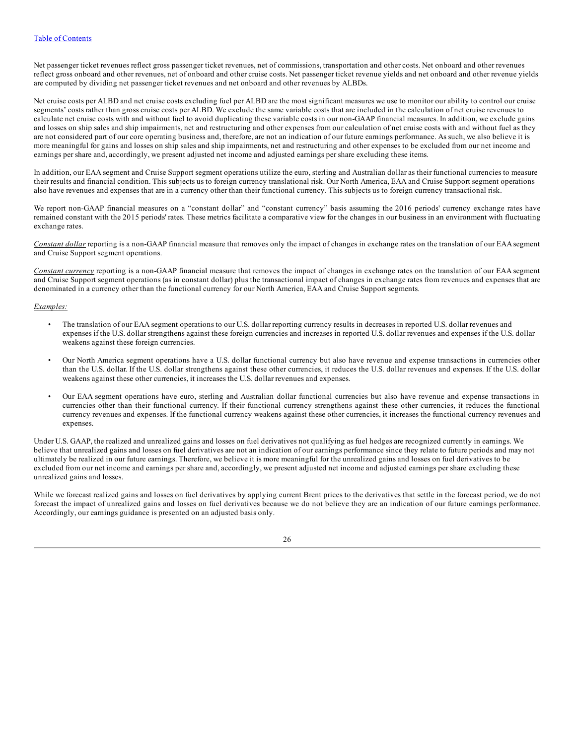Net passenger ticket revenues reflect gross passenger ticket revenues, net of commissions, transportation and other costs. Net onboard and other revenues reflect gross onboard and other revenues, net of onboard and other cruise costs. Net passenger ticket revenue yields and net onboard and other revenue yields are computed by dividing net passenger ticket revenues and net onboard and other revenues by ALBDs.

Net cruise costs per ALBD and net cruise costs excluding fuel per ALBD are the most significant measures we use to monitor our ability to control our cruise segments' costs rather than gross cruise costs per ALBD. We exclude the same variable costs that are included in the calculation of net cruise revenues to calculate net cruise costs with and without fuel to avoid duplicating these variable costs in our non-GAAP financial measures. In addition, we exclude gains and losses on ship sales and ship impairments, net and restructuring and other expenses from our calculation of net cruise costs with and without fuel as they are not considered part of our core operating business and, therefore, are not an indication of our future earnings performance. As such, we also believe it is more meaningful for gains and losses on ship sales and ship impairments, net and restructuring and other expenses to be excluded from our net income and earnings per share and, accordingly, we present adjusted net income and adjusted earnings per share excluding these items.

In addition, our EAA segment and Cruise Support segment operations utilize the euro, sterling and Australian dollar as their functional currencies to measure their results and financial condition. This subjects us to foreign currency translational risk. Our North America, EAA and Cruise Support segment operations also have revenues and expenses that are in a currency other than their functional currency. This subjects us to foreign currency transactional risk.

We report non-GAAP financial measures on a "constant dollar" and "constant currency" basis assuming the 2016 periods' currency exchange rates have remained constant with the 2015 periods' rates. These metrics facilitate a comparative view for the changes in our business in an environment with fluctuating exchange rates.

*Constant dollar* reporting is a non-GAAP financial measure that removes only the impact of changes in exchange rates on the translation of our EAAsegment and Cruise Support segment operations.

*Constant currency* reporting is a non-GAAP financial measure that removes the impact of changes in exchange rates on the translation of our EAA segment and Cruise Support segment operations (as in constant dollar) plus the transactional impact of changes in exchange rates from revenues and expenses that are denominated in a currency other than the functional currency for our North America, EAA and Cruise Support segments.

# *Examples:*

- The translation of our EAA segment operations to our U.S. dollar reporting currency results in decreases in reported U.S. dollar revenues and expenses if the U.S. dollar strengthens against these foreign currencies and increases in reported U.S. dollar revenues and expenses if the U.S. dollar weakens against these foreign currencies.
- Our North America segment operations have a U.S. dollar functional currency but also have revenue and expense transactions in currencies other than the U.S. dollar. If the U.S. dollar strengthens against these other currencies, it reduces the U.S. dollar revenues and expenses. If the U.S. dollar weakens against these other currencies, it increases the U.S. dollar revenues and expenses.
- Our EAA segment operations have euro, sterling and Australian dollar functional currencies but also have revenue and expense transactions in currencies other than their functional currency. If their functional currency strengthens against these other currencies, it reduces the functional currency revenues and expenses. If the functional currency weakens against these other currencies, it increases the functional currency revenues and expenses.

Under U.S. GAAP, the realized and unrealized gains and losses on fuel derivatives not qualifying as fuel hedges are recognized currently in earnings. We believe that unrealized gains and losses on fuel derivatives are not an indication of our earnings performance since they relate to future periods and may not ultimately be realized in our future earnings. Therefore, we believe it is more meaningful for the unrealized gains and losses on fuel derivatives to be excluded from our net income and earnings per share and, accordingly, we present adjusted net income and adjusted earnings per share excluding these unrealized gains and losses.

While we forecast realized gains and losses on fuel derivatives by applying current Brent prices to the derivatives that settle in the forecast period, we do not forecast the impact of unrealized gains and losses on fuel derivatives because we do not believe they are an indication of our future earnings performance. Accordingly, our earnings guidance is presented on an adjusted basis only.

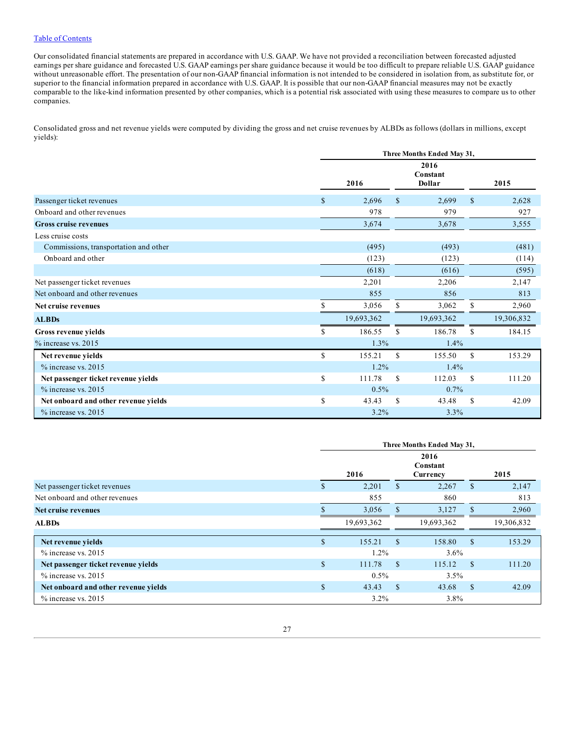Our consolidated financial statements are prepared in accordance with U.S. GAAP. We have not provided a reconciliation between forecasted adjusted earnings per share guidance and forecasted U.S. GAAP earnings per share guidance because it would be too difficult to prepare reliable U.S. GAAP guidance without unreasonable effort. The presentation of our non-GAAP financial information is not intended to be considered in isolation from, as substitute for, or superior to the financial information prepared in accordance with U.S. GAAP. It is possible that our non-GAAP financial measures may not be exactly comparable to the like-kind information presented by other companies, which is a potential risk associated with using these measures to compare us to other companies.

Consolidated gross and net revenue yields were computed by dividing the gross and net cruise revenues by ALBDs as follows (dollars in millions, except yields):

|                                       |              | Three Months Ended May 31, |              |                                   |               |            |  |  |  |  |  |
|---------------------------------------|--------------|----------------------------|--------------|-----------------------------------|---------------|------------|--|--|--|--|--|
|                                       |              | 2016                       |              | 2016<br>Constant<br><b>Dollar</b> |               | 2015       |  |  |  |  |  |
| Passenger ticket revenues             | $\mathbb{S}$ | 2,696                      | $\mathbb{S}$ | 2,699                             | $\mathbb{S}$  | 2,628      |  |  |  |  |  |
| Onboard and other revenues            |              | 978                        |              | 979                               |               | 927        |  |  |  |  |  |
| <b>Gross cruise revenues</b>          |              | 3,674                      |              | 3,678                             |               | 3,555      |  |  |  |  |  |
| Less cruise costs                     |              |                            |              |                                   |               |            |  |  |  |  |  |
| Commissions, transportation and other |              | (495)                      |              | (493)                             |               | (481)      |  |  |  |  |  |
| Onboard and other                     |              | (123)                      |              | (123)                             |               | (114)      |  |  |  |  |  |
|                                       |              | (618)                      |              | (616)                             |               | (595)      |  |  |  |  |  |
| Net passenger ticket revenues         |              | 2,201                      |              | 2,206                             |               | 2,147      |  |  |  |  |  |
| Net onboard and other revenues        |              | 855                        |              | 856                               |               | 813        |  |  |  |  |  |
| Net cruise revenues                   | S            | 3,056                      | S            | 3,062                             | S             | 2,960      |  |  |  |  |  |
| <b>ALBDs</b>                          |              | 19,693,362                 |              | 19,693,362                        |               | 19,306,832 |  |  |  |  |  |
| Gross revenue yields                  | \$           | 186.55                     | \$.          | 186.78                            | \$.           | 184.15     |  |  |  |  |  |
| $%$ increase vs. 2015                 |              | $1.3\%$                    |              | 1.4%                              |               |            |  |  |  |  |  |
| Net revenue yields                    | \$           | 155.21                     | S.           | 155.50                            | $\mathbb{S}$  | 153.29     |  |  |  |  |  |
| $%$ increase vs. 2015                 |              | $1.2\%$                    |              | 1.4%                              |               |            |  |  |  |  |  |
| Net passenger ticket revenue yields   | \$           | 111.78                     | $\mathbb{S}$ | 112.03                            | <sup>\$</sup> | 111.20     |  |  |  |  |  |
| $%$ increase vs. 2015                 |              | $0.5\%$                    |              | 0.7%                              |               |            |  |  |  |  |  |
| Net onboard and other revenue yields  | \$           | 43.43                      | \$           | 43.48                             | \$            | 42.09      |  |  |  |  |  |
| $%$ increase vs. 2015                 |              | 3.2%                       |              | 3.3%                              |               |            |  |  |  |  |  |

|                                      |              | Three Months Ended May 31, |               |                              |               |            |  |  |  |  |  |
|--------------------------------------|--------------|----------------------------|---------------|------------------------------|---------------|------------|--|--|--|--|--|
|                                      |              | 2016                       |               | 2016<br>Constant<br>Currency |               | 2015       |  |  |  |  |  |
| Net passenger ticket revenues        | \$.          | 2,201                      | <sup>\$</sup> | 2,267                        | <sup>\$</sup> | 2,147      |  |  |  |  |  |
| Net onboard and other revenues       |              | 855                        |               | 860                          |               | 813        |  |  |  |  |  |
| Net cruise revenues                  |              | 3,056                      |               | 3,127                        |               | 2,960      |  |  |  |  |  |
| <b>ALBDs</b>                         |              | 19,693,362                 |               | 19,693,362                   |               | 19,306,832 |  |  |  |  |  |
| Net revenue yields                   | $\mathbf{s}$ | 155.21                     | $\mathcal{S}$ | 158.80                       | <sup>\$</sup> | 153.29     |  |  |  |  |  |
| $%$ increase vs. 2015                |              | 1.2%                       |               | $3.6\%$                      |               |            |  |  |  |  |  |
| Net passenger ticket revenue yields  | $\mathbb{S}$ | 111.78                     | - \$          | 115.12                       | - \$          | 111.20     |  |  |  |  |  |
| $%$ increase vs. 2015                |              | $0.5\%$                    |               | 3.5%                         |               |            |  |  |  |  |  |
| Net onboard and other revenue yields | $\mathbb{S}$ | 43.43                      | -S            | 43.68                        | <sup>S</sup>  | 42.09      |  |  |  |  |  |
| $\%$ increase vs. 2015               |              | $3.2\%$                    |               | $3.8\%$                      |               |            |  |  |  |  |  |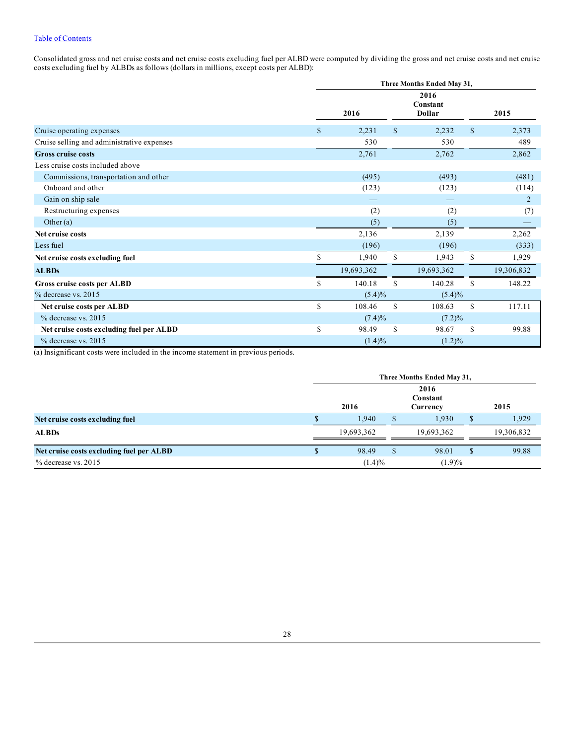Consolidated gross and net cruise costs and net cruise costs excluding fuel per ALBD were computed by dividing the gross and net cruise costs and net cruise costs excluding fuel by ALBDs as follows (dollars in millions, except costs per ALBD):

|                                            |              | Three Months Ended May 31, |                            |            |              |            |  |  |  |  |  |
|--------------------------------------------|--------------|----------------------------|----------------------------|------------|--------------|------------|--|--|--|--|--|
|                                            |              | 2016                       | 2016<br>Constant<br>Dollar | 2015       |              |            |  |  |  |  |  |
| Cruise operating expenses                  | $\mathbb{S}$ | 2,231                      | $\mathbb{S}$               | 2,232      | $\mathbb{S}$ | 2,373      |  |  |  |  |  |
| Cruise selling and administrative expenses |              | 530                        |                            | 530        |              | 489        |  |  |  |  |  |
| <b>Gross cruise costs</b>                  |              | 2,761                      |                            | 2,762      |              | 2,862      |  |  |  |  |  |
| Less cruise costs included above           |              |                            |                            |            |              |            |  |  |  |  |  |
| Commissions, transportation and other      |              | (495)                      |                            | (493)      |              | (481)      |  |  |  |  |  |
| Onboard and other                          |              | (123)                      |                            | (123)      |              | (114)      |  |  |  |  |  |
| Gain on ship sale                          |              |                            |                            |            |              | 2          |  |  |  |  |  |
| Restructuring expenses                     |              | (2)                        |                            | (2)        |              | (7)        |  |  |  |  |  |
| Other $(a)$                                |              | (5)                        |                            | (5)        |              |            |  |  |  |  |  |
| Net cruise costs                           |              | 2,136                      |                            | 2,139      |              | 2,262      |  |  |  |  |  |
| Less fuel                                  |              | (196)                      |                            | (196)      |              | (333)      |  |  |  |  |  |
| Net cruise costs excluding fuel            | \$           | 1,940                      | \$                         | 1,943      | \$.          | 1,929      |  |  |  |  |  |
| <b>ALBDs</b>                               |              | 19,693,362                 |                            | 19,693,362 |              | 19,306,832 |  |  |  |  |  |
| Gross cruise costs per ALBD                | \$           | 140.18                     | $\mathbb{S}$               | 140.28     | \$.          | 148.22     |  |  |  |  |  |
| $%$ decrease vs. 2015                      |              | $(5.4)\%$                  |                            | $(5.4)\%$  |              |            |  |  |  |  |  |
| Net cruise costs per ALBD                  | \$           | 108.46                     | \$                         | 108.63     | $\mathbb{S}$ | 117.11     |  |  |  |  |  |
| $%$ decrease vs. 2015                      |              | $(7.4)\%$                  |                            | $(7.2)\%$  |              |            |  |  |  |  |  |
| Net cruise costs excluding fuel per ALBD   | \$           | 98.49                      | \$                         | 98.67      | \$           | 99.88      |  |  |  |  |  |
| $%$ decrease vs. 2015                      |              | $(1.4)\%$                  |                            | $(1.2)\%$  |              |            |  |  |  |  |  |

(a) Insignificant costs were included in the income statement in previous periods.

|                                          | Three Months Ended May 31, |            |      |        |  |       |  |            |  |            |  |
|------------------------------------------|----------------------------|------------|------|--------|--|-------|--|------------|--|------------|--|
|                                          |                            |            | 2015 |        |  |       |  |            |  |            |  |
| Net cruise costs excluding fuel          |                            | 1.940      | \$.  | 1.930  |  | 1,929 |  |            |  |            |  |
| <b>ALBDs</b>                             |                            | 19,693,362 |      |        |  |       |  | 19,693,362 |  | 19,306,832 |  |
| Net cruise costs excluding fuel per ALBD | ъ                          | 98.49      | S    | 98.01  |  | 99.88 |  |            |  |            |  |
| $%$ decrease vs. 2015                    |                            | $(1.4)\%$  |      | (1.9)% |  |       |  |            |  |            |  |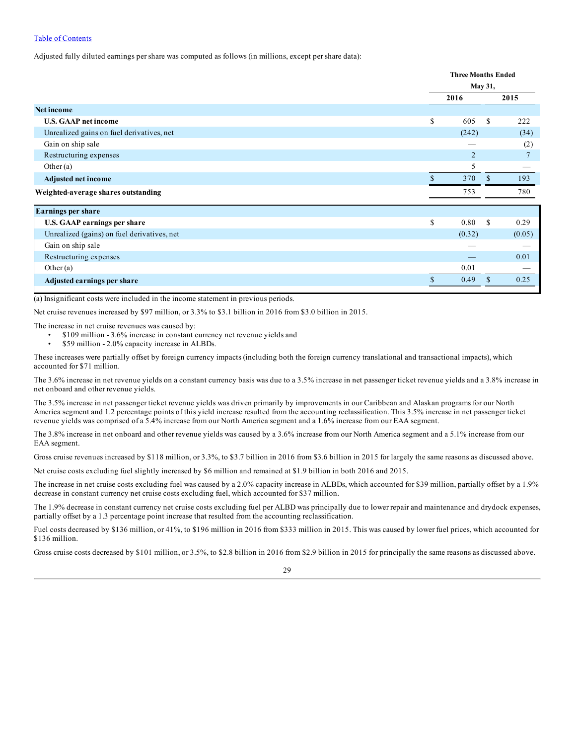Adjusted fully diluted earnings per share was computed as follows (in millions, except per share data):

|                                             | <b>Three Months Ended</b><br><b>May 31,</b> |                |               |        |  |
|---------------------------------------------|---------------------------------------------|----------------|---------------|--------|--|
|                                             |                                             |                |               |        |  |
|                                             |                                             | 2016           |               | 2015   |  |
| Net income                                  |                                             |                |               |        |  |
| <b>U.S. GAAP net income</b>                 | \$                                          | 605            | S             | 222    |  |
| Unrealized gains on fuel derivatives, net   |                                             | (242)          |               | (34)   |  |
| Gain on ship sale                           |                                             |                |               | (2)    |  |
| Restructuring expenses                      |                                             | $\overline{2}$ |               | 7      |  |
| Other $(a)$                                 |                                             | 5              |               |        |  |
| <b>Adjusted net income</b>                  |                                             | 370            | <sup>\$</sup> | 193    |  |
| Weighted-average shares outstanding         |                                             | 753            |               | 780    |  |
| <b>Earnings per share</b>                   |                                             |                |               |        |  |
| U.S. GAAP earnings per share                | \$                                          | 0.80           | <sup>\$</sup> | 0.29   |  |
| Unrealized (gains) on fuel derivatives, net |                                             | (0.32)         |               | (0.05) |  |
| Gain on ship sale                           |                                             |                |               |        |  |
| Restructuring expenses                      |                                             |                |               | 0.01   |  |
| Other $(a)$                                 |                                             | 0.01           |               |        |  |
| Adjusted earnings per share                 |                                             | 0.49           | \$            | 0.25   |  |

(a) Insignificant costs were included in the income statement in previous periods.

Net cruise revenues increased by \$97 million, or 3.3% to \$3.1 billion in 2016 from \$3.0 billion in 2015.

The increase in net cruise revenues was caused by:

• \$109 million - 3.6% increase in constant currency net revenue yields and

• \$59 million - 2.0% capacity increase in ALBDs.

These increases were partially offset by foreign currency impacts (including both the foreign currency translational and transactional impacts), which accounted for \$71 million.

The 3.6% increase in net revenue yields on a constant currency basis was due to a 3.5% increase in net passenger ticket revenue yields and a 3.8% increase in net onboard and other revenue yields.

The 3.5% increase in net passenger ticket revenue yields was driven primarily by improvements in our Caribbean and Alaskan programs for our North America segment and 1.2 percentage points of this yield increase resulted from the accounting reclassification. This 3.5% increase in net passenger ticket revenue yields was comprised of a 5.4% increase from our North America segment and a 1.6% increase from our EAA segment.

The 3.8% increase in net onboard and other revenue yields was caused by a 3.6% increase from our North America segment and a 5.1% increase from our EAA segment.

Gross cruise revenues increased by \$118 million, or 3.3%, to \$3.7 billion in 2016 from \$3.6 billion in 2015 for largely the same reasons as discussed above.

Net cruise costs excluding fuel slightly increased by \$6 million and remained at \$1.9 billion in both 2016 and 2015.

The increase in net cruise costs excluding fuel was caused by a 2.0% capacity increase in ALBDs, which accounted for \$39 million, partially offset by a 1.9% decrease in constant currency net cruise costs excluding fuel, which accounted for \$37 million.

The 1.9% decrease in constant currency net cruise costs excluding fuel per ALBD was principally due to lower repair and maintenance and drydock expenses, partially offset by a 1.3 percentage point increase that resulted from the accounting reclassification.

Fuel costs decreased by \$136 million, or 41%, to \$196 million in 2016 from \$333 million in 2015. This was caused by lower fuel prices, which accounted for \$136 million.

Gross cruise costs decreased by \$101 million, or 3.5%, to \$2.8 billion in 2016 from \$2.9 billion in 2015 for principally the same reasons as discussed above.

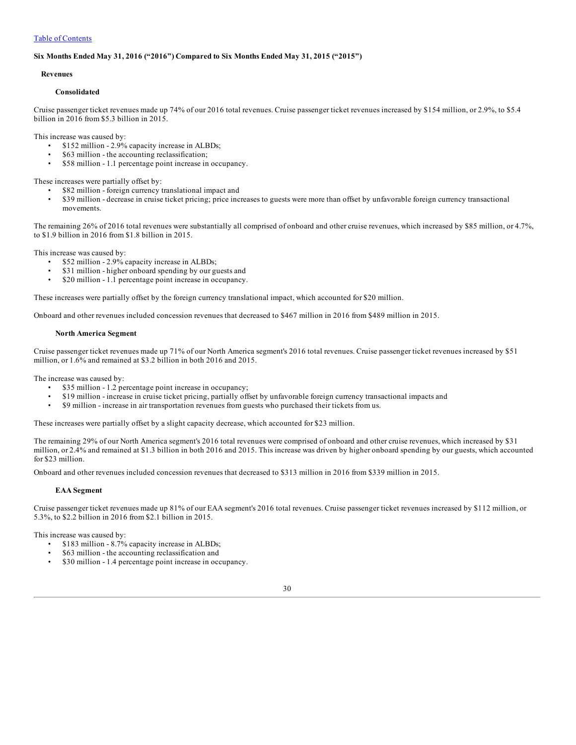### **Six Months Ended May 31, 2016 ("2016") Compared to Six Months Ended May 31, 2015 ("2015")**

#### **Revenues**

#### **Consolidated**

Cruise passenger ticket revenues made up 74% of our 2016 total revenues. Cruise passenger ticket revenues increased by \$154 million, or 2.9%, to \$5.4 billion in 2016 from \$5.3 billion in 2015.

This increase was caused by:

- \$152 million 2.9% capacity increase in ALBDs;
- \$63 million the accounting reclassification;
- \$58 million 1.1 percentage point increase in occupancy.

These increases were partially offset by:

- \$82 million foreign currency translational impact and
- \$39 million decrease in cruise ticket pricing; price increases to guests were more than offset by unfavorable foreign currency transactional movements.

The remaining 26% of 2016 total revenues were substantially all comprised of onboard and other cruise revenues, which increased by \$85 million, or 4.7%, to \$1.9 billion in 2016 from \$1.8 billion in 2015.

This increase was caused by:

- \$52 million 2.9% capacity increase in ALBDs;
- \$31 million higher onboard spending by our guests and
- \$20 million 1.1 percentage point increase in occupancy.

These increases were partially offset by the foreign currency translational impact, which accounted for \$20 million.

Onboard and other revenues included concession revenues that decreased to \$467 million in 2016 from \$489 million in 2015.

#### **North America Segment**

Cruise passenger ticket revenues made up 71% of our North America segment's 2016 total revenues. Cruise passenger ticket revenues increased by \$51 million, or 1.6% and remained at \$3.2 billion in both 2016 and 2015.

The increase was caused by:

- \$35 million 1.2 percentage point increase in occupancy;
- \$19 million increase in cruise ticket pricing, partially offset by unfavorable foreign currency transactional impacts and
- \$9 million increase in air transportation revenues from guests who purchased their tickets from us.

These increases were partially offset by a slight capacity decrease, which accounted for \$23 million.

The remaining 29% of our North America segment's 2016 total revenues were comprised of onboard and other cruise revenues, which increased by \$31 million, or 2.4% and remained at \$1.3 billion in both 2016 and 2015. This increase was driven by higher onboard spending by our guests, which accounted for \$23 million.

Onboard and other revenues included concession revenues that decreased to \$313 million in 2016 from \$339 million in 2015.

#### **EAA Segment**

Cruise passenger ticket revenues made up 81% of our EAA segment's 2016 total revenues. Cruise passenger ticket revenues increased by \$112 million, or 5.3%, to \$2.2 billion in 2016 from \$2.1 billion in 2015.

This increase was caused by:

- \$183 million 8.7% capacity increase in ALBDs;
- \$63 million the accounting reclassification and
- \$30 million 1.4 percentage point increase in occupancy.

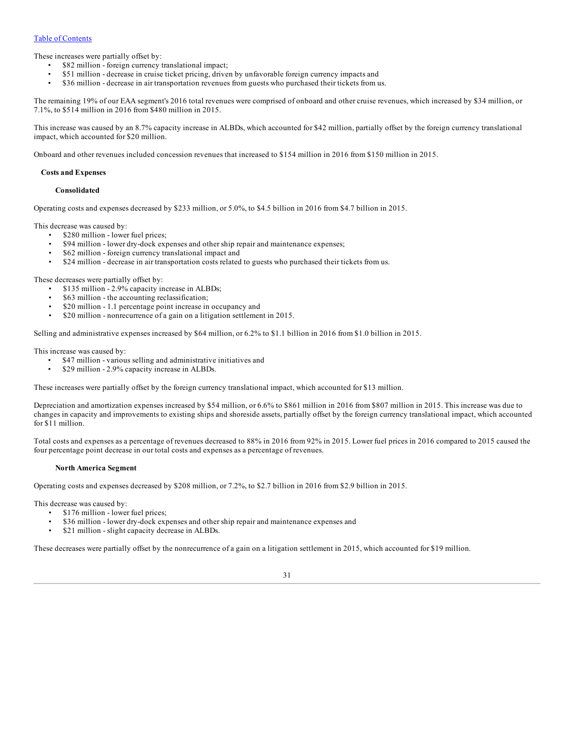These increases were partially offset by:

- \$82 million foreign currency translational impact;
- \$51 million decrease in cruise ticket pricing, driven by unfavorable foreign currency impacts and
- \$36 million decrease in air transportation revenues from guests who purchased their tickets from us.

The remaining 19% of our EAA segment's 2016 total revenues were comprised of onboard and other cruise revenues, which increased by \$34 million, or 7.1%, to \$514 million in 2016 from \$480 million in 2015.

This increase was caused by an 8.7% capacity increase in ALBDs, which accounted for \$42 million, partially offset by the foreign currency translational impact, which accounted for \$20 million.

Onboard and other revenues included concession revenues that increased to \$154 million in 2016 from \$150 million in 2015.

### **Costs and Expenses**

#### **Consolidated**

Operating costs and expenses decreased by \$233 million, or 5.0%, to \$4.5 billion in 2016 from \$4.7 billion in 2015.

This decrease was caused by:

- \$280 million lower fuel prices;
- \$94 million lower dry-dock expenses and other ship repair and maintenance expenses;
- \$62 million foreign currency translational impact and
- \$24 million decrease in air transportation costs related to guests who purchased their tickets from us.

These decreases were partially offset by:

- \$135 million 2.9% capacity increase in ALBDs;
- \$63 million the accounting reclassification;
- \$20 million 1.1 percentage point increase in occupancy and
- \$20 million nonrecurrence of a gain on a litigation settlement in 2015.

Selling and administrative expenses increased by \$64 million, or 6.2% to \$1.1 billion in 2016 from \$1.0 billion in 2015.

This increase was caused by:

- \$47 million various selling and administrative initiatives and
- \$29 million 2.9% capacity increase in ALBDs.

These increases were partially offset by the foreign currency translational impact, which accounted for \$13 million.

Depreciation and amortization expenses increased by \$54 million, or 6.6% to \$861 million in 2016 from \$807 million in 2015. This increase was due to changes in capacity and improvements to existing ships and shoreside assets, partially offset by the foreign currency translational impact, which accounted for \$11 million.

Total costs and expenses as a percentage of revenues decreased to 88% in 2016 from 92% in 2015. Lower fuel prices in 2016 compared to 2015 caused the four percentage point decrease in our total costs and expenses as a percentage of revenues.

#### **North America Segment**

Operating costs and expenses decreased by \$208 million, or 7.2%, to \$2.7 billion in 2016 from \$2.9 billion in 2015.

This decrease was caused by:

- \$176 million lower fuel prices;
- \$36 million lower dry-dock expenses and other ship repair and maintenance expenses and
- \$21 million slight capacity decrease in ALBDs.

These decreases were partially offset by the nonrecurrence of a gain on a litigation settlement in 2015, which accounted for \$19 million.

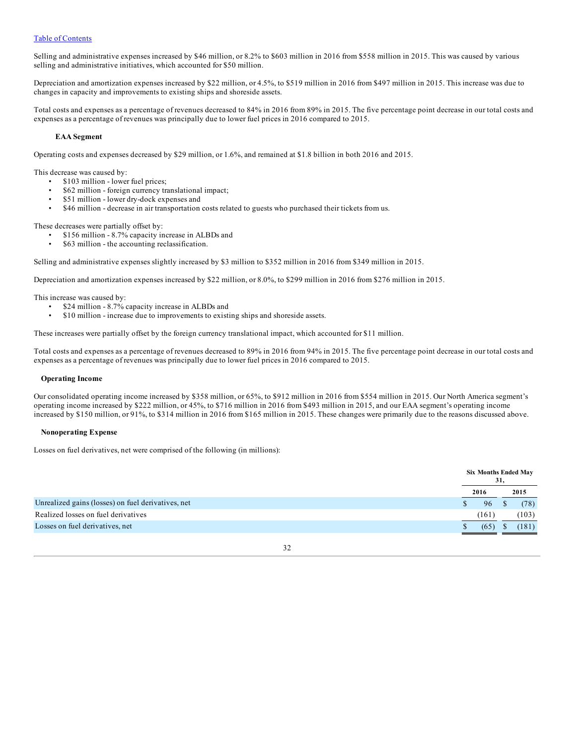Selling and administrative expenses increased by \$46 million, or 8.2% to \$603 million in 2016 from \$558 million in 2015. This was caused by various selling and administrative initiatives, which accounted for \$50 million.

Depreciation and amortization expenses increased by \$22 million, or 4.5%, to \$519 million in 2016 from \$497 million in 2015. This increase was due to changes in capacity and improvements to existing ships and shoreside assets.

Total costs and expenses as a percentage of revenues decreased to 84% in 2016 from 89% in 2015. The five percentage point decrease in our total costs and expenses as a percentage of revenues was principally due to lower fuel prices in 2016 compared to 2015.

#### **EAA Segment**

Operating costs and expenses decreased by \$29 million, or 1.6%, and remained at \$1.8 billion in both 2016 and 2015.

This decrease was caused by:

- \$103 million lower fuel prices;
- \$62 million foreign currency translational impact;
- \$51 million lower dry-dock expenses and
- \$46 million decrease in air transportation costs related to guests who purchased their tickets from us.

These decreases were partially offset by:

- \$156 million 8.7% capacity increase in ALBDs and
- \$63 million the accounting reclassification.

Selling and administrative expenses slightly increased by \$3 million to \$352 million in 2016 from \$349 million in 2015.

Depreciation and amortization expenses increased by \$22 million, or 8.0%, to \$299 million in 2016 from \$276 million in 2015.

This increase was caused by:

- \$24 million 8.7% capacity increase in ALBDs and
- \$10 million increase due to improvements to existing ships and shoreside assets.

These increases were partially offset by the foreign currency translational impact, which accounted for \$11 million.

Total costs and expenses as a percentage of revenues decreased to 89% in 2016 from 94% in 2015. The five percentage point decrease in our total costs and expenses as a percentage of revenues was principally due to lower fuel prices in 2016 compared to 2015.

# **Operating Income**

Our consolidated operating income increased by \$358 million, or 65%, to \$912 million in 2016 from \$554 million in 2015. Our North America segment's operating income increased by \$222 million, or 45%, to \$716 million in 2016 from \$493 million in 2015, and our EAA segment's operating income increased by \$150 million, or 91%, to \$314 million in 2016 from \$165 million in 2015. These changes were primarily due to the reasons discussed above.

#### **Nonoperating Expense**

Losses on fuel derivatives, net were comprised of the following (in millions):

|                                                    |       | 31, | <b>Six Months Ended May</b> |  |  |  |
|----------------------------------------------------|-------|-----|-----------------------------|--|--|--|
|                                                    | 2016  |     | 2015                        |  |  |  |
| Unrealized gains (losses) on fuel derivatives, net | 96    |     | (78)                        |  |  |  |
| Realized losses on fuel derivatives                | (161) |     | (103)                       |  |  |  |
| Losses on fuel derivatives, net                    | (65)  |     | (181)                       |  |  |  |
|                                                    |       |     |                             |  |  |  |

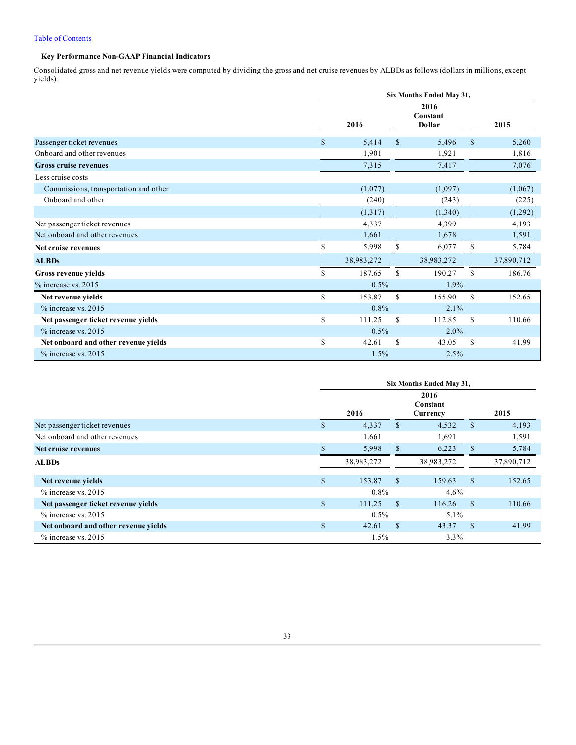# **Key Performance Non-GAAP Financial Indicators**

Consolidated gross and net revenue yields were computed by dividing the gross and net cruise revenues by ALBDs as follows (dollars in millions, except yields):

|                                       |               | Six Months Ended May 31, |                                   |            |               |            |  |  |  |  |
|---------------------------------------|---------------|--------------------------|-----------------------------------|------------|---------------|------------|--|--|--|--|
|                                       |               | 2016                     | 2016<br>Constant<br><b>Dollar</b> |            |               | 2015       |  |  |  |  |
| Passenger ticket revenues             | $\mathcal{S}$ | 5,414                    | $\mathbf{s}$                      | 5,496      | $\mathbb{S}$  | 5,260      |  |  |  |  |
| Onboard and other revenues            |               | 1,901                    |                                   | 1,921      |               | 1,816      |  |  |  |  |
| <b>Gross cruise revenues</b>          |               | 7,315                    |                                   | 7,417      |               | 7,076      |  |  |  |  |
| Less cruise costs                     |               |                          |                                   |            |               |            |  |  |  |  |
| Commissions, transportation and other |               | (1,077)                  |                                   | (1,097)    |               | (1,067)    |  |  |  |  |
| Onboard and other                     |               | (240)                    |                                   | (243)      |               | (225)      |  |  |  |  |
|                                       |               | (1,317)                  |                                   | (1,340)    |               | (1,292)    |  |  |  |  |
| Net passenger ticket revenues         |               | 4,337                    |                                   | 4,399      |               | 4,193      |  |  |  |  |
| Net onboard and other revenues        |               | 1,661                    |                                   | 1,678      |               | 1,591      |  |  |  |  |
| Net cruise revenues                   | <b>S</b>      | 5,998                    | \$                                | 6,077      | S             | 5,784      |  |  |  |  |
| <b>ALBDs</b>                          |               | 38,983,272               |                                   | 38,983,272 |               | 37,890,712 |  |  |  |  |
| Gross revenue yields                  | \$            | 187.65                   | S.                                | 190.27     | <sup>\$</sup> | 186.76     |  |  |  |  |
| $%$ increase vs. 2015                 |               | 0.5%                     |                                   | 1.9%       |               |            |  |  |  |  |
| Net revenue yields                    | $\mathbf S$   | 153.87                   | S.                                | 155.90     | $\mathbb{S}$  | 152.65     |  |  |  |  |
| $%$ increase vs. 2015                 |               | $0.8\%$                  |                                   | 2.1%       |               |            |  |  |  |  |
| Net passenger ticket revenue yields   | \$            | 111.25                   | S.                                | 112.85     | \$            | 110.66     |  |  |  |  |
| $%$ increase vs. 2015                 |               | $0.5\%$                  |                                   | $2.0\%$    |               |            |  |  |  |  |
| Net onboard and other revenue yields  | \$.           | 42.61                    | \$.                               | 43.05      | \$.           | 41.99      |  |  |  |  |
| $%$ increase vs. 2015                 |               | 1.5%                     |                                   | 2.5%       |               |            |  |  |  |  |

|                                      |              | Six Months Ended May 31, |                              |            |               |            |  |  |  |
|--------------------------------------|--------------|--------------------------|------------------------------|------------|---------------|------------|--|--|--|
|                                      |              | 2016                     | 2016<br>Constant<br>Currency |            | 2015          |            |  |  |  |
| Net passenger ticket revenues        | $\mathbb{S}$ | 4,337                    | <sup>\$</sup>                | 4,532      | <sup>\$</sup> | 4,193      |  |  |  |
| Net onboard and other revenues       |              | 1,661                    |                              | 1,691      |               | 1,591      |  |  |  |
| Net cruise revenues                  |              | 5,998                    | \$.                          | 6,223      |               | 5,784      |  |  |  |
| <b>ALBDs</b>                         |              | 38,983,272               |                              | 38,983,272 |               | 37,890,712 |  |  |  |
| Net revenue yields                   | $\mathbb{S}$ | 153.87                   | $\mathcal{S}$                | 159.63     | <sup>\$</sup> | 152.65     |  |  |  |
| $%$ increase vs. 2015                |              | $0.8\%$                  |                              | 4.6%       |               |            |  |  |  |
| Net passenger ticket revenue yields  | $\mathbb{S}$ | 111.25                   | <sup>\$</sup>                | 116.26     | <sup>\$</sup> | 110.66     |  |  |  |
| $\%$ increase vs. 2015               |              | $0.5\%$                  |                              | $5.1\%$    |               |            |  |  |  |
| Net onboard and other revenue yields | $\mathbb{S}$ | 42.61                    | <sup>\$</sup>                | 43.37      | <sup>\$</sup> | 41.99      |  |  |  |
| $\%$ increase vs. 2015               |              | $1.5\%$                  |                              | $3.3\%$    |               |            |  |  |  |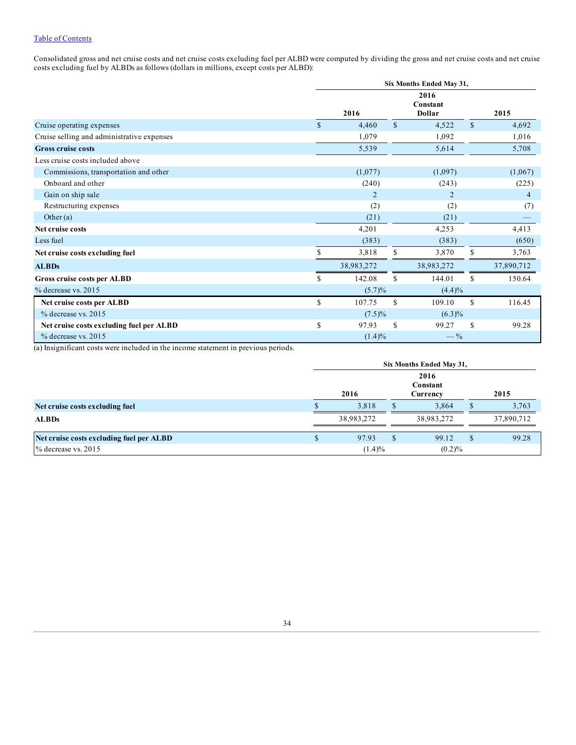Consolidated gross and net cruise costs and net cruise costs excluding fuel per ALBD were computed by dividing the gross and net cruise costs and net cruise costs excluding fuel by ALBDs as follows (dollars in millions, except costs per ALBD):

|                                            |              | Six Months Ended May 31, |              |                                   |               |            |  |  |  |  |
|--------------------------------------------|--------------|--------------------------|--------------|-----------------------------------|---------------|------------|--|--|--|--|
|                                            |              | 2016                     |              | 2016<br>Constant<br><b>Dollar</b> |               | 2015       |  |  |  |  |
| Cruise operating expenses                  | $\mathbb{S}$ | 4,460                    | $\mathbb{S}$ | 4,522                             | $\mathcal{S}$ | 4,692      |  |  |  |  |
| Cruise selling and administrative expenses |              | 1,079                    |              | 1,092                             |               | 1,016      |  |  |  |  |
| <b>Gross cruise costs</b>                  |              | 5,539                    |              | 5,614                             |               | 5,708      |  |  |  |  |
| Less cruise costs included above           |              |                          |              |                                   |               |            |  |  |  |  |
| Commissions, transportation and other      |              | (1,077)                  |              | (1,097)                           |               | (1,067)    |  |  |  |  |
| Onboard and other                          |              | (240)                    |              | (243)                             |               | (225)      |  |  |  |  |
| Gain on ship sale                          |              | $\overline{2}$           |              | $\overline{2}$                    |               | 4          |  |  |  |  |
| Restructuring expenses                     |              | (2)                      |              | (2)                               |               | (7)        |  |  |  |  |
| Other $(a)$                                |              | (21)                     |              | (21)                              |               |            |  |  |  |  |
| Net cruise costs                           |              | 4,201                    |              | 4,253                             |               | 4,413      |  |  |  |  |
| Less fuel                                  |              | (383)                    |              | (383)                             |               | (650)      |  |  |  |  |
| Net cruise costs excluding fuel            |              | 3,818                    | \$           | 3,870                             | S             | 3,763      |  |  |  |  |
| <b>ALBDs</b>                               |              | 38,983,272               |              | 38,983,272                        |               | 37,890,712 |  |  |  |  |
| Gross cruise costs per ALBD                | \$           | 142.08                   | \$           | 144.01                            | \$.           | 150.64     |  |  |  |  |
| $%$ decrease vs. 2015                      |              | (5.7)%                   |              | (4.4)%                            |               |            |  |  |  |  |
| Net cruise costs per ALBD                  | \$           | 107.75                   | \$           | 109.10                            | $\mathbb{S}$  | 116.45     |  |  |  |  |
| % decrease vs. 2015                        |              | $(7.5)\%$                |              | $(6.3)\%$                         |               |            |  |  |  |  |
| Net cruise costs excluding fuel per ALBD   | \$           | 97.93                    | \$           | 99.27                             | $\mathbb{S}$  | 99.28      |  |  |  |  |
| $%$ decrease vs. 2015                      |              | $(1.4)\%$                |              | $-$ %                             |               |            |  |  |  |  |

(a) Insignificant costs were included in the income statement in previous periods.

|                                          | Six Months Ended May 31,             |            |              |            |            |       |  |  |  |
|------------------------------------------|--------------------------------------|------------|--------------|------------|------------|-------|--|--|--|
|                                          | 2016<br>Constant<br>2016<br>Currency |            |              |            |            | 2015  |  |  |  |
| Net cruise costs excluding fuel          |                                      | 3,818      |              | 3.864      |            | 3,763 |  |  |  |
| <b>ALBDs</b>                             |                                      | 38,983,272 |              | 38,983,272 | 37,890,712 |       |  |  |  |
| Net cruise costs excluding fuel per ALBD |                                      | 97.93      | <sup>S</sup> | 99.12      |            | 99.28 |  |  |  |
| $\%$ decrease vs. 2015                   | $(1.4)\%$                            |            |              | (0.2)%     |            |       |  |  |  |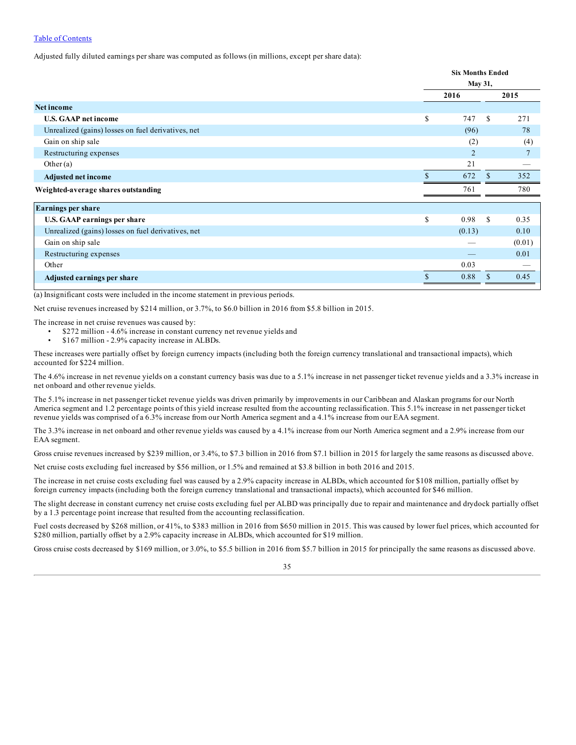Adjusted fully diluted earnings per share was computed as follows (in millions, except per share data):

|                                                    | <b>Six Months Ended</b><br>May 31, |                |    |        |  |
|----------------------------------------------------|------------------------------------|----------------|----|--------|--|
|                                                    |                                    |                |    |        |  |
|                                                    |                                    | 2016           |    | 2015   |  |
| Net income                                         |                                    |                |    |        |  |
| <b>U.S. GAAP net income</b>                        | \$                                 | 747            | \$ | 271    |  |
| Unrealized (gains) losses on fuel derivatives, net |                                    | (96)           |    | 78     |  |
| Gain on ship sale                                  |                                    | (2)            |    | (4)    |  |
| Restructuring expenses                             |                                    | $\overline{2}$ |    |        |  |
| Other $(a)$                                        |                                    | 21             |    |        |  |
| <b>Adjusted net income</b>                         | $\mathcal{S}$                      | 672            | \$ | 352    |  |
| Weighted-average shares outstanding                |                                    | 761            |    | 780    |  |
| <b>Earnings per share</b>                          |                                    |                |    |        |  |
| U.S. GAAP earnings per share                       | \$                                 | 0.98           | S  | 0.35   |  |
| Unrealized (gains) losses on fuel derivatives, net |                                    | (0.13)         |    | 0.10   |  |
| Gain on ship sale                                  |                                    |                |    | (0.01) |  |
| Restructuring expenses                             |                                    |                |    | 0.01   |  |
| Other                                              |                                    | 0.03           |    |        |  |
| Adjusted earnings per share                        |                                    | 0.88           |    | 0.45   |  |

(a) Insignificant costs were included in the income statement in previous periods.

Net cruise revenues increased by \$214 million, or 3.7%, to \$6.0 billion in 2016 from \$5.8 billion in 2015.

- The increase in net cruise revenues was caused by:
	- $$272$  million 4.6% increase in constant currency net revenue yields and<br>•  $$167$  million 2.9% canacity increase in ALBDs
	- \$167 million 2.9% capacity increase in ALBDs.

These increases were partially offset by foreign currency impacts (including both the foreign currency translational and transactional impacts), which accounted for \$224 million.

The 4.6% increase in net revenue yields on a constant currency basis was due to a 5.1% increase in net passenger ticket revenue yields and a 3.3% increase in net onboard and other revenue yields.

The 5.1% increase in net passenger ticket revenue yields was driven primarily by improvements in our Caribbean and Alaskan programs for our North America segment and 1.2 percentage points of this yield increase resulted from the accounting reclassification. This 5.1% increase in net passenger ticket revenue yields was comprised of a 6.3% increase from our North America segment and a 4.1% increase from our EAA segment.

The 3.3% increase in net onboard and other revenue yields was caused by a 4.1% increase from our North America segment and a 2.9% increase from our EAA segment.

Gross cruise revenues increased by \$239 million, or 3.4%, to \$7.3 billion in 2016 from \$7.1 billion in 2015 for largely the same reasons as discussed above.

Net cruise costs excluding fuel increased by \$56 million, or 1.5% and remained at \$3.8 billion in both 2016 and 2015.

The increase in net cruise costs excluding fuel was caused by a 2.9% capacity increase in ALBDs, which accounted for \$108 million, partially offset by foreign currency impacts (including both the foreign currency translational and transactional impacts), which accounted for \$46 million.

The slight decrease in constant currency net cruise costs excluding fuel per ALBD was principally due to repair and maintenance and drydock partially offset by a 1.3 percentage point increase that resulted from the accounting reclassification.

Fuel costs decreased by \$268 million, or 41%, to \$383 million in 2016 from \$650 million in 2015. This was caused by lower fuel prices, which accounted for \$280 million, partially offset by a 2.9% capacity increase in ALBDs, which accounted for \$19 million.

Gross cruise costs decreased by \$169 million, or 3.0%, to \$5.5 billion in 2016 from \$5.7 billion in 2015 for principally the same reasons as discussed above.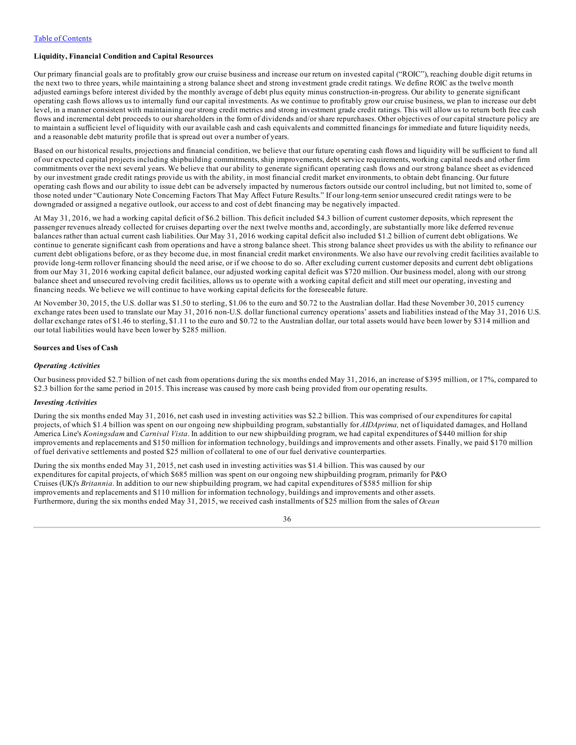# **Liquidity, Financial Condition and Capital Resources**

Our primary financial goals are to profitably grow our cruise business and increase our return on invested capital ("ROIC"), reaching double digit returns in the next two to three years, while maintaining a strong balance sheet and strong investment grade credit ratings. We define ROIC as the twelve month adjusted earnings before interest divided by the monthly average of debt plus equity minus construction-in-progress. Our ability to generate significant operating cash flows allows us to internally fund our capital investments. As we continue to profitably grow our cruise business, we plan to increase our debt level, in a manner consistent with maintaining our strong credit metrics and strong investment grade credit ratings. This will allow us to return both free cash flows and incremental debt proceeds to our shareholders in the form of dividends and/or share repurchases. Other objectives of our capital structure policy are to maintain a sufficient level of liquidity with our available cash and cash equivalents and committed financings for immediate and future liquidity needs, and a reasonable debt maturity profile that is spread out over a number of years.

Based on our historical results, projections and financial condition, we believe that our future operating cash flows and liquidity will be sufficient to fund all of our expected capital projects including shipbuilding commitments, ship improvements, debt service requirements, working capital needs and other firm commitments over the next several years. We believe that our ability to generate significant operating cash flows and our strong balance sheet as evidenced by our investment grade credit ratings provide us with the ability, in most financial credit market environments, to obtain debt financing. Our future operating cash flows and our ability to issue debt can be adversely impacted by numerous factors outside our control including, but not limited to, some of those noted under "Cautionary Note Concerning Factors That May Affect Future Results." If our long-term senior unsecured credit ratings were to be downgraded or assigned a negative outlook, our access to and cost of debt financing may be negatively impacted.

At May 31, 2016, we had a working capital deficit of \$6.2 billion. This deficit included \$4.3 billion of current customer deposits, which represent the passenger revenues already collected for cruises departing over the next twelve months and, accordingly, are substantially more like deferred revenue balances rather than actual current cash liabilities. Our May 31, 2016 working capital deficit also included \$1.2 billion of current debt obligations. We continue to generate significant cash from operations and have a strong balance sheet. This strong balance sheet provides us with the ability to refinance our current debt obligations before, or as they become due, in most financial credit market environments. We also have our revolving credit facilities available to provide long-term rollover financing should the need arise, or if we choose to do so. After excluding current customer deposits and current debt obligations from our May 31, 2016 working capital deficit balance, our adjusted working capital deficit was \$720 million. Our business model, along with our strong balance sheet and unsecured revolving credit facilities, allows us to operate with a working capital deficit and still meet our operating, investing and financing needs. We believe we will continue to have working capital deficits for the foreseeable future.

At November 30, 2015, the U.S. dollar was \$1.50 to sterling, \$1.06 to the euro and \$0.72 to the Australian dollar. Had these November 30, 2015 currency exchange rates been used to translate our May 31, 2016 non-U.S. dollar functional currency operations' assets and liabilities instead of the May 31, 2016 U.S. dollar exchange rates of \$1.46 to sterling, \$1.11 to the euro and \$0.72 to the Australian dollar, our total assets would have been lower by \$314 million and our total liabilities would have been lower by \$285 million.

#### **Sources and Uses of Cash**

# *Operating Activities*

Our business provided \$2.7 billion of net cash from operations during the six months ended May 31, 2016, an increase of \$395 million, or 17%, compared to \$2.3 billion for the same period in 2015. This increase was caused by more cash being provided from our operating results.

# *Investing Activities*

During the six months ended May 31, 2016, net cash used in investing activities was \$2.2 billion. This was comprised of our expenditures for capital projects, of which \$1.4 billion was spent on our ongoing new shipbuilding program, substantially for *AIDAprima,* net of liquidated damages, and Holland America Line's *Koningsdam* and *Carnival Vista*. In addition to our new shipbuilding program, we had capital expenditures of \$440 million for ship improvements and replacements and \$150 million for information technology, buildings and improvements and other assets. Finally, we paid \$170 million of fuel derivative settlements and posted \$25 million of collateral to one of our fuel derivative counterparties.

During the six months ended May 31, 2015, net cash used in investing activities was \$1.4 billion. This was caused by our expenditures for capital projects, of which \$685 million was spent on our ongoing new shipbuilding program, primarily for P&O Cruises (UK)'s *Britannia*. In addition to our new shipbuilding program, we had capital expenditures of \$585 million for ship improvements and replacements and \$110 million for information technology, buildings and improvements and other assets. Furthermore, during the six months ended May 31, 2015, we received cash installments of \$25 million from the sales of *Ocean*

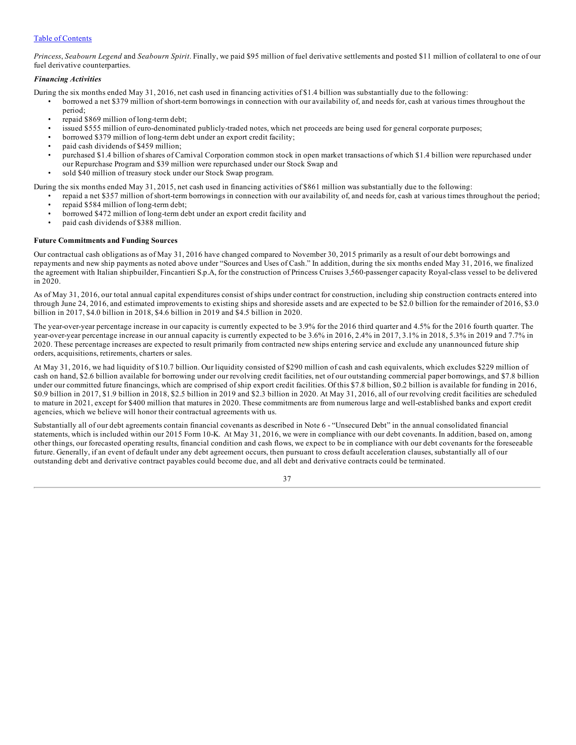# Table of [Contents](#page-1-0)

*Princess*, *Seabourn Legend* and *Seabourn Spirit*. Finally, we paid \$95 million of fuel derivative settlements and posted \$11 million of collateral to one of our fuel derivative counterparties.

# *Financing Activities*

During the six months ended May 31, 2016, net cash used in financing activities of \$1.4 billion was substantially due to the following:

- borrowed a net \$379 million of short-term borrowings in connection with our availability of, and needs for, cash at various times throughout the period;
	- repaid \$869 million of long-term debt;
	- issued \$555 million of euro-denominated publicly-traded notes, which net proceeds are being used for general corporate purposes;
	- borrowed \$379 million of long-term debt under an export credit facility;
	- paid cash dividends of \$459 million;
	- purchased \$1.4 billion of shares of Carnival Corporation common stock in open market transactions of which \$1.4 billion were repurchased under our Repurchase Program and \$39 million were repurchased under our Stock Swap and
	- sold \$40 million of treasury stock under our Stock Swap program.

During the six months ended May 31, 2015, net cash used in financing activities of \$861 million was substantially due to the following:

• repaid a net \$357 million of short-term borrowings in connection with our availability of, and needs for, cash at various times throughout the period; • repaid \$584 million of long-term debt;

- borrowed \$472 million of long-term debt under an export credit facility and
- paid cash dividends of \$388 million.

# **Future Commitments and Funding Sources**

Our contractual cash obligations as of May 31, 2016 have changed compared to November 30, 2015 primarily as a result of our debt borrowings and repayments and new ship payments as noted above under "Sources and Uses of Cash." In addition, during the six months ended May 31, 2016, we finalized the agreement with Italian shipbuilder, Fincantieri S.p.A, for the construction of Princess Cruises 3,560-passenger capacity Royal-class vessel to be delivered in 2020.

As of May 31, 2016, our total annual capital expenditures consist of ships under contract for construction, including ship construction contracts entered into through June 24, 2016, and estimated improvements to existing ships and shoreside assets and are expected to be \$2.0 billion for the remainder of 2016, \$3.0 billion in 2017, \$4.0 billion in 2018, \$4.6 billion in 2019 and \$4.5 billion in 2020.

The year-over-year percentage increase in our capacity is currently expected to be 3.9% for the 2016 third quarter and 4.5% for the 2016 fourth quarter. The year-over-year percentage increase in our annual capacity is currently expected to be 3.6% in 2016, 2.4% in 2017, 3.1% in 2018, 5.3% in 2019 and 7.7% in 2020. These percentage increases are expected to result primarily from contracted new ships entering service and exclude any unannounced future ship orders, acquisitions, retirements, charters or sales.

At May 31, 2016, we had liquidity of \$10.7 billion. Our liquidity consisted of \$290 million of cash and cash equivalents, which excludes \$229 million of cash on hand, \$2.6 billion available for borrowing under our revolving credit facilities, net of our outstanding commercial paper borrowings, and \$7.8 billion under our committed future financings, which are comprised of ship export credit facilities. Of this \$7.8 billion, \$0.2 billion is available for funding in 2016, \$0.9 billion in 2017, \$1.9 billion in 2018, \$2.5 billion in 2019 and \$2.3 billion in 2020. At May 31, 2016, all of our revolving credit facilities are scheduled to mature in 2021, except for \$400 million that matures in 2020. These commitments are from numerous large and well-established banks and export credit agencies, which we believe will honor their contractual agreements with us.

Substantially all of our debt agreements contain financial covenants as described in Note 6 - "Unsecured Debt" in the annual consolidated financial statements, which is included within our 2015 Form 10-K. At May 31, 2016, we were in compliance with our debt covenants. In addition, based on, among other things, our forecasted operating results, financial condition and cash flows, we expect to be in compliance with our debt covenants for the foreseeable future. Generally, if an event of default under any debt agreement occurs, then pursuant to cross default acceleration clauses, substantially all of our outstanding debt and derivative contract payables could become due, and all debt and derivative contracts could be terminated.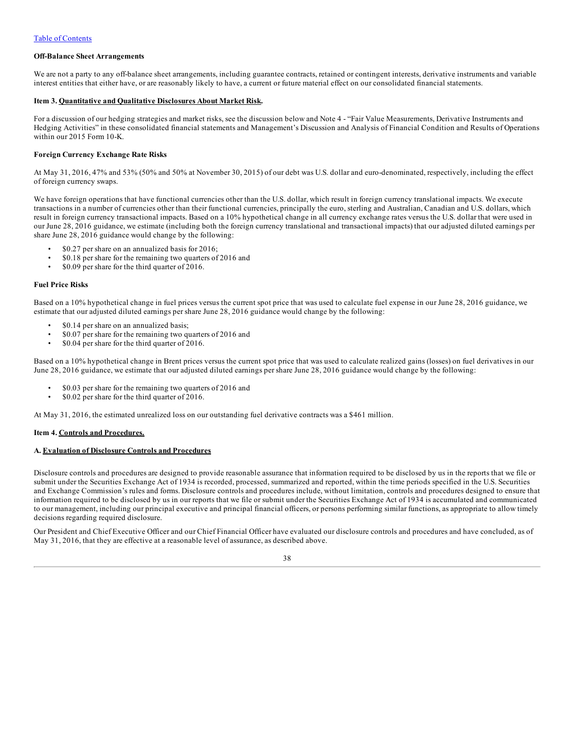#### <span id="page-37-0"></span>**Off-Balance Sheet Arrangements**

We are not a party to any off-balance sheet arrangements, including guarantee contracts, retained or contingent interests, derivative instruments and variable interest entities that either have, or are reasonably likely to have, a current or future material effect on our consolidated financial statements.

#### **Item 3. Quantitative and Qualitative Disclosures About Market Risk.**

For a discussion of our hedging strategies and market risks, see the discussion below and Note 4 - "Fair Value Measurements, Derivative Instruments and Hedging Activities" in these consolidated financial statements and Management's Discussion and Analysis of Financial Condition and Results of Operations within our 2015 Form 10-K.

#### **Foreign Currency Exchange Rate Risks**

At May 31, 2016, 47% and 53% (50% and 50% at November 30, 2015) of our debt was U.S. dollar and euro-denominated, respectively, including the effect of foreign currency swaps.

We have foreign operations that have functional currencies other than the U.S. dollar, which result in foreign currency translational impacts. We execute transactions in a number of currencies other than their functional currencies, principally the euro, sterling and Australian, Canadian and U.S. dollars, which result in foreign currency transactional impacts. Based on a 10% hypothetical change in all currency exchange rates versus the U.S. dollar that were used in our June 28, 2016 guidance, we estimate (including both the foreign currency translational and transactional impacts) that our adjusted diluted earnings per share June 28, 2016 guidance would change by the following:

- \$0.27 per share on an annualized basis for 2016;
- \$0.18 per share for the remaining two quarters of 2016 and
- \$0.09 per share for the third quarter of 2016.

#### **Fuel Price Risks**

Based on a 10% hypothetical change in fuel prices versus the current spot price that was used to calculate fuel expense in our June 28, 2016 guidance, we estimate that our adjusted diluted earnings per share June 28, 2016 guidance would change by the following:

- \$0.14 per share on an annualized basis;
- \$0.07 per share for the remaining two quarters of 2016 and
- \$0.04 per share for the third quarter of 2016.

Based on a 10% hypothetical change in Brent prices versus the current spot price that was used to calculate realized gains (losses) on fuel derivatives in our June 28, 2016 guidance, we estimate that our adjusted diluted earnings per share June 28, 2016 guidance would change by the following:

- \$0.03 per share for the remaining two quarters of 2016 and
- \$0.02 per share for the third quarter of 2016.

At May 31, 2016, the estimated unrealized loss on our outstanding fuel derivative contracts was a \$461 million.

## **Item 4. Controls and Procedures.**

## **A. Evaluation of Disclosure Controls and Procedures**

Disclosure controls and procedures are designed to provide reasonable assurance that information required to be disclosed by us in the reports that we file or submit under the Securities Exchange Act of 1934 is recorded, processed, summarized and reported, within the time periods specified in the U.S. Securities and Exchange Commission's rules and forms. Disclosure controls and procedures include, without limitation, controls and procedures designed to ensure that information required to be disclosed by us in our reports that we file or submit under the Securities Exchange Act of 1934 is accumulated and communicated to our management, including our principal executive and principal financial officers, or persons performing similar functions, as appropriate to allow timely decisions regarding required disclosure.

Our President and Chief Executive Officer and our Chief Financial Officer have evaluated our disclosure controls and procedures and have concluded, as of May 31, 2016, that they are effective at a reasonable level of assurance, as described above.

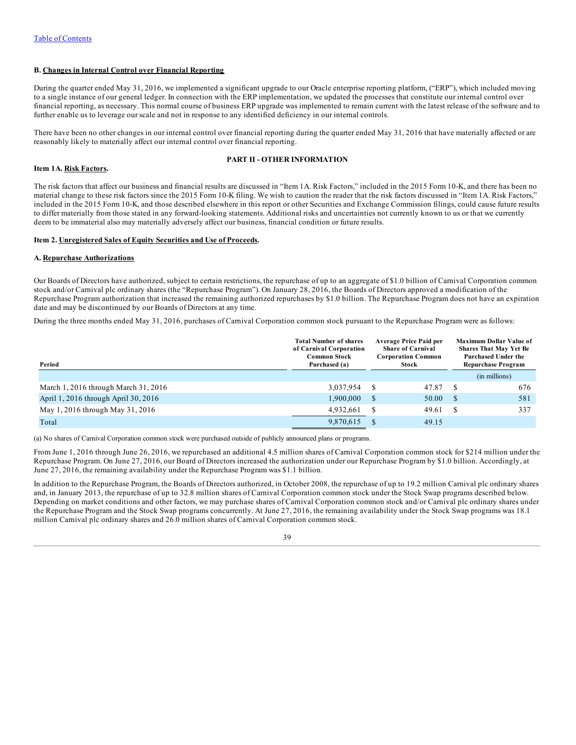## <span id="page-38-0"></span>**B. Changes in Internal Control over Financial Reporting**

During the quarter ended May 31, 2016, we implemented a significant upgrade to our Oracle enterprise reporting platform, ("ERP"), which included moving to a single instance of our general ledger. In connection with the ERP implementation, we updated the processes that constitute our internal control over financial reporting, as necessary. This normal course of business ERP upgrade was implemented to remain current with the latest release of the software and to further enable us to leverage our scale and not in response to any identified deficiency in our internal controls.

There have been no other changes in our internal control over financial reporting during the quarter ended May 31, 2016 that have materially affected or are reasonably likely to materially affect our internal control over financial reporting.

## **PART II - OTHER INFORMATION**

#### **Item 1A. Risk Factors.**

The risk factors that affect our business and financial results are discussed in "Item 1A. Risk Factors," included in the 2015 Form 10-K, and there has been no material change to these risk factors since the 2015 Form 10-K filing. We wish to caution the reader that the risk factors discussed in "Item 1A. Risk Factors," included in the 2015 Form 10-K, and those described elsewhere in this report or other Securities and Exchange Commission filings, could cause future results to differ materially from those stated in any forward-looking statements. Additional risks and uncertainties not currently known to us or that we currently deem to be immaterial also may materially adversely affect our business, financial condition or future results.

#### **Item 2. Unregistered Sales of Equity Securities and Use of Proceeds.**

#### **A. Repurchase Authorizations**

Our Boards of Directors have authorized, subject to certain restrictions, the repurchase of up to an aggregate of \$1.0 billion of Carnival Corporation common stock and/or Carnival plc ordinary shares (the "Repurchase Program"). On January 28, 2016, the Boards of Directors approved a modification of the Repurchase Program authorization that increased the remaining authorized repurchases by \$1.0 billion. The Repurchase Program does not have an expiration date and may be discontinued by our Boards of Directors at any time.

During the three months ended May 31, 2016, purchases of Carnival Corporation common stock pursuant to the Repurchase Program were as follows:

| Period                               | <b>Total Number of shares</b><br>of Carnival Corporation<br><b>Common Stock</b><br>Purchased (a) |   | Average Price Paid per<br><b>Share of Carnival</b><br><b>Corporation Common</b><br><b>Stock</b> | <b>Maximum Dollar Value of</b><br><b>Shares That May Yet Be</b><br><b>Purchased Under the</b><br>Repurchase Program |
|--------------------------------------|--------------------------------------------------------------------------------------------------|---|-------------------------------------------------------------------------------------------------|---------------------------------------------------------------------------------------------------------------------|
|                                      |                                                                                                  |   |                                                                                                 | (in millions)                                                                                                       |
| March 1, 2016 through March 31, 2016 | 3,037,954                                                                                        |   | 47.87                                                                                           | 676                                                                                                                 |
| April 1, 2016 through April 30, 2016 | 1,900,000                                                                                        | S | 50.00                                                                                           | 581                                                                                                                 |
| May 1, 2016 through May 31, 2016     | 4,932,661                                                                                        |   | 49.61                                                                                           | 337                                                                                                                 |
| Total                                | 9,870,615                                                                                        |   | 49.15                                                                                           |                                                                                                                     |

(a) No shares of Carnival Corporation common stock were purchased outside of publicly announced plans or programs.

From June 1, 2016 through June 26, 2016, we repurchased an additional 4.5 million shares of Carnival Corporation common stock for \$214 million under the Repurchase Program. On June 27, 2016, our Board of Directors increased the authorization under our Repurchase Program by \$1.0 billion. Accordingly, at June 27, 2016, the remaining availability under the Repurchase Program was \$1.1 billion.

In addition to the Repurchase Program, the Boards of Directors authorized, in October 2008, the repurchase of up to 19.2 million Carnival plc ordinary shares and, in January 2013, the repurchase of up to 32.8 million shares of Carnival Corporation common stock under the Stock Swap programs described below. Depending on market conditions and other factors, we may purchase shares of Carnival Corporation common stock and/or Carnival plc ordinary shares under the Repurchase Program and the Stock Swap programs concurrently. At June 27, 2016, the remaining availability under the Stock Swap programs was 18.1 million Carnival plc ordinary shares and 26.0 million shares of Carnival Corporation common stock.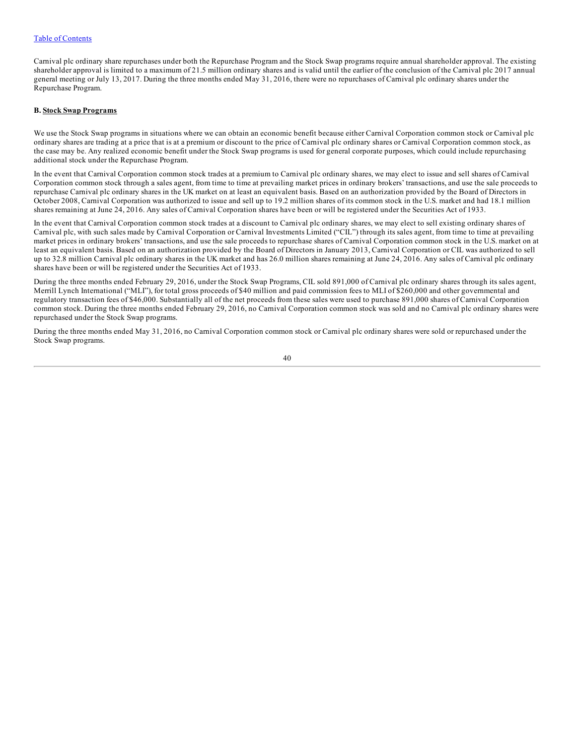<span id="page-39-0"></span>Carnival plc ordinary share repurchases under both the Repurchase Program and the Stock Swap programs require annual shareholder approval. The existing shareholder approval is limited to a maximum of 21.5 million ordinary shares and is valid until the earlier of the conclusion of the Carnival plc 2017 annual general meeting or July 13, 2017. During the three months ended May 31, 2016, there were no repurchases of Carnival plc ordinary shares under the Repurchase Program.

## **B. Stock Swap Programs**

We use the Stock Swap programs in situations where we can obtain an economic benefit because either Carnival Corporation common stock or Carnival plc ordinary shares are trading at a price that is at a premium or discount to the price of Carnival plc ordinary shares or Carnival Corporation common stock, as the case may be. Any realized economic benefit under the Stock Swap programs is used for general corporate purposes, which could include repurchasing additional stock under the Repurchase Program.

In the event that Carnival Corporation common stock trades at a premium to Carnival plc ordinary shares, we may elect to issue and sell shares of Carnival Corporation common stock through a sales agent, from time to time at prevailing market prices in ordinary brokers' transactions, and use the sale proceeds to repurchase Carnival plc ordinary shares in the UK market on at least an equivalent basis. Based on an authorization provided by the Board of Directors in October 2008, Carnival Corporation was authorized to issue and sell up to 19.2 million shares of its common stock in the U.S. market and had 18.1 million shares remaining at June 24, 2016. Any sales of Carnival Corporation shares have been or will be registered under the Securities Act of 1933.

In the event that Carnival Corporation common stock trades at a discount to Carnival plc ordinary shares, we may elect to sell existing ordinary shares of Carnival plc, with such sales made by Carnival Corporation or Carnival Investments Limited ("CIL") through its sales agent, from time to time at prevailing market prices in ordinary brokers' transactions, and use the sale proceeds to repurchase shares of Carnival Corporation common stock in the U.S. market on at least an equivalent basis. Based on an authorization provided by the Board of Directors in January 2013, Carnival Corporation or CIL was authorized to sell up to 32.8 million Carnival plc ordinary shares in the UK market and has 26.0 million shares remaining at June 24, 2016. Any sales of Carnival plc ordinary shares have been or will be registered under the Securities Act of 1933.

During the three months ended February 29, 2016, under the Stock Swap Programs, CIL sold 891,000 of Carnival plc ordinary shares through its sales agent, Merrill Lynch International ("MLI"), for total gross proceeds of \$40 million and paid commission fees to MLI of \$260,000 and other governmental and regulatory transaction fees of \$46,000. Substantially all of the net proceeds from these sales were used to purchase 891,000 shares of Carnival Corporation common stock. During the three months ended February 29, 2016, no Carnival Corporation common stock was sold and no Carnival plc ordinary shares were repurchased under the Stock Swap programs.

During the three months ended May 31, 2016, no Carnival Corporation common stock or Carnival plc ordinary shares were sold or repurchased under the Stock Swap programs.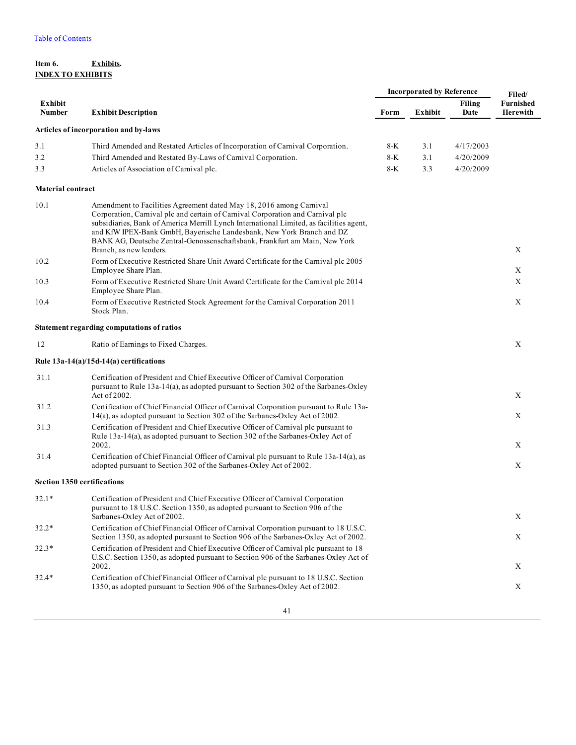# **Item 6. Exhibits. INDEX TO EXHIBITS**

|                                    |                                                                                                                                                                                                                                                                                                                                                                                                                                    |       | <b>Incorporated by Reference</b> |                | Filed/                              |
|------------------------------------|------------------------------------------------------------------------------------------------------------------------------------------------------------------------------------------------------------------------------------------------------------------------------------------------------------------------------------------------------------------------------------------------------------------------------------|-------|----------------------------------|----------------|-------------------------------------|
| <b>Exhibit</b><br><b>Number</b>    | <b>Exhibit Description</b>                                                                                                                                                                                                                                                                                                                                                                                                         | Form  | Exhibit                          | Filing<br>Date | <b>Furnished</b><br><b>Herewith</b> |
|                                    | Articles of incorporation and by-laws                                                                                                                                                                                                                                                                                                                                                                                              |       |                                  |                |                                     |
| 3.1                                | Third Amended and Restated Articles of Incorporation of Carnival Corporation.                                                                                                                                                                                                                                                                                                                                                      | 8-K   | 3.1                              | 4/17/2003      |                                     |
| 3.2                                | Third Amended and Restated By-Laws of Carnival Corporation.                                                                                                                                                                                                                                                                                                                                                                        | $8-K$ | 3.1                              | 4/20/2009      |                                     |
| 3.3                                | Articles of Association of Carnival plc.                                                                                                                                                                                                                                                                                                                                                                                           | $8-K$ | 3.3                              | 4/20/2009      |                                     |
| <b>Material contract</b>           |                                                                                                                                                                                                                                                                                                                                                                                                                                    |       |                                  |                |                                     |
| 10.1                               | Amendment to Facilities Agreement dated May 18, 2016 among Carnival<br>Corporation, Carnival plc and certain of Carnival Corporation and Carnival plc<br>subsidiaries, Bank of America Merrill Lynch International Limited, as facilities agent,<br>and KfW IPEX-Bank GmbH, Bayerische Landesbank, New York Branch and DZ<br>BANK AG, Deutsche Zentral-Genossenschaftsbank, Frankfurt am Main, New York<br>Branch, as new lenders. |       |                                  |                | X                                   |
| 10.2                               | Form of Executive Restricted Share Unit Award Certificate for the Carnival plc 2005<br>Employee Share Plan.                                                                                                                                                                                                                                                                                                                        |       |                                  |                | X                                   |
| 10.3                               | Form of Executive Restricted Share Unit Award Certificate for the Carnival plc 2014<br>Employee Share Plan.                                                                                                                                                                                                                                                                                                                        |       |                                  |                | X                                   |
| 10.4                               | Form of Executive Restricted Stock Agreement for the Carnival Corporation 2011<br>Stock Plan.                                                                                                                                                                                                                                                                                                                                      |       |                                  |                | X                                   |
|                                    | Statement regarding computations of ratios                                                                                                                                                                                                                                                                                                                                                                                         |       |                                  |                |                                     |
| 12                                 | Ratio of Earnings to Fixed Charges.                                                                                                                                                                                                                                                                                                                                                                                                |       |                                  |                | X                                   |
|                                    | Rule $13a-14(a)/15d-14(a)$ certifications                                                                                                                                                                                                                                                                                                                                                                                          |       |                                  |                |                                     |
| 31.1                               | Certification of President and Chief Executive Officer of Carnival Corporation<br>pursuant to Rule 13a-14(a), as adopted pursuant to Section 302 of the Sarbanes-Oxley<br>Act of 2002.                                                                                                                                                                                                                                             |       |                                  |                | $\boldsymbol{\mathrm{X}}$           |
| 31.2                               | Certification of Chief Financial Officer of Carnival Corporation pursuant to Rule 13a-<br>14(a), as adopted pursuant to Section 302 of the Sarbanes-Oxley Act of 2002.                                                                                                                                                                                                                                                             |       |                                  |                | X                                   |
| 31.3                               | Certification of President and Chief Executive Officer of Carnival plc pursuant to<br>Rule 13a-14(a), as adopted pursuant to Section 302 of the Sarbanes-Oxley Act of<br>2002.                                                                                                                                                                                                                                                     |       |                                  |                | X                                   |
| 31.4                               | Certification of Chief Financial Officer of Carnival plc pursuant to Rule 13a-14(a), as<br>adopted pursuant to Section 302 of the Sarbanes-Oxley Act of 2002.                                                                                                                                                                                                                                                                      |       |                                  |                | $\mathbf X$                         |
| <b>Section 1350 certifications</b> |                                                                                                                                                                                                                                                                                                                                                                                                                                    |       |                                  |                |                                     |
| $32.1*$                            | Certification of President and Chief Executive Officer of Carnival Corporation<br>pursuant to 18 U.S.C. Section 1350, as adopted pursuant to Section 906 of the<br>Sarbanes-Oxley Act of 2002.                                                                                                                                                                                                                                     |       |                                  |                | X                                   |
| $32.2*$                            | Certification of Chief Financial Officer of Carnival Corporation pursuant to 18 U.S.C.<br>Section 1350, as adopted pursuant to Section 906 of the Sarbanes-Oxley Act of 2002.                                                                                                                                                                                                                                                      |       |                                  |                | X                                   |
| $32.3*$                            | Certification of President and Chief Executive Officer of Carnival plc pursuant to 18<br>U.S.C. Section 1350, as adopted pursuant to Section 906 of the Sarbanes-Oxley Act of<br>2002.                                                                                                                                                                                                                                             |       |                                  |                | X                                   |
| $32.4*$                            | Certification of Chief Financial Officer of Carnival plc pursuant to 18 U.S.C. Section<br>1350, as adopted pursuant to Section 906 of the Sarbanes-Oxley Act of 2002.                                                                                                                                                                                                                                                              |       |                                  |                | X                                   |
|                                    |                                                                                                                                                                                                                                                                                                                                                                                                                                    |       |                                  |                |                                     |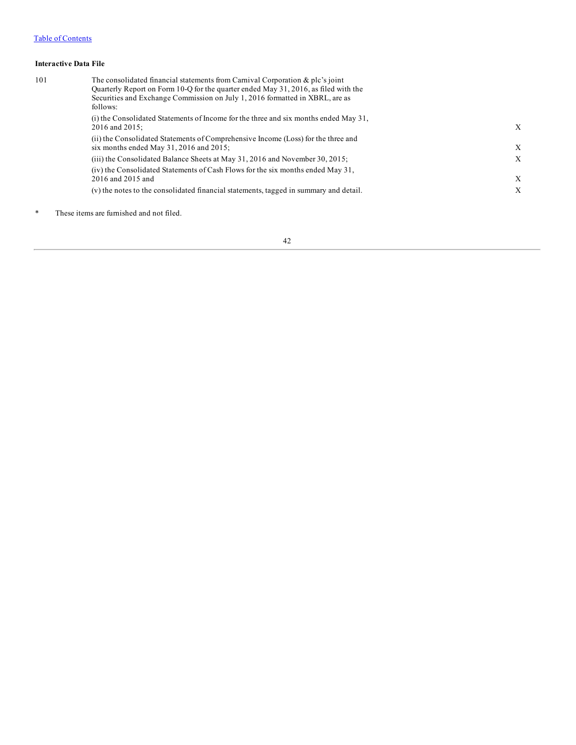# <span id="page-41-0"></span>Table of [Contents](#page-1-0)

# **Interactive Data File**

| 101    | The consolidated financial statements from Carnival Corporation & plc's joint<br>Quarterly Report on Form 10-Q for the quarter ended May 31, 2016, as filed with the<br>Securities and Exchange Commission on July 1, 2016 formatted in XBRL, are as<br>follows: |   |
|--------|------------------------------------------------------------------------------------------------------------------------------------------------------------------------------------------------------------------------------------------------------------------|---|
|        | (i) the Consolidated Statements of Income for the three and six months ended May 31,<br>2016 and 2015;                                                                                                                                                           | X |
|        | (ii) the Consolidated Statements of Comprehensive Income (Loss) for the three and<br>six months ended May $31, 2016$ and $2015$ ;                                                                                                                                | X |
|        | (iii) the Consolidated Balance Sheets at May 31, 2016 and November 30, 2015;                                                                                                                                                                                     | X |
|        | (iv) the Consolidated Statements of Cash Flows for the six months ended May 31,<br>2016 and 2015 and                                                                                                                                                             | X |
|        | (v) the notes to the consolidated financial statements, tagged in summary and detail.                                                                                                                                                                            | X |
| $\ast$ | These items are furnished and not filed.                                                                                                                                                                                                                         |   |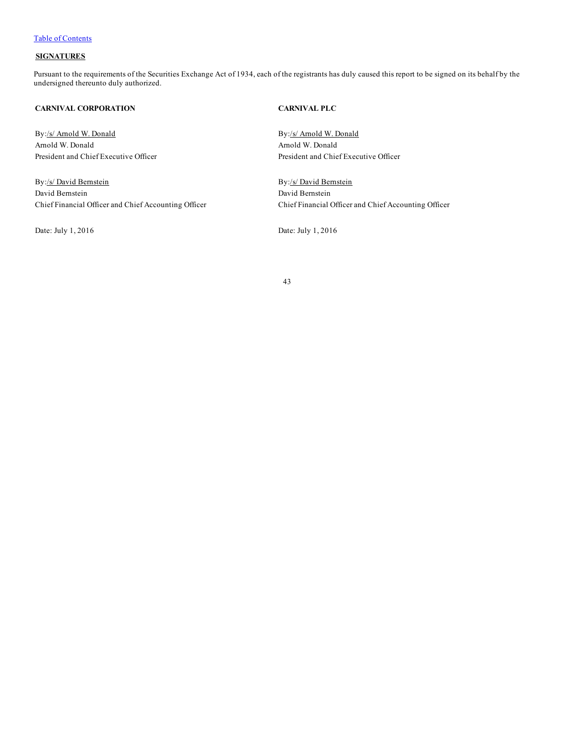## **SIGNATURES**

Pursuant to the requirements of the Securities Exchange Act of 1934, each of the registrants has duly caused this report to be signed on its behalf by the undersigned thereunto duly authorized.

# **CARNIVAL CORPORATION CARNIVAL PLC**

By:/s/ Arnold W. Donald By:/s/ Arnold W. Donald Arnold W. Donald Arnold W. Donald

By:/s/ David Bernstein By:/s/ David Bernstein David Bernstein David Bernstein Chief Financial Officer and Chief Accounting Officer Chief Financial Officer and Chief Accounting Officer

President and Chief Executive Officer President and Chief Executive Officer

Date: July 1, 2016 Date: July 1, 2016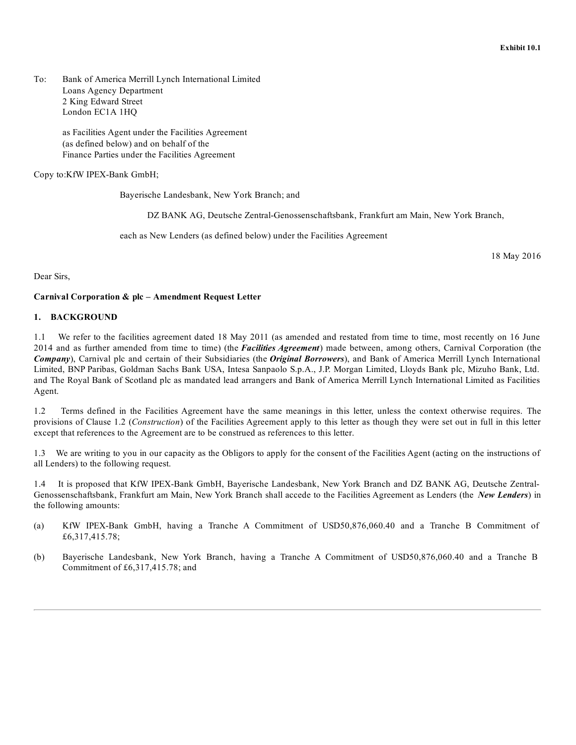To: Bank of America Merrill Lynch International Limited Loans Agency Department 2 King Edward Street London EC1A 1HQ

> as Facilities Agent under the Facilities Agreement (as defined below) and on behalf of the Finance Parties under the Facilities Agreement

Copy to:KfW IPEX-Bank GmbH;

Bayerische Landesbank, New York Branch; and

DZ BANK AG, Deutsche Zentral-Genossenschaftsbank, Frankfurt am Main, New York Branch,

each as New Lenders (as defined below) under the Facilities Agreement

18 May 2016

Dear Sirs,

# **Carnival Corporation & plc – Amendment Request Letter**

# **1. BACKGROUND**

1.1 We refer to the facilities agreement dated 18 May 2011 (as amended and restated from time to time, most recently on 16 June 2014 and as further amended from time to time) (the *Facilities Agreement*) made between, among others, Carnival Corporation (the *Company*), Carnival plc and certain of their Subsidiaries (the *Original Borrowers*), and Bank of America Merrill Lynch International Limited, BNP Paribas, Goldman Sachs Bank USA, Intesa Sanpaolo S.p.A., J.P. Morgan Limited, Lloyds Bank plc, Mizuho Bank, Ltd. and The Royal Bank of Scotland plc as mandated lead arrangers and Bank of America Merrill Lynch International Limited as Facilities Agent.

1.2 Terms defined in the Facilities Agreement have the same meanings in this letter, unless the context otherwise requires. The provisions of Clause 1.2 (*Construction*) of the Facilities Agreement apply to this letter as though they were set out in full in this letter except that references to the Agreement are to be construed as references to this letter.

1.3 We are writing to you in our capacity as the Obligors to apply for the consent of the Facilities Agent (acting on the instructions of all Lenders) to the following request.

1.4 It is proposed that KfW IPEX-Bank GmbH, Bayerische Landesbank, New York Branch and DZ BANK AG, Deutsche Zentral-Genossenschaftsbank, Frankfurt am Main, New York Branch shall accede to the Facilities Agreement as Lenders (the *New Lenders*) in the following amounts:

- (a) KfW IPEX-Bank GmbH, having a Tranche A Commitment of USD50,876,060.40 and a Tranche B Commitment of £6,317,415.78;
- (b) Bayerische Landesbank, New York Branch, having a Tranche A Commitment of USD50,876,060.40 and a Tranche B Commitment of £6,317,415.78; and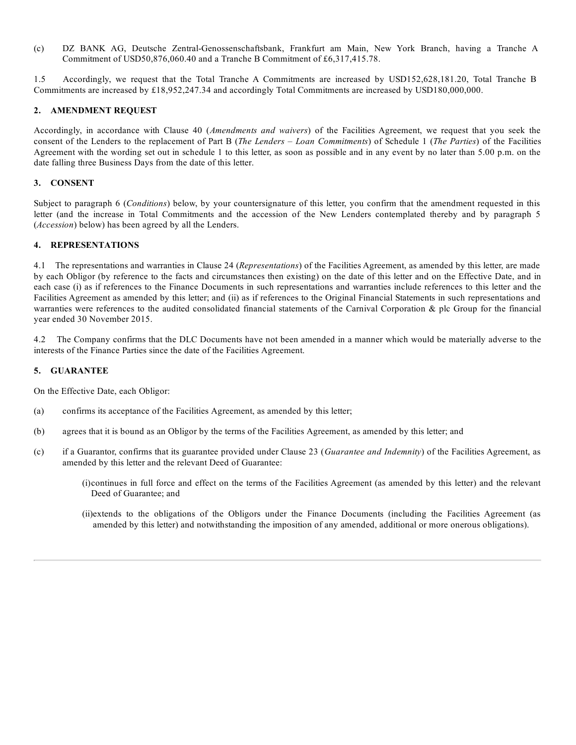(c) DZ BANK AG, Deutsche Zentral-Genossenschaftsbank, Frankfurt am Main, New York Branch, having a Tranche A Commitment of USD50,876,060.40 and a Tranche B Commitment of £6,317,415.78.

1.5 Accordingly, we request that the Total Tranche A Commitments are increased by USD152,628,181.20, Total Tranche B Commitments are increased by £18,952,247.34 and accordingly Total Commitments are increased by USD180,000,000.

# **2. [AMENDMENT](#page-1-0) [REQUES](#page-1-0)T**

Accordingly, in accordance with Clause 40 (*[Amendments](#page-18-0) and waivers*) of the Facilities Agreement, we request that you seek [th](#page-18-0)e consent of the Lenders to the replacement of Part B (*The Lenders – Loan Commitments*) of Schedule 1 (*The Parties*) of the Facilities Agreement with the wording set out in [schedule](#page-37-0) 1 to this letter, as soon as possible and in any event by no later than 5.00 p.m. on [th](#page-37-0)e date falling three [Business](#page-37-0) Days from the date of this letter.

# **3. [CONSENT](#page-38-0)**

Subject to p[aragraph](#page-38-0) 6 (*Conditions*) below, by your countersignature of this letter, you confirm that the amendment requested in [th](#page-38-0)is letter (and the increase in Total [Commitments](#page-38-0) and the accession of the New Lenders contemplated thereby and by paragra[ph](#page-38-0) 5 (*Accession*) below) has been agreed by all the Lenders.

# **4. [REPRES](#page-41-0)ENTATIONS**

4.1 The representations and warranties in Clause 24 (*Representations*) of the Facilities Agreement, as amended by this letter, are made by each Obligor (by reference to the facts and circumstances then existing) on the date of this letter and on the Effective Date, and in each case (i) as if references to the Finance Documents in such representations and warranties include references to this letter and the Facilities Agreement as amended by this letter; and (ii) as if references to the Original Financial Statements in such representations and warranties were references to the audited consolidated financial statements of the Carnival Corporation & plc Group for the financial year ended 30 November 2015.

4.2 The Company confirms that the DLC Documents have not been amended in a manner which would be materially adverse to the interests of the Finance Parties since the date of the Facilities Agreement.

# **5. GUARANTEE**

On the Effective Date, each Obligor:

- (a) confirms its acceptance of the Facilities Agreement, as amended by this letter;
- (b) agrees that it is bound as an Obligor by the terms of the Facilities Agreement, as amended by this letter; and
- (c) if a Guarantor, confirms that its guarantee provided under Clause 23 (*Guarantee and Indemnity*) of the Facilities Agreement, as amended by this letter and the relevant Deed of Guarantee:
	- (i)continues in full force and effect on the terms of the Facilities Agreement (as amended by this letter) and the relevant Deed of Guarantee; and

<sup>(</sup>ii)extends to the obligations of the Obligors under the Finance Documents (including the Facilities Agreement (as amended by this letter) and notwithstanding the imposition of any amended, additional or more onerous obligations).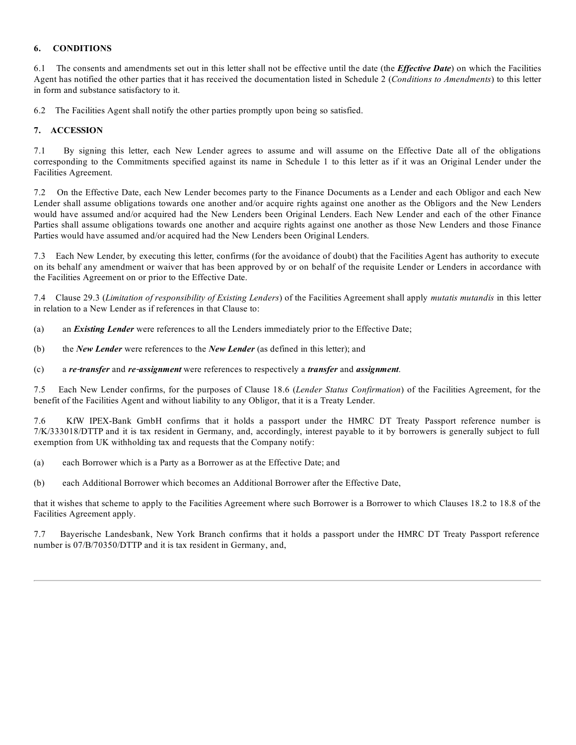# **6. CONDITIONS**

6.1 The consents and amendments set out in this letter shall not be effective until the date (the *Ef ective Date*) on which the Facilities Agent has notified the other parties that it has received the documentation listed in Schedule 2 (*Conditions to Amendments*) to this letter in form and substance satisfactory to it.

6.2 The Facilities Agent shall notify the other parties promptly upon being so satisfied.

# **7. ACCESSION**

7.1 By signing this letter, each New Lender agrees to assume and will assume on the Effective Date all of the obligations corresponding to the Commitments specified against its name in Schedule 1 to this letter as if it was an Original Lender under the Facilities Agreement.

7.2 On the Effective Date, each New Lender becomes party to the Finance Documents as a Lender and each Obligor and each New Lender shall assume obligations towards one another and/or acquire rights against one another as the Obligors and the New Lenders would have assumed and/or acquired had the New Lenders been Original Lenders. Each New Lender and each of the other Finance Parties shall assume obligations towards one another and acquire rights against one another as those New Lenders and those Finance Parties would have assumed and/or acquired had the New Lenders been Original Lenders.

7.3 Each New Lender, by executing this letter, confirms (for the avoidance of doubt) that the Facilities Agent has authority to execute on its behalf any amendment or waiver that has been approved by or on behalf of the requisite Lender or Lenders in accordance with the Facilities Agreement on or prior to the Effective Date.

7.4 Clause 29.3 (*Limitation of responsibility of Existing Lenders*) of the Facilities Agreement shall apply *mutatis mutandis* in this letter in relation to a New Lender as if references in that Clause to:

(a) an *Existing Lender* were references to all the Lenders immediately prior to the Effective Date;

- (b) the *New Lender* were references to the *New Lender* (as defined in this letter); and
- (c) a *re***‑***transfer* and *re***‑***assignment* were references to respectively a *transfer* and *assignment*.

7.5 Each New Lender confirms, for the purposes of Clause 18.6 (*Lender Status Confirmation*) of the Facilities Agreement, for the benefit of the Facilities Agent and without liability to any Obligor, that it is a Treaty Lender.

7.6 KfW IPEX-Bank GmbH confirms that it holds a passport under the HMRC DT Treaty Passport reference number is 7/K/333018/DTTP and it is tax resident in Germany, and, accordingly, interest payable to it by borrowers is generally subject to full exemption from UK withholding tax and requests that the Company notify:

(a) each Borrower which is a Party as a Borrower as at the Effective Date; and

(b) each Additional Borrower which becomes an Additional Borrower after the Effective Date,

that it wishes that scheme to apply to the Facilities Agreement where such Borrower is a Borrower to which Clauses 18.2 to 18.8 of the Facilities Agreement apply.

7.7 Bayerische Landesbank, New York Branch confirms that it holds a passport under the HMRC DT Treaty Passport reference number is 07/B/70350/DTTP and it is tax resident in Germany, and,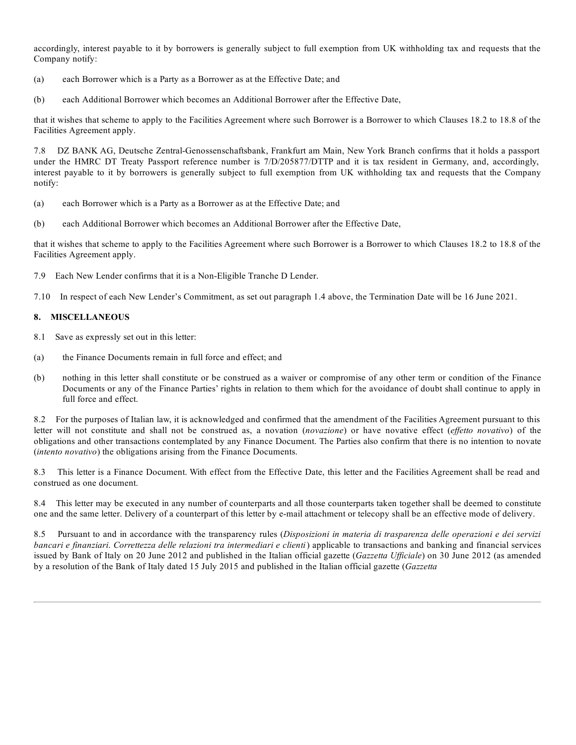accordingly, interest payable to it by borrowers is generally subject to full exemption from UK withholding tax and requests that the Company notify:

- (a) each Borrower which is a Party as a Borrower as at the Effective Date; and
- (b) each Additional Borrower which becomes an Additional Borrower after the Effective Date,

that it wishes that scheme to apply to the Facilities Agreement where such Borrower is a Borrower to which Clauses 18.2 to 18.8 of the Facilities Agreement apply.

7.8 DZ BANK AG, Deutsche Zentral-Genossenschaftsbank, Frankfurt am Main, New York Branch confirms that it holds a passport under the HMRC DT Treaty Passport reference number is 7/D/205877/DTTP and it is tax resident in Germany, and, accordingly, interest payable to it by borrowers is generally subject to full exemption from UK withholding tax and requests that the Company notify:

- (a) each Borrower which is a Party as a Borrower as at the Effective Date; and
- (b) each Additional Borrower which becomes an Additional Borrower after the Effective Date,

that it wishes that scheme to apply to the Facilities Agreement where such Borrower is a Borrower to which Clauses 18.2 to 18.8 of the Facilities Agreement apply.

7.9 Each New Lender confirms that it is a Non-Eligible Tranche D Lender.

7.10 In respect of each New Lender's Commitment, as set out paragraph 1.4 above, the Termination Date will be 16 June 2021.

# **8. MISCELLANEOUS**

- 8.1 Save as expressly set out in this letter:
- (a) the Finance Documents remain in full force and effect; and
- (b) nothing in this letter shall constitute or be construed as a waiver or compromise of any other term or condition of the Finance Documents or any of the Finance Parties' rights in relation to them which for the avoidance of doubt shall continue to apply in full force and effect.

8.2 For the purposes of Italian law, it is acknowledged and confirmed that the amendment of the Facilities Agreement pursuant to this letter will not constitute and shall not be construed as, a novation (*novazione*) or have novative effect (*effetto novativo*) of the obligations and other transactions contemplated by any Finance Document. The Parties also confirm that there is no intention to novate (*intento novativo*) the obligations arising from the Finance Documents.

8.3 This letter is a Finance Document. With effect from the Effective Date, this letter and the Facilities Agreement shall be read and construed as one document.

8.4 This letter may be executed in any number of counterparts and all those counterparts taken together shall be deemed to constitute one and the same letter. Delivery of a counterpart of this letter by e-mail attachment or telecopy shall be an effective mode of delivery.

8.5 Pursuant to and in accordance with the transparency rules (*Disposizioni in materia di trasparenza delle operazioni e dei servizi bancari e finanziari*. *Correttezza delle relazioni tra intermediari e clienti*) applicable to transactions and banking and financial services issued by Bank of Italy on 20 June 2012 and published in the Italian official gazette (*Gazzetta Ufficiale*) on 30 June 2012 (as amended by a resolution of the Bank of Italy dated 15 July 2015 and published in the Italian official gazette (*Gazzetta*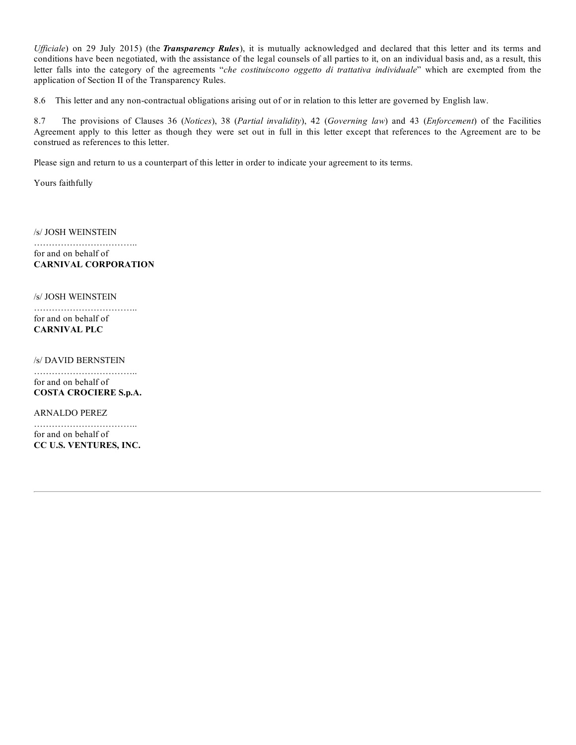*Ufficiale*) on 29 July 2015) (the *Transparency Rules*), it is mutually acknowledged and declared that this letter and its terms and conditions have been negotiated, with the assistance of the legal counsels of all parties to it, on an individual basis and, as a result, this letter falls into the category of the agreements "*che costituiscono oggetto di trattativa individuale*" which are exempted from the application of Section II of the Transparency Rules.

8.6 This letter and any non-contractual obligations arising out of or in relation to this letter are governed by English law.

8.7 The provisions of Clauses 36 (*Notices*), 38 (*Partial invalidity*), 42 (*Governing law*) and 43 (*Enforcement*) of the Facilities Agreement apply to this letter as though they were set out in full in this letter except that references to the Agreement are to be construed as references to this letter.

Please sign and return to us a counterpart of this letter in order to indicate your agreement to its terms.

Yours faithfully

/s/ JOSH WEINSTEIN

…………………………….. for and on behalf of **CARNIVAL CORPORATION**

/s/ JOSH WEINSTEIN

for and on behalf of **CARNIVAL PLC**

#### /s/ DAVID BERNSTEIN

……………………………… for and on behalf of **COSTA CROCIERE S.p.A.**

ARNALDO PEREZ

…………………………….. for and on behalf of **CC U.S. VENTURES, INC.**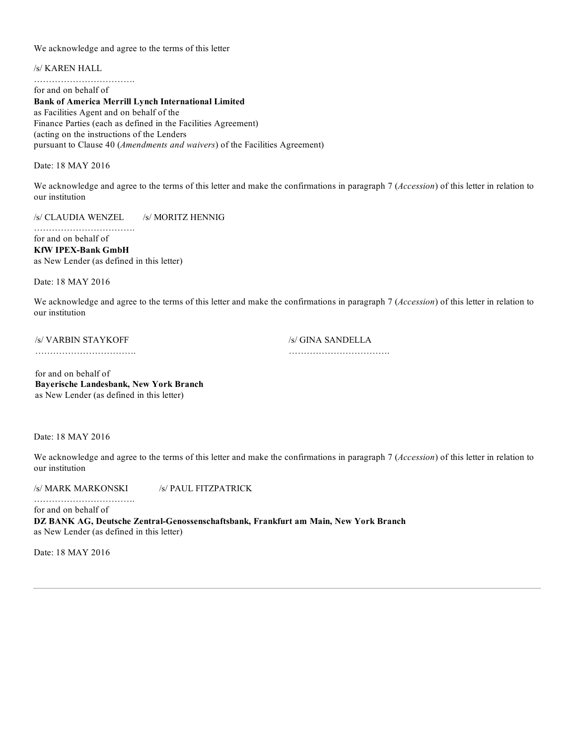We acknowledge and agree to the terms of this letter

/s/ KAREN HALL

…………………………………… for and on behalf of **Bank of America Merrill Lynch International Limited** as Facilities Agent and on behalf of the Finance Parties (each as defined in the Facilities Agreement) (acting on the instructions of the Lenders pursuant to Clause 40 (*Amendments and waivers*) of the Facilities Agreement)

Date: 18 MAY 2016

We acknowledge and agree to the terms of this letter and make the confirmations in paragraph 7 (*Accession*) of this letter in relation to our institution

/s/ CLAUDIA WENZEL /s/ MORITZ HENNIG

……………………………… for and on behalf of **KfW IPEX-Bank GmbH** as New Lender (as defined in this letter)

Date: 18 MAY 2016

We acknowledge and agree to the terms of this letter and make the confirmations in paragraph 7 (*Accession*) of this letter in relation to our institution

/s/ VARBIN STAYKOFF

/s/ GINA SANDELLA

…………………………….

…………………………….

for and on behalf of **Bayerische Landesbank, New York Branch** as New Lender (as defined in this letter)

Date: 18 MAY 2016

We acknowledge and agree to the terms of this letter and make the confirmations in paragraph 7 (*Accession*) of this letter in relation to our institution

/s/ MARK MARKONSKI /s/ PAUL FITZPATRICK

………………………………………

for and on behalf of **DZ BANK AG, Deutsche Zentral-Genossenschaftsbank, Frankfurt am Main, New York Branch** as New Lender (as defined in this letter)

Date: 18 MAY 2016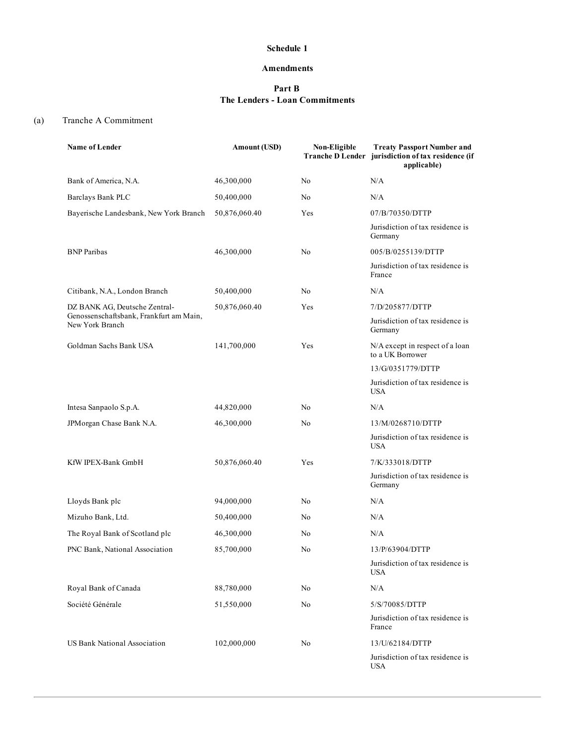# **Schedule 1**

# **Amendments**

# **Part B The Lenders - Loan Commitments**

# (a) Tranche A Commitment

| Name of Lender                                             | <b>Amount (USD)</b> | Non-Eligible   | <b>Treaty Passport Number and</b><br>Tranche D Lender jurisdiction of tax residence (if<br>applicable) |
|------------------------------------------------------------|---------------------|----------------|--------------------------------------------------------------------------------------------------------|
| Bank of America, N.A.                                      | 46,300,000          | No             | N/A                                                                                                    |
| Barclays Bank PLC                                          | 50,400,000          | N <sub>o</sub> | N/A                                                                                                    |
| Bayerische Landesbank, New York Branch                     | 50,876,060.40       | Yes            | 07/B/70350/DTTP                                                                                        |
|                                                            |                     |                | Jurisdiction of tax residence is<br>Germany                                                            |
| <b>BNP</b> Paribas                                         | 46,300,000          | No             | 005/B/0255139/DTTP                                                                                     |
|                                                            |                     |                | Jurisdiction of tax residence is<br>France                                                             |
| Citibank, N.A., London Branch                              | 50,400,000          | No.            | N/A                                                                                                    |
| DZ BANK AG, Deutsche Zentral-                              | 50,876,060.40       | Yes            | 7/D/205877/DTTP                                                                                        |
| Genossenschaftsbank, Frankfurt am Main,<br>New York Branch |                     |                | Jurisdiction of tax residence is<br>Germany                                                            |
| Goldman Sachs Bank USA                                     | 141,700,000         | Yes            | N/A except in respect of a loan<br>to a UK Borrower                                                    |
|                                                            |                     |                | 13/G/0351779/DTTP                                                                                      |
|                                                            |                     |                | Jurisdiction of tax residence is<br><b>USA</b>                                                         |
| Intesa Sanpaolo S.p.A.                                     | 44,820,000          | No             | N/A                                                                                                    |
| JPMorgan Chase Bank N.A.                                   | 46,300,000          | N <sub>o</sub> | 13/M/0268710/DTTP                                                                                      |
|                                                            |                     |                | Jurisdiction of tax residence is<br><b>USA</b>                                                         |
| KfW IPEX-Bank GmbH                                         | 50,876,060.40       | Yes            | 7/K/333018/DTTP                                                                                        |
|                                                            |                     |                | Jurisdiction of tax residence is<br>Germany                                                            |
| Lloyds Bank plc                                            | 94,000,000          | No             | N/A                                                                                                    |
| Mizuho Bank, Ltd.                                          | 50,400,000          | No             | N/A                                                                                                    |
| The Royal Bank of Scotland plc                             | 46,300,000          | No             | N/A                                                                                                    |
| PNC Bank, National Association                             | 85,700,000          | No             | 13/P/63904/DTTP                                                                                        |
|                                                            |                     |                | Jurisdiction of tax residence is<br>USA                                                                |
| Royal Bank of Canada                                       | 88,780,000          | No             | N/A                                                                                                    |
| Société Générale                                           | 51,550,000          | No             | 5/S/70085/DTTP                                                                                         |
|                                                            |                     |                | Jurisdiction of tax residence is<br>France                                                             |
| US Bank National Association                               | 102,000,000         | No             | 13/U/62184/DTTP                                                                                        |
|                                                            |                     |                | Jurisdiction of tax residence is<br>USA                                                                |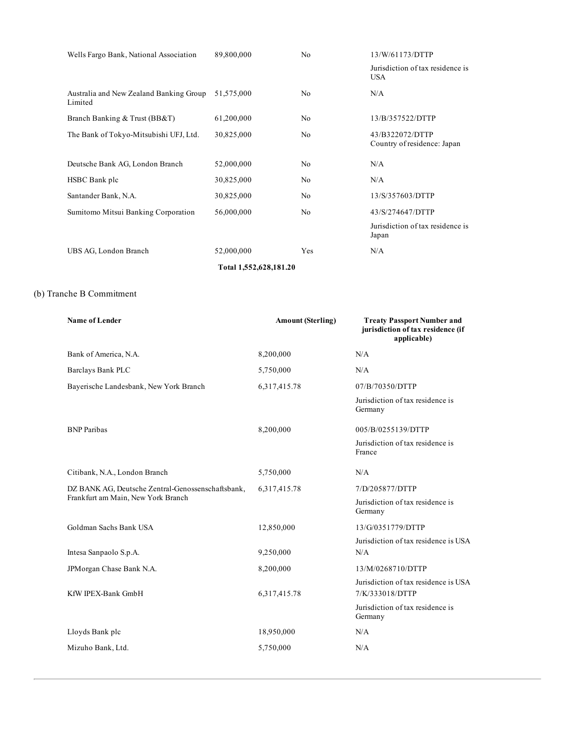| Wells Fargo Bank, National Association             | 89,800,000             | N <sub>0</sub> | 13/W/61173/DTTP                                |
|----------------------------------------------------|------------------------|----------------|------------------------------------------------|
|                                                    |                        |                | Jurisdiction of tax residence is<br><b>USA</b> |
| Australia and New Zealand Banking Group<br>Limited | 51,575,000             | No             | N/A                                            |
| Branch Banking & Trust (BB&T)                      | 61,200,000             | No.            | 13/B/357522/DTTP                               |
| The Bank of Tokyo-Mitsubishi UFJ, Ltd.             | 30,825,000             | N <sub>o</sub> | 43/B322072/DTTP<br>Country of residence: Japan |
| Deutsche Bank AG, London Branch                    | 52,000,000             | No.            | N/A                                            |
| HSBC Bank plc                                      | 30,825,000             | No.            | N/A                                            |
| Santander Bank, N.A.                               | 30,825,000             | No.            | 13/S/357603/DTTP                               |
| Sumitomo Mitsui Banking Corporation                | 56,000,000             | No.            | 43/S/274647/DTTP                               |
|                                                    |                        |                | Jurisdiction of tax residence is<br>Japan      |
| UBS AG, London Branch                              | 52,000,000             | Yes            | N/A                                            |
|                                                    | Total 1,552,628,181.20 |                |                                                |

# (b) Tranche B Commitment

| Name of Lender                                    | <b>Amount (Sterling)</b> | <b>Treaty Passport Number and</b><br>jurisdiction of tax residence (if<br>applicable) |
|---------------------------------------------------|--------------------------|---------------------------------------------------------------------------------------|
| Bank of America, N.A.                             | 8,200,000                | N/A                                                                                   |
| Barclays Bank PLC                                 | 5,750,000                | N/A                                                                                   |
| Bayerische Landesbank, New York Branch            | 6,317,415.78             | 07/B/70350/DTTP                                                                       |
|                                                   |                          | Jurisdiction of tax residence is<br>Germany                                           |
| <b>BNP</b> Paribas                                | 8,200,000                | 005/B/0255139/DTTP                                                                    |
|                                                   |                          | Jurisdiction of tax residence is<br>France                                            |
| Citibank, N.A., London Branch                     | 5,750,000                | N/A                                                                                   |
| DZ BANK AG, Deutsche Zentral-Genossenschaftsbank, | 6,317,415.78             | 7/D/205877/DTTP                                                                       |
| Frankfurt am Main, New York Branch                |                          | Jurisdiction of tax residence is<br>Germany                                           |
| Goldman Sachs Bank USA                            | 12,850,000               | 13/G/0351779/DTTP                                                                     |
| Intesa Sanpaolo S.p.A.                            | 9,250,000                | Jurisdiction of tax residence is USA<br>N/A                                           |
| JPM organ Chase Bank N.A.                         | 8,200,000                | 13/M/0268710/DTTP                                                                     |
| KfW IPEX-Bank GmbH                                | 6,317,415.78             | Jurisdiction of tax residence is USA<br>7/K/333018/DTTP                               |
|                                                   |                          | Jurisdiction of tax residence is<br>Germany                                           |
| Lloyds Bank plc                                   | 18,950,000               | N/A                                                                                   |
| Mizuho Bank, Ltd.                                 | 5,750,000                | N/A                                                                                   |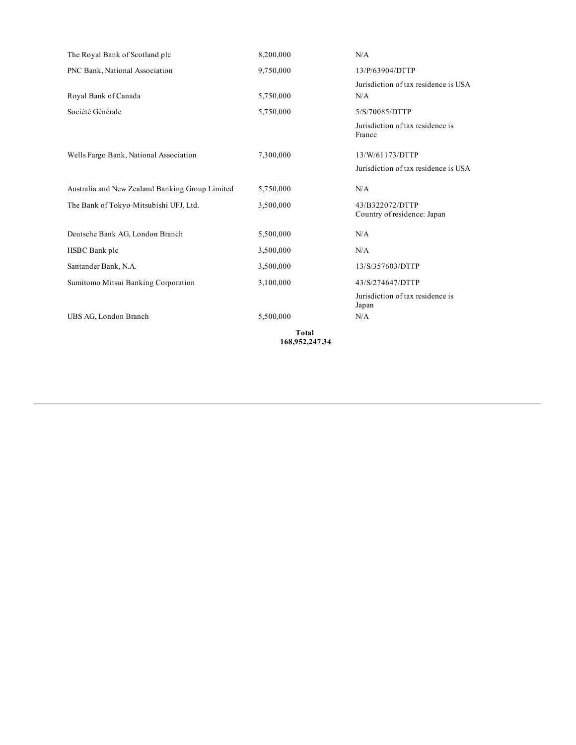| The Royal Bank of Scotland plc                  | 8,200,000               | N/A                                            |
|-------------------------------------------------|-------------------------|------------------------------------------------|
| PNC Bank, National Association                  | 9,750,000               | 13/P/63904/DTTP                                |
|                                                 |                         | Jurisdiction of tax residence is USA           |
| Royal Bank of Canada                            | 5,750,000               | N/A                                            |
| Société Générale                                | 5,750,000               | 5/S/70085/DTTP                                 |
|                                                 |                         | Jurisdiction of tax residence is<br>France     |
| Wells Fargo Bank, National Association          | 7,300,000               | 13/W/61173/DTTP                                |
|                                                 |                         | Jurisdiction of tax residence is USA           |
| Australia and New Zealand Banking Group Limited | 5,750,000               | N/A                                            |
| The Bank of Tokyo-Mitsubishi UFJ, Ltd.          | 3,500,000               | 43/B322072/DTTP<br>Country of residence: Japan |
| Deutsche Bank AG, London Branch                 | 5,500,000               | N/A                                            |
| HSBC Bank plc                                   | 3,500,000               | N/A                                            |
| Santander Bank, N.A.                            | 3,500,000               | 13/S/357603/DTTP                               |
| Sumitomo Mitsui Banking Corporation             | 3,100,000               | 43/S/274647/DTTP                               |
|                                                 |                         | Jurisdiction of tax residence is<br>Japan      |
| UBS AG, London Branch                           | 5,500,000               | N/A                                            |
|                                                 | Total<br>168,952,247.34 |                                                |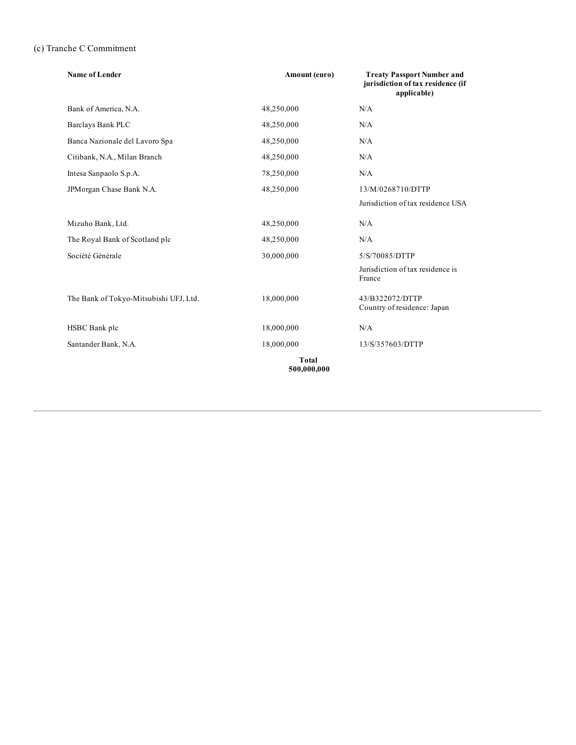# (c) Tranche C Commitment

| <b>Name of Lender</b>                  | Amount (euro)        | <b>Treaty Passport Number and</b><br>jurisdiction of tax residence (if<br>applicable) |
|----------------------------------------|----------------------|---------------------------------------------------------------------------------------|
| Bank of America, N.A.                  | 48,250,000           | N/A                                                                                   |
| Barclays Bank PLC                      | 48,250,000           | N/A                                                                                   |
| Banca Nazionale del Lavoro Spa         | 48,250,000           | N/A                                                                                   |
| Citibank, N.A., Milan Branch           | 48,250,000           | N/A                                                                                   |
| Intesa Sanpaolo S.p.A.                 | 78,250,000           | N/A                                                                                   |
| JPMorgan Chase Bank N.A.               | 48,250,000           | 13/M/0268710/DTTP                                                                     |
|                                        |                      | Jurisdiction of tax residence USA                                                     |
| Mizuho Bank, Ltd.                      | 48,250,000           | N/A                                                                                   |
| The Royal Bank of Scotland plc         | 48,250,000           | N/A                                                                                   |
| Société Générale                       | 30,000,000           | 5/S/70085/DTTP                                                                        |
|                                        |                      | Jurisdiction of tax residence is<br>France                                            |
| The Bank of Tokyo-Mitsubishi UFJ, Ltd. | 18,000,000           | 43/B322072/DTTP<br>Country of residence: Japan                                        |
| HSBC Bank plc                          | 18,000,000           | N/A                                                                                   |
| Santander Bank, N.A.                   | 18,000,000           | 13/S/357603/DTTP                                                                      |
|                                        | Total<br>500,000,000 |                                                                                       |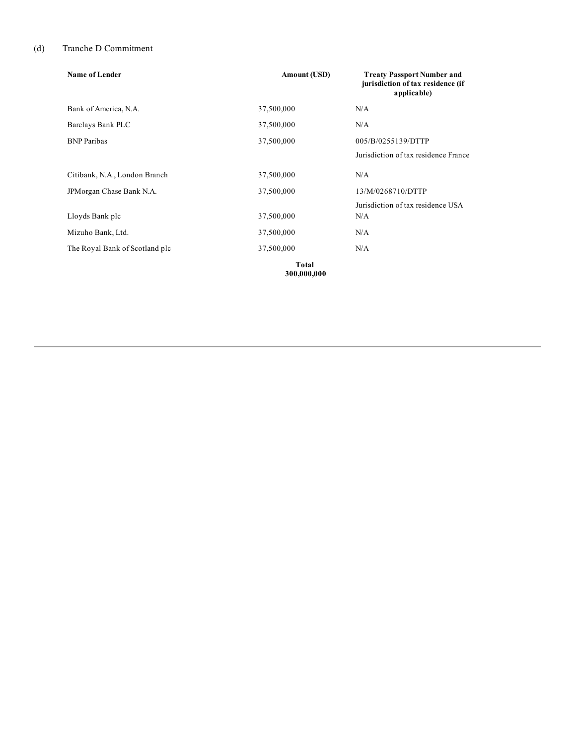# (d) Tranche D Commitment

| <b>Name of Lender</b>          | <b>Amount (USD)</b>  | <b>Treaty Passport Number and</b><br>jurisdiction of tax residence (if<br>applicable) |
|--------------------------------|----------------------|---------------------------------------------------------------------------------------|
| Bank of America, N.A.          | 37,500,000           | N/A                                                                                   |
| Barclays Bank PLC              | 37,500,000           | N/A                                                                                   |
| <b>BNP</b> Paribas             | 37,500,000           | 005/B/0255139/DTTP                                                                    |
|                                |                      | Jurisdiction of tax residence France                                                  |
| Citibank, N.A., London Branch  | 37,500,000           | N/A                                                                                   |
| JPM organ Chase Bank N.A.      | 37,500,000           | 13/M/0268710/DTTP                                                                     |
|                                |                      | Jurisdiction of tax residence USA                                                     |
| Lloyds Bank plc                | 37,500,000           | N/A                                                                                   |
| Mizuho Bank, Ltd.              | 37,500,000           | N/A                                                                                   |
| The Royal Bank of Scotland plc | 37,500,000           | N/A                                                                                   |
|                                | Total<br>300,000,000 |                                                                                       |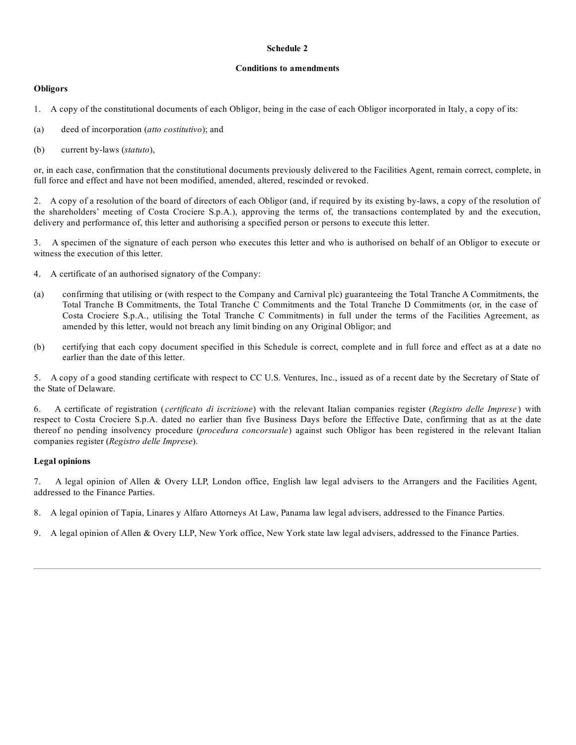# **Schedule 2**

# **Conditions to amendments**

# **Obligors**

- 1. A copy of the constitutional documents of each Obligor, being in the case of each Obligor incorporated in Italy, a copy of its:
- (a) deed of incorporation (*atto costitutivo*); and
- (b) current by-laws (*statuto*),

or, in each case, confirmation that the constitutional documents previously delivered to the Facilities Agent, remain correct, complete, in full force and effect and have not been modified, amended, altered, rescinded or revoked.

2. A copy of a resolution of the board of directors of each Obligor (and, if required by its existing by-laws, a copy of the resolution of the shareholders' meeting of Costa Crociere S.p.A.), approving the terms of, the transactions contemplated by and the execution, delivery and performance of, this letter and authorising a specified person or persons to execute this letter.

3. A specimen of the signature of each person who executes this letter and who is authorised on behalf of an Obligor to execute or witness the execution of this letter.

- 4. A certificate of an authorised signatory of the Company:
- (a) confirming that utilising or (with respect to the Company and Carnival plc) guaranteeing the Total Tranche A Commitments, the Total Tranche B Commitments, the Total Tranche C Commitments and the Total Tranche D Commitments (or, in the case of Costa Crociere S.p.A., utilising the Total Tranche C Commitments) in full under the terms of the Facilities Agreement, as amended by this letter, would not breach any limit binding on any Original Obligor; and
- (b) certifying that each copy document specified in this Schedule is correct, complete and in full force and effect as at a date no earlier than the date of this letter.

5. A copy of a good standing certificate with respect to CC U.S. Ventures, Inc., issued as of a recent date by the Secretary of State of the State of Delaware.

6. A certificate of registration ( *certificato di iscrizione*) with the relevant Italian companies register (*Registro delle Imprese* ) with respect to Costa Crociere S.p.A. dated no earlier than five Business Days before the Effective Date, confirming that as at the date thereof no pending insolvency procedure (*procedura concorsuale*) against such Obligor has been registered in the relevant Italian companies register (*Registro delle Imprese*).

# **Legal opinions**

7. A legal opinion of Allen & Overy LLP, London office, English law legal advisers to the Arrangers and the Facilities Agent, addressed to the Finance Parties.

- 8. A legal opinion of Tapia, Linares y Alfaro Attorneys At Law, Panama law legal advisers, addressed to the Finance Parties.
- 9. A legal opinion of Allen & Overy LLP, New York office, New York state law legal advisers, addressed to the Finance Parties.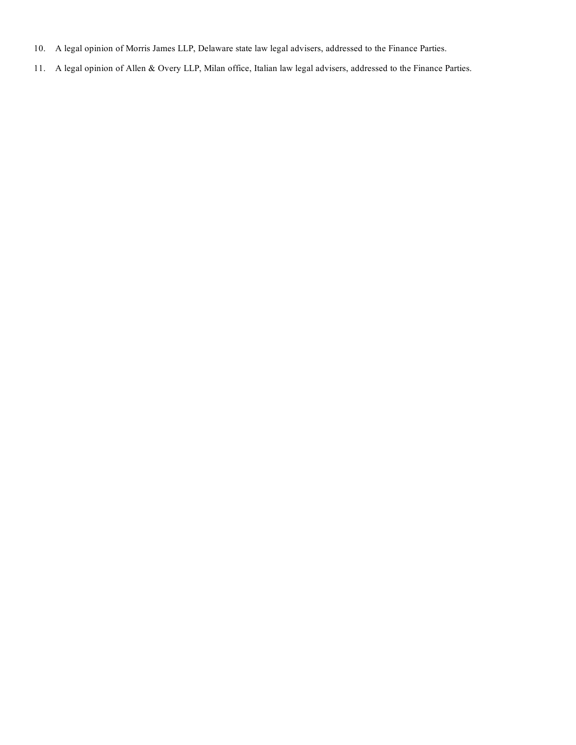- 10. A legal opinion of Morris James LLP, Delaware state law legal advisers, addressed to the Finance Parties.
- 11. A legal opinion of Allen & Overy LLP, Milan office, Italian law legal advisers, addressed to the Finance Parties.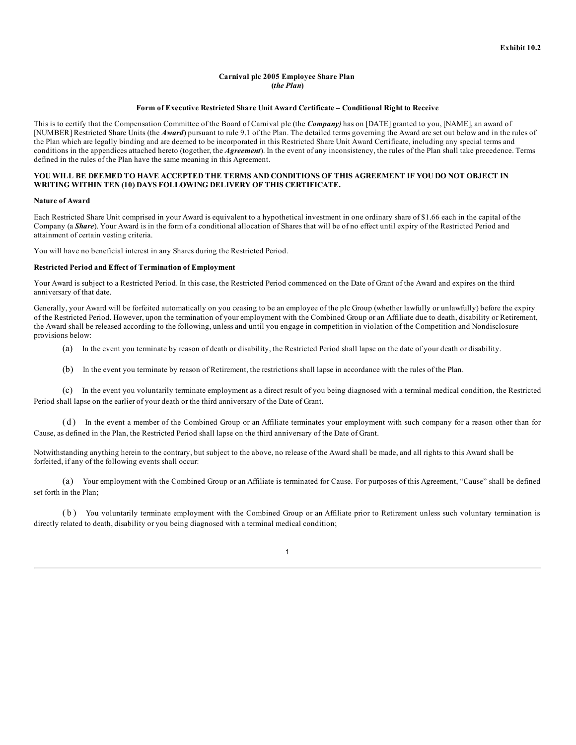## **Carnival plc 2005 Employee Share Plan (***the Plan***)**

## **Form of Executive Restricted Share Unit Award Certificate – Conditional Right to Receive**

This is to certify that the Compensation Committee of the Board of Carnival plc (the *Company)* has on [DATE] granted to you, [NAME], an award of [NUMBER] Restricted Share Units (the *Award*) pursuant to rule 9.1 of the Plan. The detailed terms governing the Award are set out below and in the rules of the Plan which are legally binding and are deemed to be incorporated in this Restricted Share Unit Award Certificate, including any special terms and conditions in the appendices attached hereto (together, the *Agreement*). In the event of any inconsistency, the rules of the Plan shall take precedence. Terms defined in the rules of the Plan have the same meaning in this Agreement.

## YOU WILL BE DEEMED TO HAVE ACCEPTED THE TERMS AND CONDITIONS OF THIS AGREEMENT IF YOU DO NOT OBJECT IN **WRITING WITHIN TEN (10) DAYS FOLLOWING DELIVERY OF THIS CERTIFICATE.**

#### **Nature of Award**

Each Restricted Share Unit comprised in your Award is equivalent to a hypothetical investment in one ordinary share of \$1.66 each in the capital of the Company (a *Share*). Your Award is in the form of a conditional allocation of Shares that will be of no effect until expiry of the Restricted Period and attainment of certain vesting criteria.

You will have no beneficial interest in any Shares during the Restricted Period.

#### **Restricted Period and Effect of Termination of Employment**

Your Award is subject to a Restricted Period. In this case, the Restricted Period commenced on the Date of Grant of the Award and expires on the third anniversary of that date.

Generally, your Award will be forfeited automatically on you ceasing to be an employee of the plc Group (whether lawfully or unlawfully) before the expiry of the Restricted Period. However, upon the termination of your employment with the Combined Group or an Affiliate due to death, disability or Retirement, the Award shall be released according to the following, unless and until you engage in competition in violation of the Competition and Nondisclosure provisions below:

- (a) In the event you terminate by reason of death or disability, the Restricted Period shall lapse on the date of your death or disability.
- (b) In the event you terminate by reason of Retirement, the restrictions shall lapse in accordance with the rules of the Plan.

(c) In the event you voluntarily terminate employment as a direct result of you being diagnosed with a terminal medical condition, the Restricted Period shall lapse on the earlier of your death or the third anniversary of the Date of Grant.

( d ) In the event a member of the Combined Group or an Affiliate terminates your employment with such company for a reason other than for Cause, as defined in the Plan, the Restricted Period shall lapse on the third anniversary of the Date of Grant.

Notwithstanding anything herein to the contrary, but subject to the above, no release of the Award shall be made, and all rights to this Award shall be forfeited, if any of the following events shall occur:

(a) Your employment with the Combined Group or an Affiliate is terminated for Cause. For purposes of this Agreement, "Cause" shall be defined set forth in the Plan;

( b ) You voluntarily terminate employment with the Combined Group or an Affiliate prior to Retirement unless such voluntary termination is directly related to death, disability or you being diagnosed with a terminal medical condition;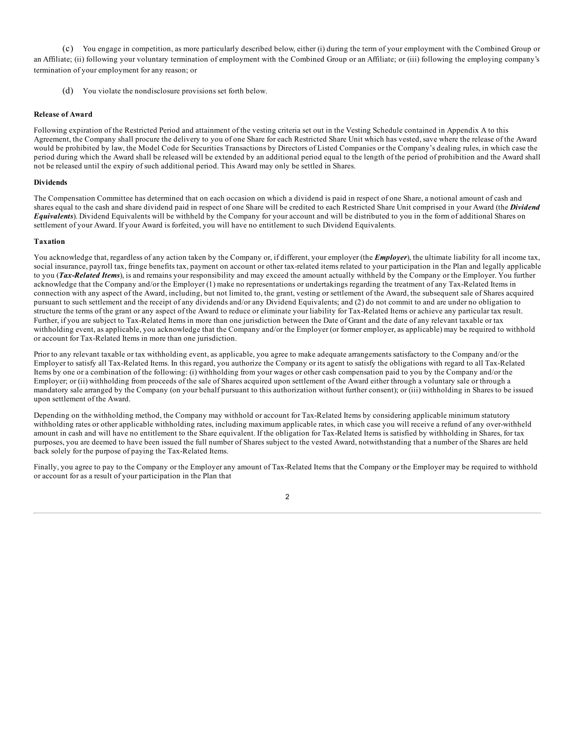(c) You engage in competition, as more particularly described below, either (i) during the term of your employment with the Combined Group or an Affiliate; (ii) following your voluntary termination of employment with the Combined Group or an Affiliate; or (iii) following the employing company's termination of your employment for any reason; or

(d) You violate the nondisclosure provisions set forth below.

# **Release of Aw[ard](#page-1-0)**

Following expiration of the Restricted Period and [attainment](#page-18-0) of the vesting criteria set out in the Vesting Schedule contained in Appendix A to this Agreement, the Company shall procure the delivery to you of one Share for each Restricted Share Unit which has vested, save where the release of the A[ward](#page-18-0) would be prohibited by law, the Model Code for Securities [Transactions](#page-37-0) by Directors of Listed Companies or the Company's dealing rules, in which case [th](#page-37-0)e period during which the Award shall be released will be extended by an additional period equal to the length of the period of prohibition and the Award shall not be released until the [expiry](#page-37-0) of such additional period. This Award may only be settled in Shares.

#### **[Dividends](#page-38-0)**

The Compensation [Commi](#page-38-0)ttee has determined that on each occasion on which a dividend is paid in respect of one Share, a notional amount of cash and shares equal to the cash and share dividend paid in respect of one Share will be credited to each Restricted Share Unit comprised in your Award (the *Divi[den](#page-38-0)d Equivalents*). Dividend [Equivalents](#page-38-0) will be withheld by the Company for your account and will be distributed to you in the form of additional Shares o[n](#page-38-0) settlement of your Award. If your Award is forfeited, you will have no entitlement to such Dividend Equivalents.

## **Taxation**

You [acknowled](#page-41-0)ge that, regardless of any action [ta](#page-41-0)ken by the Company or, if different, your employer (the *Employer*), the ultimate liability for all income tax, social insurance, payroll tax, fringe benefits tax, payment on account or other tax-related items related to your participation in the Plan and legally applicable to you (*Tax-Related Items*), is and remains your responsibility and may exceed the amount actually withheld by the Company or the Employer. You further acknowledge that the Company and/or the Employer (1) make no representations or undertakings regarding the treatment of any Tax-Related Items in connection with any aspect of the Award, including, but not limited to, the grant, vesting or settlement of the Award, the subsequent sale of Shares acquired pursuant to such settlement and the receipt of any dividends and/or any Dividend Equivalents; and (2) do not commit to and are under no obligation to structure the terms of the grant or any aspect of the Award to reduce or eliminate your liability for Tax-Related Items or achieve any particular tax result. Further, if you are subject to Tax-Related Items in more than one jurisdiction between the Date of Grant and the date of any relevant taxable or tax withholding event, as applicable, you acknowledge that the Company and/or the Employer (or former employer, as applicable) may be required to withhold or account for Tax-Related Items in more than one jurisdiction.

Prior to any relevant taxable or tax withholding event, as applicable, you agree to make adequate arrangements satisfactory to the Company and/or the Employer to satisfy all Tax-Related Items. In this regard, you authorize the Company or its agent to satisfy the obligations with regard to all Tax-Related Items by one or a combination of the following: (i) withholding from your wages or other cash compensation paid to you by the Company and/or the Employer; or (ii) withholding from proceeds of the sale of Shares acquired upon settlement of the Award either through a voluntary sale or through a mandatory sale arranged by the Company (on your behalf pursuant to this authorization without further consent); or (iii) withholding in Shares to be issued upon settlement of the Award.

Depending on the withholding method, the Company may withhold or account for Tax-Related Items by considering applicable minimum statutory withholding rates or other applicable withholding rates, including maximum applicable rates, in which case you will receive a refund of any over-withheld amount in cash and will have no entitlement to the Share equivalent. If the obligation for Tax-Related Items is satisfied by withholding in Shares, for tax purposes, you are deemed to have been issued the full number of Shares subject to the vested Award, notwithstanding that a number of the Shares are held back solely for the purpose of paying the Tax-Related Items.

Finally, you agree to pay to the Company or the Employer any amount of Tax-Related Items that the Company or the Employer may be required to withhold or account for as a result of your participation in the Plan that

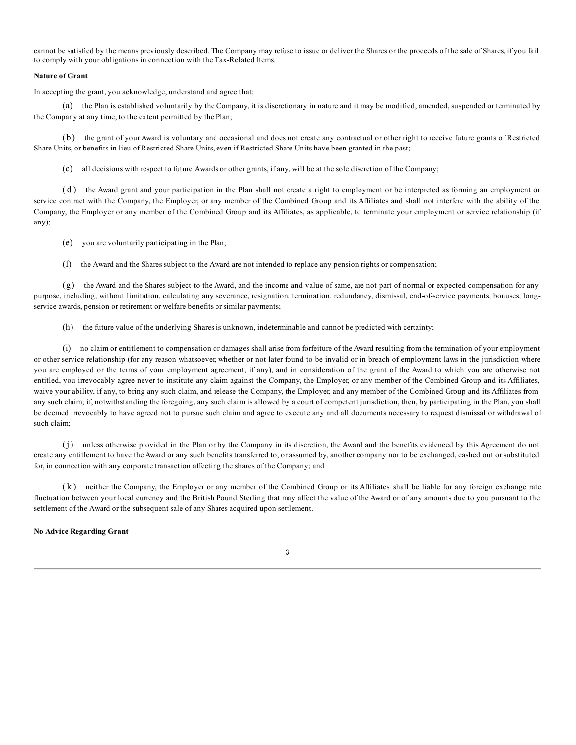cannot be satisfied by the means previously described. The Company may refuse to issue or deliver the Shares or the proceeds of the sale of Shares, if you fail to comply with your obligations in connection with the Tax-Related Items.

## **Nature of Grant**

In accepting the grant, you acknowledge, understand and agree that:

(a) the Plan is established voluntarily by the Company, it is discretionary in nature and it may be modified, amended, suspended or terminated by the Company at any time, to the extent permitted by the Plan;

(b ) the grant of your Award is voluntary and occasional and does not create any contractual or other right to receive future grants of Restricted Share Units, or benefits in lieu of Restricted Share Units, even if Restricted Share Units have been granted in the past;

(c) all decisions with respect to future Awards or other grants, if any, will be at the sole discretion of the Company;

( d ) the Award grant and your participation in the Plan shall not create a right to employment or be interpreted as forming an employment or service contract with the Company, the Employer, or any member of the Combined Group and its Affiliates and shall not interfere with the ability of the Company, the Employer or any member of the Combined Group and its Affiliates, as applicable, to terminate your employment or service relationship (if any);

(e) you are voluntarily participating in the Plan;

(f) the Award and the Shares subject to the Award are not intended to replace any pension rights or compensation;

(g) the Award and the Shares subject to the Award, and the income and value of same, are not part of normal or expected compensation for any purpose, including, without limitation, calculating any severance, resignation, termination, redundancy, dismissal, end-of-service payments, bonuses, longservice awards, pension or retirement or welfare benefits or similar payments;

(h) the future value of the underlying Shares is unknown, indeterminable and cannot be predicted with certainty;

(i) no claim or entitlement to compensation or damages shall arise from forfeiture of the Award resulting from the termination of your employment or other service relationship (for any reason whatsoever, whether or not later found to be invalid or in breach of employment laws in the jurisdiction where you are employed or the terms of your employment agreement, if any), and in consideration of the grant of the Award to which you are otherwise not entitled, you irrevocably agree never to institute any claim against the Company, the Employer, or any member of the Combined Group and its Affiliates, waive your ability, if any, to bring any such claim, and release the Company, the Employer, and any member of the Combined Group and its Affiliates from any such claim; if, notwithstanding the foregoing, any such claim is allowed by a court of competent jurisdiction, then, by participating in the Plan, you shall be deemed irrevocably to have agreed not to pursue such claim and agree to execute any and all documents necessary to request dismissal or withdrawal of such claim;

(j) unless otherwise provided in the Plan or by the Company in its discretion, the Award and the benefits evidenced by this Agreement do not create any entitlement to have the Award or any such benefits transferred to, or assumed by, another company nor to be exchanged, cashed out or substituted for, in connection with any corporate transaction affecting the shares of the Company; and

( k ) neither the Company, the Employer or any member of the Combined Group or its Affiliates shall be liable for any foreign exchange rate fluctuation between your local currency and the British Pound Sterling that may affect the value of the Award or of any amounts due to you pursuant to the settlement of the Award or the subsequent sale of any Shares acquired upon settlement.

## **No Advice Regarding Grant**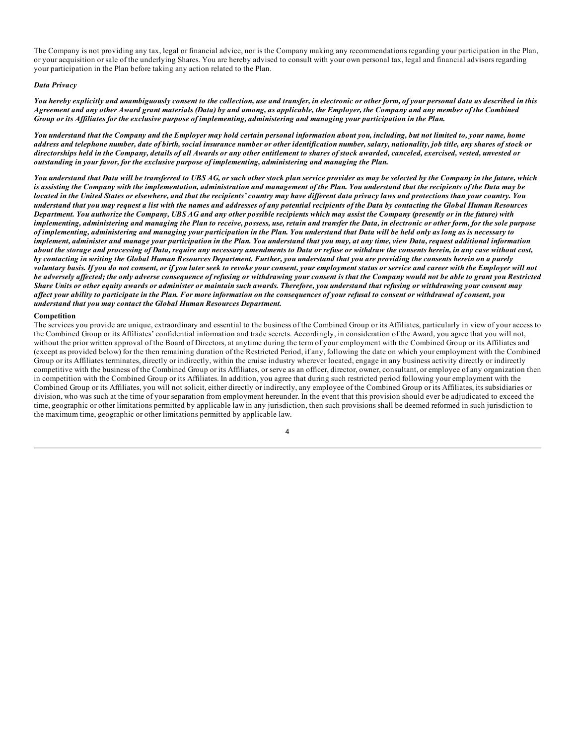The Company is not providing any tax, legal or financial advice, nor is the Company making any recommendations regarding your participation in the Plan, or your acquisition or sale of the underlying Shares. You are hereby advised to consult with your own personal tax, legal and financial advisors regarding your participation in the Plan before taking any action related to the Plan.

#### *Data Privacy*

You hereby explicitly and unambiguously consent to the collection, use and transfer, in electronic or other form, of your personal data as described in this Agreement and any other Award grant materials (Data) by and among, as applicable, the Employer, the Company and any member of the Combined Group or its Affiliates for the exclusive purpose of implementing, administering and managing your participation in the Plan.

You understand that the Company and the Employer may hold certain personal information about you, including, but not limited to, your name, home address and telephone number, date of birth, social insurance number or other identification number, salary, nationality, job title, any shares of stock or directorships held in the Company, details of all Awards or any other entitlement to shares of stock awarded, canceled, exercised, vested, unvested or *outstanding in your favor, for the exclusive purpose of implementing, administering and managing the Plan.*

You understand that Data will be transferred to UBS AG, or such other stock plan service provider as may be selected by the Company in the future, which is assisting the Company with the implementation, administration and management of the Plan. You understand that the recipients of the Data may be located in the United States or elsewhere, and that the recipients' country may have different data privacy laws and protections than your country. You understand that you may request a list with the names and addresses of any potential recipients of the Data by contacting the Global Human Resources Department. You authorize the Company, UBS AG and any other possible recipients which may assist the Company (presently or in the future) with implementing, administering and managing the Plan to receive, possess, use, retain and transfer the Data, in electronic or other form, for the sole purpose of implementing, administering and managing your participation in the Plan. You understand that Data will be held only as long as is necessary to implement, administer and manage your participation in the Plan. You understand that you may, at any time, view Data, request additional information about the storage and processing of Data, require any necessary amendments to Data or refuse or withdraw the consents herein, in any case without cost, by contacting in writing the Global Human Resources Department. Further, you understand that you are providing the consents herein on a purely voluntary basis. If you do not consent, or if you later seek to revoke your consent, your employment status or service and career with the Employer will not be adversely affected; the only adverse consequence of refusing or withdrawing your consent is that the Company would not be able to grant you Restricted Share Units or other equity awards or administer or maintain such awards. Therefore, you understand that refusing or withdrawing your consent may affect your ability to participate in the Plan. For more information on the consequences of your refusal to consent or withdrawal of consent, you *understand that you may contact the Global Human Resources Department.*

## **Competition**

The services you provide are unique, extraordinary and essential to the business of the Combined Group or its Affiliates, particularly in view of your access to the Combined Group or its Affiliates' confidential information and trade secrets. Accordingly, in consideration of the Award, you agree that you will not, without the prior written approval of the Board of Directors, at anytime during the term of your employment with the Combined Group or its Affiliates and (except as provided below) for the then remaining duration of the Restricted Period, if any, following the date on which your employment with the Combined Group or its Affiliates terminates, directly or indirectly, within the cruise industry wherever located, engage in any business activity directly or indirectly competitive with the business of the Combined Group or its Affiliates, or serve as an officer, director, owner, consultant, or employee of any organization then in competition with the Combined Group or its Affiliates. In addition, you agree that during such restricted period following your employment with the Combined Group or its Affiliates, you will not solicit, either directly or indirectly, any employee of the Combined Group or its Affiliates, its subsidiaries or division, who was such at the time of your separation from employment hereunder. In the event that this provision should ever be adjudicated to exceed the time, geographic or other limitations permitted by applicable law in any jurisdiction, then such provisions shall be deemed reformed in such jurisdiction to the maximum time, geographic or other limitations permitted by applicable law.

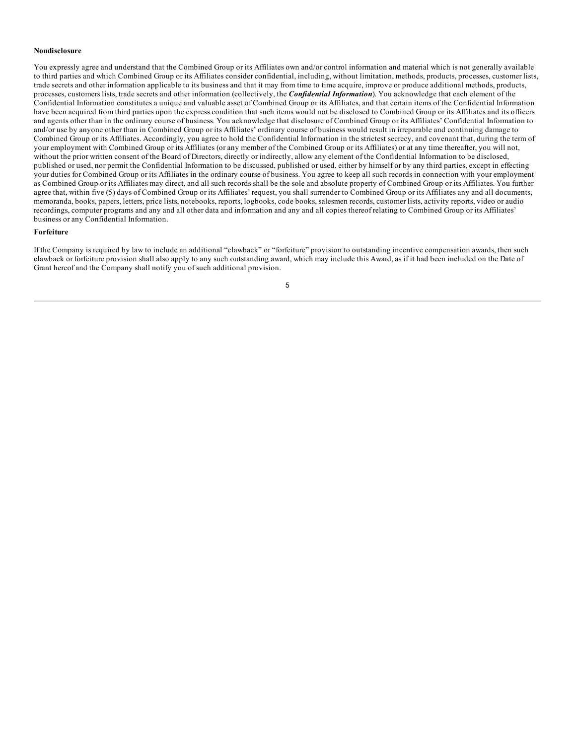#### **Nondisclosure**

You expressly agree and understand that the Combined Group or its Affiliates own and/or control information and material which is not generally available to third parties and which Combined Group or its Affiliates consider confidential, including, without limitation, methods, products, processes, customer lists, trade secrets and other information applicable to its business and that it may from time to time acquire, improve or produce additional methods, products, processes, customers lists, trade secrets and other information (collectively, the *Confidential Information*). You acknowledge that each element of the Confidential Information constitutes a unique and valuable asset of Combined Group or its Affiliates, and that certain items of the Confidential Information have been acquired from third parties upon the express condition that such items would not be disclosed to Combined Group or its Affiliates and its officers and agents other than in the ordinary course of business. You acknowledge that disclosure of Combined Group or its Affiliates' Confidential Information to and/or use by anyone other than in Combined Group or its Affiliates' ordinary course of business would result in irreparable and continuing damage to Combined Group or its Affiliates. Accordingly, you agree to hold the Confidential Information in the strictest secrecy, and covenant that, during the term of your employment with Combined Group or its Affiliates (or any member of the Combined Group or its Affiliates) or at any time thereafter, you will not, without the prior written consent of the Board of Directors, directly or indirectly, allow any element of the Confidential Information to be disclosed, published or used, nor permit the Confidential Information to be discussed, published or used, either by himself or by any third parties, except in effecting your duties for Combined Group or its Affiliates in the ordinary course of business. You agree to keep all such records in connection with your employment as Combined Group or its Affiliates may direct, and all such records shall be the sole and absolute property of Combined Group or its Affiliates. You further agree that, within five (5) days of Combined Group or its Affiliates' request, you shall surrender to Combined Group or its Affiliates any and all documents, memoranda, books, papers, letters, price lists, notebooks, reports, logbooks, code books, salesmen records, customer lists, activity reports, video or audio recordings, computer programs and any and all other data and information and any and all copies thereof relating to Combined Group or its Affiliates' business or any Confidential Information.

## **Forfeiture**

If the Company is required by law to include an additional "clawback" or "forfeiture" provision to outstanding incentive compensation awards, then such clawback or forfeiture provision shall also apply to any such outstanding award, which may include this Award, as if it had been included on the Date of Grant hereof and the Company shall notify you of such additional provision.

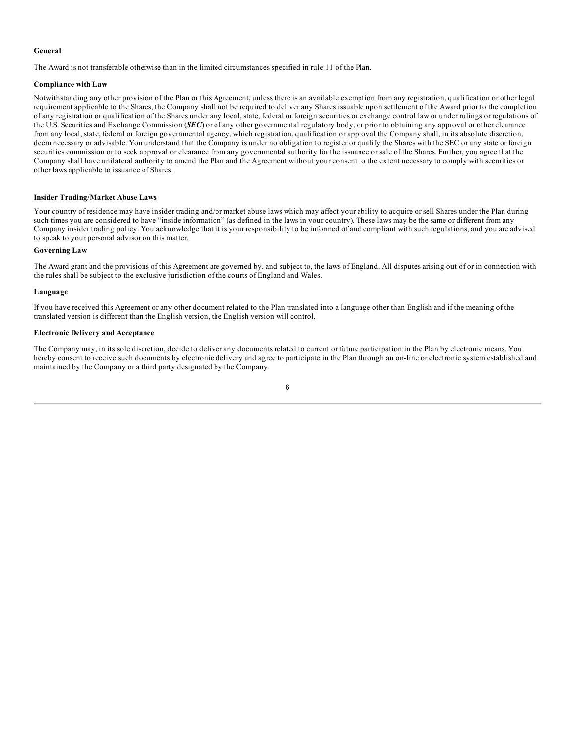## **General**

The Award is not transferable otherwise than in the limited circumstances specified in rule 11 of the Plan.

#### **Compliance with Law**

Notwithstanding any other provision of the Plan or this Agreement, unless there is an available exemption from any registration, qualification or other legal requirement applicable to the Shares, the Company shall not be required to deliver any Shares issuable upon settlement of the Award prior to the completion of any registration or qualification of the Shares under any local, state, federal or foreign securities or exchange control law or under rulings or regulations of the U.S. Securities and Exchange Commission (*SEC*) or of any other governmental regulatory body, or prior to obtaining any approval or other clearance from any local, state, federal or foreign governmental agency, which registration, qualification or approval the Company shall, in its absolute discretion, deem necessary or advisable. You understand that the Company is under no obligation to register or qualify the Shares with the SEC or any state or foreign securities commission or to seek approval or clearance from any governmental authority for the issuance or sale of the Shares. Further, you agree that the Company shall have unilateral authority to amend the Plan and the Agreement without your consent to the extent necessary to comply with securities or other laws applicable to issuance of Shares.

#### **Insider Trading/Market Abuse Laws**

Your country of residence may have insider trading and/or market abuse laws which may affect your ability to acquire or sell Shares under the Plan during such times you are considered to have "inside information" (as defined in the laws in your country). These laws may be the same or different from any Company insider trading policy. You acknowledge that it is your responsibility to be informed of and compliant with such regulations, and you are advised to speak to your personal advisor on this matter.

#### **Governing Law**

The Award grant and the provisions of this Agreement are governed by, and subject to, the laws of England. All disputes arising out of or in connection with the rules shall be subject to the exclusive jurisdiction of the courts of England and Wales.

#### **Language**

If you have received this Agreement or any other document related to the Plan translated into a language other than English and if the meaning of the translated version is different than the English version, the English version will control.

#### **Electronic Delivery and Acceptance**

The Company may, in its sole discretion, decide to deliver any documents related to current or future participation in the Plan by electronic means. You hereby consent to receive such documents by electronic delivery and agree to participate in the Plan through an on-line or electronic system established and maintained by the Company or a third party designated by the Company.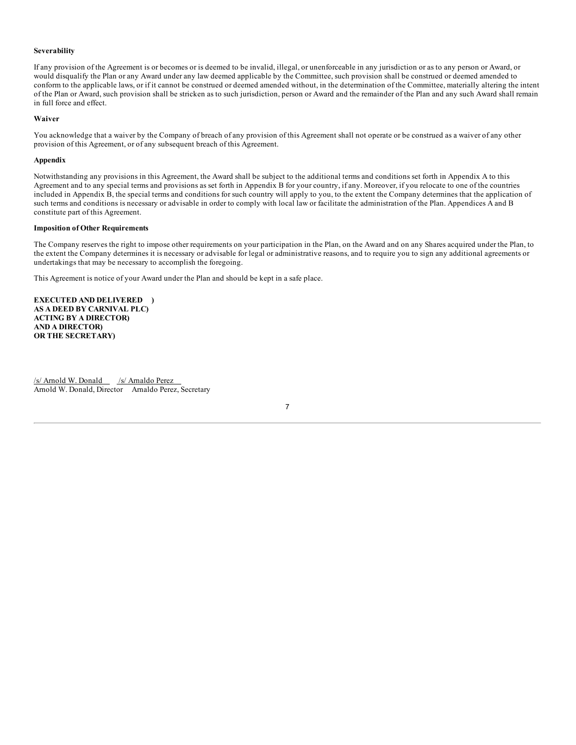## **Severability**

If any provision of the Agreement is or becomes or is deemed to be invalid, illegal, or unenforceable in any jurisdiction or as to any person or Award, or would disqualify the Plan or any Award under any law deemed applicable by the Committee, such provision shall be construed or deemed amended to conform to the applicable laws, or if it cannot be construed or deemed amended without, in the determination of the Committee, materially altering the intent of the Plan or Award, such provision shall be stricken as to such jurisdiction, person or Award and the remainder of the Plan and any such Award shall remain in full force and effect.

#### **Waiver**

You acknowledge that a waiver by the Company of breach of any provision of this Agreement shall not operate or be construed as a waiver of any other provision of this Agreement, or of any subsequent breach of this Agreement.

#### **Appendix**

Notwithstanding any provisions in this Agreement, the Award shall be subject to the additional terms and conditions set forth in Appendix A to this Agreement and to any special terms and provisions as set forth in Appendix B for your country, if any. Moreover, if you relocate to one of the countries included in Appendix B, the special terms and conditions for such country will apply to you, to the extent the Company determines that the application of such terms and conditions is necessary or advisable in order to comply with local law or facilitate the administration of the Plan. Appendices A and B constitute part of this Agreement.

## **Imposition of Other Requirements**

The Company reserves the right to impose other requirements on your participation in the Plan, on the Award and on any Shares acquired under the Plan, to the extent the Company determines it is necessary or advisable for legal or administrative reasons, and to require you to sign any additional agreements or undertakings that may be necessary to accomplish the foregoing.

This Agreement is notice of your Award under the Plan and should be kept in a safe place.

**EXECUTED AND DELIVERED ) AS A DEED BY CARNIVAL PLC) ACTING BY A DIRECTOR) AND A DIRECTOR) OR THE SECRETARY)**

/s/ Arnold W. Donald /s/ Arnaldo Perez Arnold W. Donald, Director Arnaldo Perez, Secretary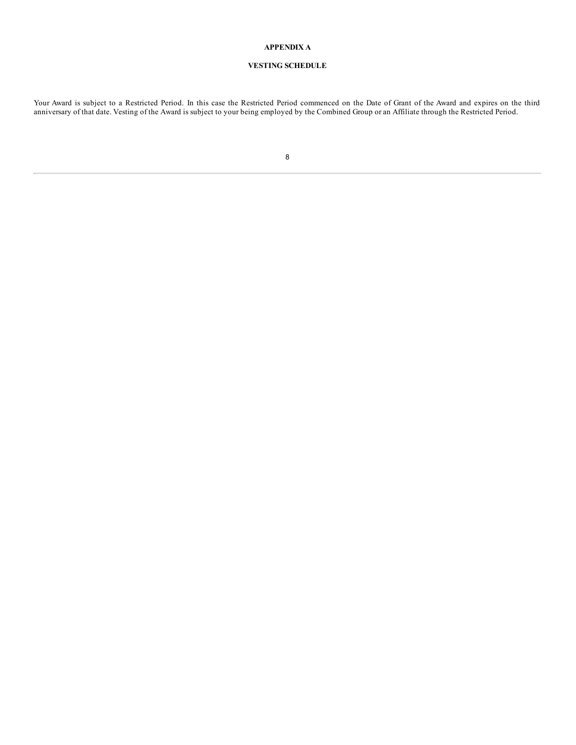# **APPENDIX A**

# **VESTING SCHEDULE**

Your Award is subject to a Restricted Period. In this case the Restricted Period commenced on the Date of Grant of the Award and expires on the third anniversary of that date. Vesting of the Award is subject to your being employed by the Combined Group or an Affiliate through the Restricted Period.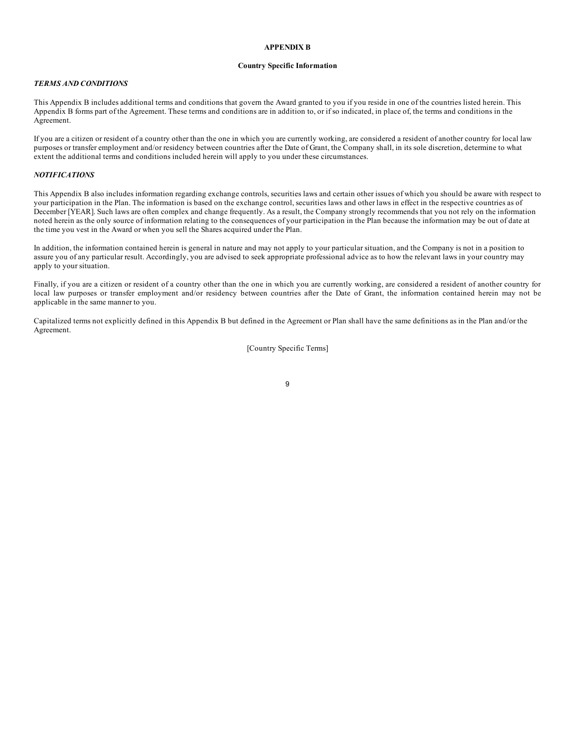## **APPENDIX B**

#### **Country Specific Information**

# *TERMS AND CONDITIONS*

This Appendix B includes additional terms and conditions that govern the Award granted to you if you reside in one of the countries listed herein. This Appendix B forms part of the Agreement. These terms and conditions are in addition to, or if so indicated, in place of, the terms and conditions in the Agreement.

If you are a citizen or resident of a country other than the one in which you are currently working, are considered a resident of another country for local law purposes or transfer employment and/or residency between countries after the Date of Grant, the Company shall, in its sole discretion, determine to what extent the additional terms and conditions included herein will apply to you under these circumstances.

## *NOTIFICATIONS*

This Appendix B also includes information regarding exchange controls, securities laws and certain other issues of which you should be aware with respect to your participation in the Plan. The information is based on the exchange control, securities laws and other laws in effect in the respective countries as of December [YEAR]. Such laws are often complex and change frequently. As a result, the Company strongly recommends that you not rely on the information noted herein as the only source of information relating to the consequences of your participation in the Plan because the information may be out of date at the time you vest in the Award or when you sell the Shares acquired under the Plan.

In addition, the information contained herein is general in nature and may not apply to your particular situation, and the Company is not in a position to assure you of any particular result. Accordingly, you are advised to seek appropriate professional advice as to how the relevant laws in your country may apply to your situation.

Finally, if you are a citizen or resident of a country other than the one in which you are currently working, are considered a resident of another country for local law purposes or transfer employment and/or residency between countries after the Date of Grant, the information contained herein may not be applicable in the same manner to you.

Capitalized terms not explicitly defined in this Appendix B but defined in the Agreement or Plan shall have the same definitions as in the Plan and/or the Agreement.

[Country Specific Terms]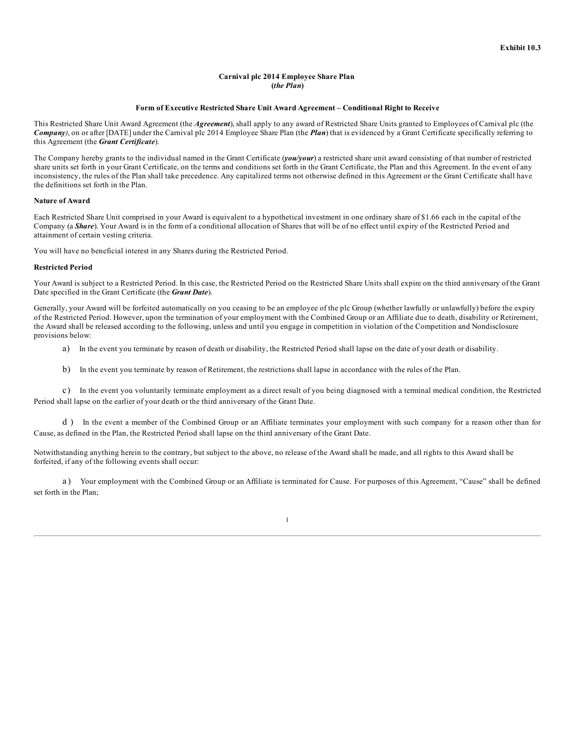## **Carnival plc 2014 Employee Share Plan (***the Plan***)**

## **Form of Executive Restricted Share Unit Award Agreement – Conditional Right to Receive**

This Restricted Share Unit Award Agreement (the *Agreement*), shall apply to any award of Restricted Share Units granted to Employees of Carnival plc (the *Company)*, on or after [DATE] under the Carnival plc 2014 Employee Share Plan (the *Plan*) that is evidenced by a Grant Certificate specifically referring to this Agreement (the *Grant Certificate*).

The Company hereby grants to the individual named in the Grant Certificate (*you/your*) a restricted share unit award consisting of that number of restricted share units set forth in your Grant Certificate, on the terms and conditions set forth in the Grant Certificate, the Plan and this Agreement. In the event of any inconsistency, the rules of the Plan shall take precedence. Any capitalized terms not otherwise defined in this Agreement or the Grant Certificate shall have the definitions set forth in the Plan.

#### **Nature of Award**

Each Restricted Share Unit comprised in your Award is equivalent to a hypothetical investment in one ordinary share of \$1.66 each in the capital of the Company (a *Share*). Your Award is in the form of a conditional allocation of Shares that will be of no effect until expiry of the Restricted Period and attainment of certain vesting criteria.

You will have no beneficial interest in any Shares during the Restricted Period.

#### **Restricted Period**

Your Award is subject to a Restricted Period. In this case, the Restricted Period on the Restricted Share Units shall expire on the third anniversary of the Grant Date specified in the Grant Certificate (the *Grant Date*).

Generally, your Award will be forfeited automatically on you ceasing to be an employee of the plc Group (whether lawfully or unlawfully) before the expiry of the Restricted Period. However, upon the termination of your employment with the Combined Group or an Affiliate due to death, disability or Retirement, the Award shall be released according to the following, unless and until you engage in competition in violation of the Competition and Nondisclosure provisions below:

- a) In the event you terminate by reason of death or disability, the Restricted Period shall lapse on the date of your death or disability.
- b) In the event you terminate by reason of Retirement, the restrictions shall lapse in accordance with the rules of the Plan.

c) In the event you voluntarily terminate employment as a direct result of you being diagnosed with a terminal medical condition, the Restricted Period shall lapse on the earlier of your death or the third anniversary of the Grant Date.

d ) In the event a member of the Combined Group or an Affiliate terminates your employment with such company for a reason other than for Cause, as defined in the Plan, the Restricted Period shall lapse on the third anniversary of the Grant Date.

Notwithstanding anything herein to the contrary, but subject to the above, no release of the Award shall be made, and all rights to this Award shall be forfeited, if any of the following events shall occur:

a ) Your employment with the Combined Group or an Affiliate is terminated for Cause. For purposes of this Agreement, "Cause" shall be defined set forth in the Plan;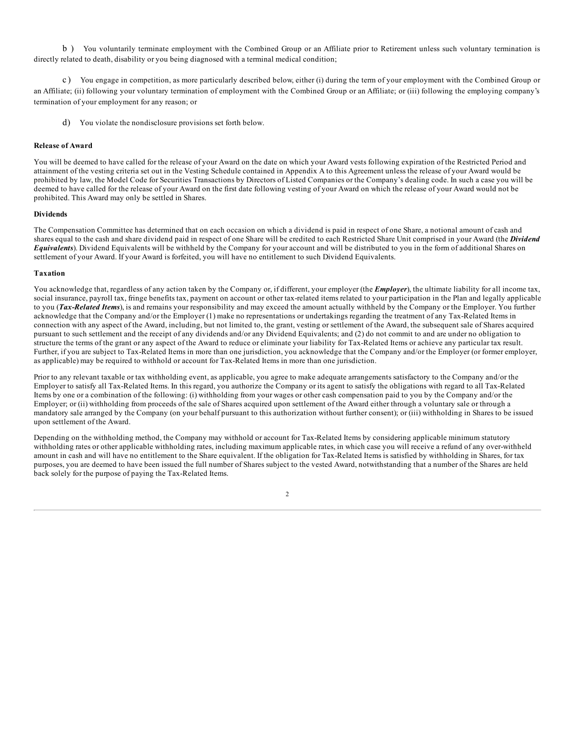b ) You voluntarily terminate employment with the Combined Group or an Affiliate prior to Retirement unless such voluntary termination is directly related to death, disability or you being diagnosed with a terminal medical condition;

c ) You engage in competition, as more particularly described below, either (i) during the term of your employment with the Combined Group or an Affiliate; (ii) following your voluntary termination of employment with the Combined Group or an Affiliate; or (iii) following the employing company's termination of your [employment](#page-1-0) for any reason; or

d) You [violate](#page-1-0) the nondisclosure provisions set forth below.

# **Release of Aw[ard](#page-37-0)**

You will be deemed to have called for the release of your Award on the date on which your Award vests following expiration of the Restricted Period an[d](#page-37-0) attainment of the [vesting](#page-37-0) criteria set out in the Vesting Schedule contained in Appendix A to this Agreement unless the release of your Award would be [prohibited](#page-38-0) by law, the Model Code for Securities Transactions by Directors of Listed Companies or the Company's dealing code. In such a case you will be deemed to have called for the release of your Award on the first date following vesting of your Award on which the release of your Award would not be prohibited. This [Award](#page-38-0) may only be settled in Shares.

## **Dividends**

The Compens[ation](#page-39-0) Committee has determined that on each occasion on which a dividend is paid in respect of one Share, a notional amount of cash and shares equal to the cash and share dividend paid in respect of one Share will be credited to each Restricted Share Unit comprised in your Award (the *Divi[den](#page-39-0)d [Equivalents](#page-41-0)*). Dividend Equivalents will be withheld by the Company for your account and will be distributed to you in the form of additional Shares o[n](#page-41-0) settlement of your Award. If your Award is forfeited, you will have no entitlement to such Dividend Equivalents.

## **Taxation**

You acknowledge that, regardless of any action taken by the Company or, if different, your employer (the *Employer*), the ultimate liability for all income tax, social insurance, payroll tax, fringe benefits tax, payment on account or other tax-related items related to your participation in the Plan and legally applicable to you (*Tax-Related Items*), is and remains your responsibility and may exceed the amount actually withheld by the Company or the Employer. You further acknowledge that the Company and/or the Employer (1) make no representations or undertakings regarding the treatment of any Tax-Related Items in connection with any aspect of the Award, including, but not limited to, the grant, vesting or settlement of the Award, the subsequent sale of Shares acquired pursuant to such settlement and the receipt of any dividends and/or any Dividend Equivalents; and (2) do not commit to and are under no obligation to structure the terms of the grant or any aspect of the Award to reduce or eliminate your liability for Tax-Related Items or achieve any particular tax result. Further, if you are subject to Tax-Related Items in more than one jurisdiction, you acknowledge that the Company and/or the Employer (or former employer, as applicable) may be required to withhold or account for Tax-Related Items in more than one jurisdiction.

Prior to any relevant taxable or tax withholding event, as applicable, you agree to make adequate arrangements satisfactory to the Company and/or the Employer to satisfy all Tax-Related Items. In this regard, you authorize the Company or its agent to satisfy the obligations with regard to all Tax-Related Items by one or a combination of the following: (i) withholding from your wages or other cash compensation paid to you by the Company and/or the Employer; or (ii) withholding from proceeds of the sale of Shares acquired upon settlement of the Award either through a voluntary sale or through a mandatory sale arranged by the Company (on your behalf pursuant to this authorization without further consent); or (iii) withholding in Shares to be issued upon settlement of the Award.

Depending on the withholding method, the Company may withhold or account for Tax-Related Items by considering applicable minimum statutory withholding rates or other applicable withholding rates, including maximum applicable rates, in which case you will receive a refund of any over-withheld amount in cash and will have no entitlement to the Share equivalent. If the obligation for Tax-Related Items is satisfied by withholding in Shares, for tax purposes, you are deemed to have been issued the full number of Shares subject to the vested Award, notwithstanding that a number of the Shares are held back solely for the purpose of paying the Tax-Related Items.

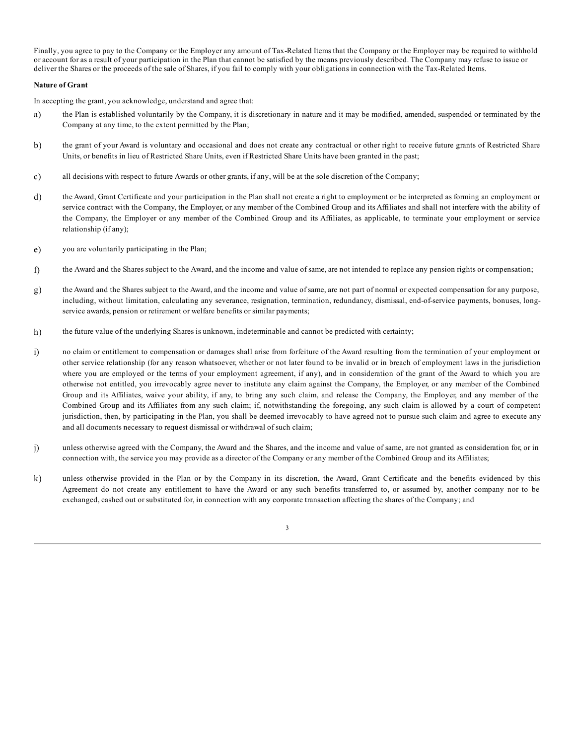Finally, you agree to pay to the Company or the Employer any amount of Tax-Related Items that the Company or the Employer may be required to withhold or account for as a result of your participation in the Plan that cannot be satisfied by the means previously described. The Company may refuse to issue or deliver the Shares or the proceeds of the sale of Shares, if you fail to comply with your obligations in connection with the Tax-Related Items.

# **Nature of Grant**

In accepting the grant, you acknowledge, understand and agree that:

- a) the Plan is established voluntarily by the Company, it is discretionary in nature and it may be modified, amended, suspended or terminated by the Company at any time, to the extent permitted by the Plan;
- b) the grant of your Award is voluntary and occasional and does not create any contractual or other right to receive future grants of Restricted Share Units, or benefits in lieu of Restricted Share Units, even if Restricted Share Units have been granted in the past;
- c) all decisions with respect to future Awards or other grants, if any, will be at the sole discretion of the Company;
- d) the Award, Grant Certificate and your participation in the Plan shall not create a right to employment or be interpreted as forming an employment or service contract with the Company, the Employer, or any member of the Combined Group and its Affiliates and shall not interfere with the ability of the Company, the Employer or any member of the Combined Group and its Affiliates, as applicable, to terminate your employment or service relationship (if any);
- e) you are voluntarily participating in the Plan;
- f) the Award and the Shares subject to the Award, and the income and value of same, are not intended to replace any pension rights or compensation;
- g) the Award and the Shares subject to the Award, and the income and value of same, are not part of normal or expected compensation for any purpose, including, without limitation, calculating any severance, resignation, termination, redundancy, dismissal, end-of-service payments, bonuses, longservice awards, pension or retirement or welfare benefits or similar payments;
- h) the future value of the underlying Shares is unknown, indeterminable and cannot be predicted with certainty;
- i) no claim or entitlement to compensation or damages shall arise from forfeiture of the Award resulting from the termination of your employment or other service relationship (for any reason whatsoever, whether or not later found to be invalid or in breach of employment laws in the jurisdiction where you are employed or the terms of your employment agreement, if any), and in consideration of the grant of the Award to which you are otherwise not entitled, you irrevocably agree never to institute any claim against the Company, the Employer, or any member of the Combined Group and its Affiliates, waive your ability, if any, to bring any such claim, and release the Company, the Employer, and any member of the Combined Group and its Affiliates from any such claim; if, notwithstanding the foregoing, any such claim is allowed by a court of competent jurisdiction, then, by participating in the Plan, you shall be deemed irrevocably to have agreed not to pursue such claim and agree to execute any and all documents necessary to request dismissal or withdrawal of such claim;
- j) unless otherwise agreed with the Company, the Award and the Shares, and the income and value of same, are not granted as consideration for, or in connection with, the service you may provide as a director of the Company or any member of the Combined Group and its Affiliates;
- k) unless otherwise provided in the Plan or by the Company in its discretion, the Award, Grant Certificate and the benefits evidenced by this Agreement do not create any entitlement to have the Award or any such benefits transferred to, or assumed by, another company nor to be exchanged, cashed out or substituted for, in connection with any corporate transaction affecting the shares of the Company; and

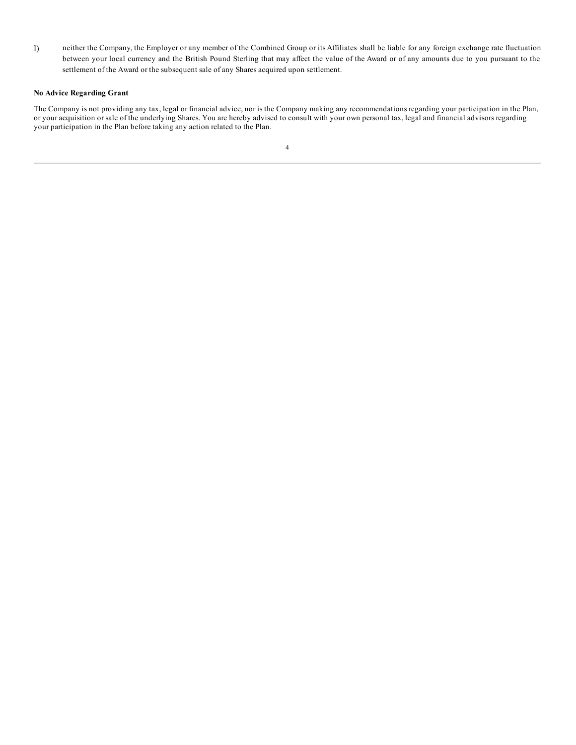l) neither the Company, the Employer or any member of the Combined Group or its Affiliates shall be liable for any foreign exchange rate fluctuation between your local currency and the British Pound Sterling that may affect the value of the Award or of any amounts due to you pursuant to the settlement of the Award or the subsequent sale of any Shares acquired upon settlement.

# **No Advice Regarding Grant**

The Company is not providing any tax, legal or financial advice, nor is the Company making any recommendations regarding your participation in the Plan, or your acquisition or sale of the underlying Shares. You are hereby advised to consult with your own personal tax, legal and financial advisors regarding your participation in the Plan before taking any action related to the Plan.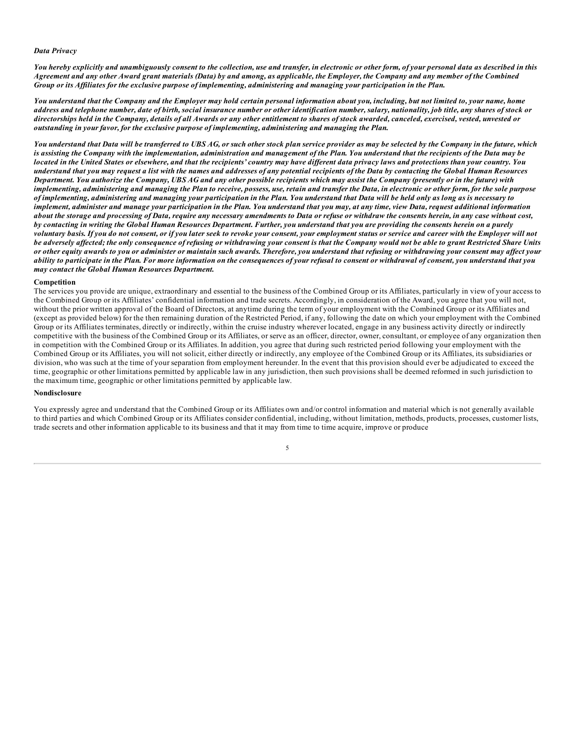#### *Data Privacy*

You hereby explicitly and unambiguously consent to the collection, use and transfer, in electronic or other form, of your personal data as described in this Agreement and any other Award grant materials (Data) by and among, as applicable, the Employer, the Company and any member of the Combined Group or its Affiliates for the exclusive purpose of implementing, administering and managing your participation in the Plan.

You understand that the Company and the Employer may hold certain personal information about you, including, but not limited to, your name, home address and telephone number, date of birth, social insurance number or other identification number, salary, nationality, job title, any shares of stock or directorships held in the Company, details of all Awards or any other entitlement to shares of stock awarded, canceled, exercised, vested, unvested or *outstanding in your favor, for the exclusive purpose of implementing, administering and managing the Plan.*

You understand that Data will be transferred to UBS AG, or such other stock plan service provider as may be selected by the Company in the future, which is assisting the Company with the implementation, administration and management of the Plan. You understand that the recipients of the Data may be located in the United States or elsewhere, and that the recipients' country may have different data privacy laws and protections than your country. You understand that you may request a list with the names and addresses of any potential recipients of the Data by contacting the Global Human Resources Department. You authorize the Company, UBS AG and any other possible recipients which may assist the Company (presently or in the future) with implementing, administering and managing the Plan to receive, possess, use, retain and transfer the Data, in electronic or other form, for the sole purpose of implementing, administering and managing your participation in the Plan. You understand that Data will be held only as long as is necessary to implement, administer and manage your participation in the Plan. You understand that you may, at any time, view Data, request additional information about the storage and processing of Data, require any necessary amendments to Data or refuse or withdraw the consents herein, in any case without cost, by contacting in writing the Global Human Resources Department. Further, you understand that you are providing the consents herein on a purely voluntary basis. If you do not consent, or if you later seek to revoke your consent, your employment status or service and career with the Employer will not be adversely affected; the only consequence of refusing or withdrawing your consent is that the Company would not be able to grant Restricted Share Units or other equity awards to you or administer or maintain such awards. Therefore, you understand that refusing or withdrawing your consent may affect your ability to participate in the Plan. For more information on the consequences of your refusal to consent or withdrawal of consent, you understand that you *may contact the Global Human Resources Department.*

#### **Competition**

The services you provide are unique, extraordinary and essential to the business of the Combined Group or its Affiliates, particularly in view of your access to the Combined Group or its Affiliates' confidential information and trade secrets. Accordingly, in consideration of the Award, you agree that you will not, without the prior written approval of the Board of Directors, at anytime during the term of your employment with the Combined Group or its Affiliates and (except as provided below) for the then remaining duration of the Restricted Period, if any, following the date on which your employment with the Combined Group or its Affiliates terminates, directly or indirectly, within the cruise industry wherever located, engage in any business activity directly or indirectly competitive with the business of the Combined Group or its Affiliates, or serve as an officer, director, owner, consultant, or employee of any organization then in competition with the Combined Group or its Affiliates. In addition, you agree that during such restricted period following your employment with the Combined Group or its Affiliates, you will not solicit, either directly or indirectly, any employee of the Combined Group or its Affiliates, its subsidiaries or division, who was such at the time of your separation from employment hereunder. In the event that this provision should ever be adjudicated to exceed the time, geographic or other limitations permitted by applicable law in any jurisdiction, then such provisions shall be deemed reformed in such jurisdiction to the maximum time, geographic or other limitations permitted by applicable law.

## **Nondisclosure**

You expressly agree and understand that the Combined Group or its Affiliates own and/or control information and material which is not generally available to third parties and which Combined Group or its Affiliates consider confidential, including, without limitation, methods, products, processes, customer lists, trade secrets and other information applicable to its business and that it may from time to time acquire, improve or produce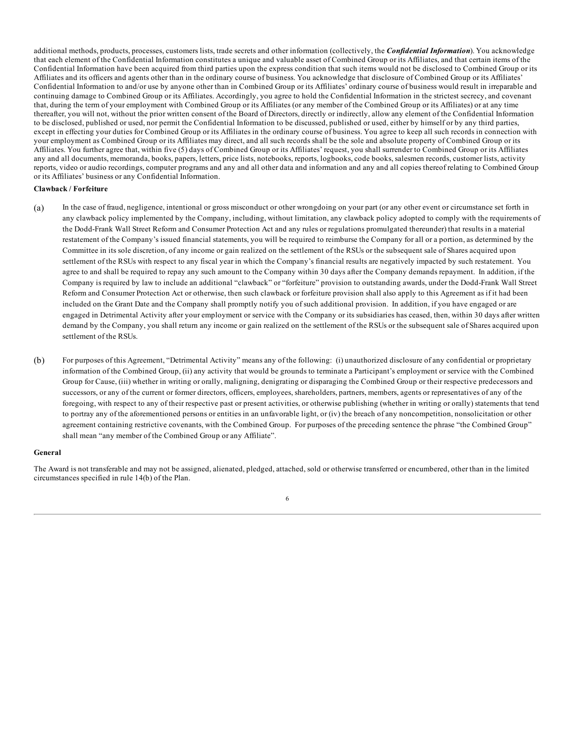additional methods, products, processes, customers lists, trade secrets and other information (collectively, the *Confidential Information*). You acknowledge that each element of the Confidential Information constitutes a unique and valuable asset of Combined Group or its Affiliates, and that certain items of the Confidential Information have been acquired from third parties upon the express condition that such items would not be disclosed to Combined Group or its Affiliates and its officers and agents other than in the ordinary course of business. You acknowledge that disclosure of Combined Group or its Affiliates' Confidential Information to and/or use by anyone other than in Combined Group or its Affiliates' ordinary course of business would result in irreparable and continuing damage to Combined Group or its Affiliates. Accordingly, you agree to hold the Confidential Information in the strictest secrecy, and covenant that, during the term of your employment with Combined Group or its Affiliates (or any member of the Combined Group or its Affiliates) or at any time thereafter, you will not, without the prior written consent of the Board of Directors, directly or indirectly, allow any element of the Confidential Information to be disclosed, published or used, nor permit the Confidential Information to be discussed, published or used, either by himself or by any third parties, except in effecting your duties for Combined Group or its Affiliates in the ordinary course of business. You agree to keep all such records in connection with your employment as Combined Group or its Affiliates may direct, and all such records shall be the sole and absolute property of Combined Group or its Affiliates. You further agree that, within five (5) days of Combined Group or its Affiliates' request, you shall surrender to Combined Group or its Affiliates any and all documents, memoranda, books, papers, letters, price lists, notebooks, reports, logbooks, code books, salesmen records, customer lists, activity reports, video or audio recordings, computer programs and any and all other data and information and any and all copies thereof relating to Combined Group or its Affiliates' business or any Confidential Information.

## **Clawback / Forfeiture**

- (a) In the case of fraud, negligence, intentional or gross misconduct or other wrongdoing on your part (or any other event or circumstance set forth in any clawback policy implemented by the Company, including, without limitation, any clawback policy adopted to comply with the requirements of the Dodd-Frank Wall Street Reform and Consumer Protection Act and any rules or regulations promulgated thereunder) that results in a material restatement of the Company's issued financial statements, you will be required to reimburse the Company for all or a portion, as determined by the Committee in its sole discretion, of any income or gain realized on the settlement of the RSUs or the subsequent sale of Shares acquired upon settlement of the RSUs with respect to any fiscal year in which the Company's financial results are negatively impacted by such restatement. You agree to and shall be required to repay any such amount to the Company within 30 days after the Company demands repayment. In addition, if the Company is required by law to include an additional "clawback" or "forfeiture" provision to outstanding awards, under the Dodd-Frank Wall Street Reform and Consumer Protection Act or otherwise, then such clawback or forfeiture provision shall also apply to this Agreement as if it had been included on the Grant Date and the Company shall promptly notify you of such additional provision. In addition, if you have engaged or are engaged in Detrimental Activity after your employment or service with the Company or its subsidiaries has ceased, then, within 30 days after written demand by the Company, you shall return any income or gain realized on the settlement of the RSUs or the subsequent sale of Shares acquired upon settlement of the RSUs.
- (b) For purposes of this Agreement, "Detrimental Activity" means any of the following: (i) unauthorized disclosure of any confidential or proprietary information of the Combined Group, (ii) any activity that would be grounds to terminate a Participant's employment or service with the Combined Group for Cause, (iii) whether in writing or orally, maligning, denigrating or disparaging the Combined Group or their respective predecessors and successors, or any of the current or former directors, officers, employees, shareholders, partners, members, agents or representatives of any of the foregoing, with respect to any of their respective past or present activities, or otherwise publishing (whether in writing or orally) statements that tend to portray any of the aforementioned persons or entities in an unfavorable light, or (iv) the breach of any noncompetition, nonsolicitation or other agreement containing restrictive covenants, with the Combined Group. For purposes of the preceding sentence the phrase "the Combined Group" shall mean "any member of the Combined Group or any Affiliate".

#### **General**

The Award is not transferable and may not be assigned, alienated, pledged, attached, sold or otherwise transferred or encumbered, other than in the limited circumstances specified in rule 14(b) of the Plan.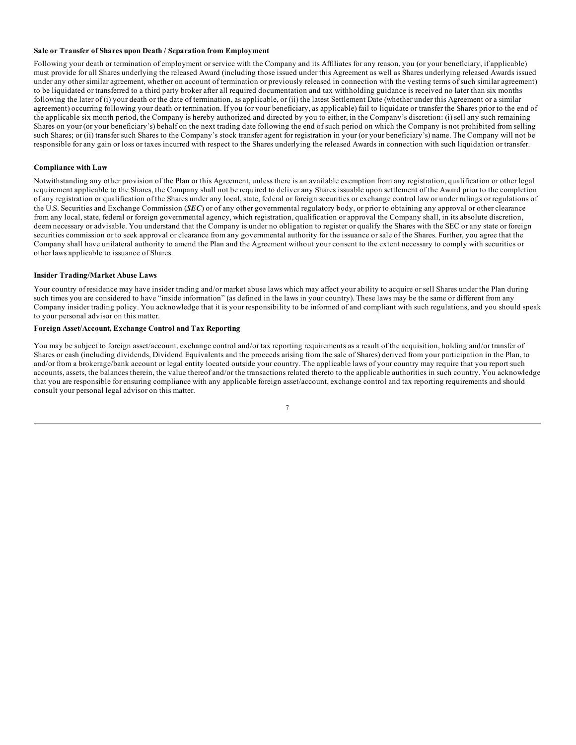#### **Sale or Transfer of Shares upon Death / Separation from Employment**

Following your death or termination of employment or service with the Company and its Affiliates for any reason, you (or your beneficiary, if applicable) must provide for all Shares underlying the released Award (including those issued under this Agreement as well as Shares underlying released Awards issued under any other similar agreement, whether on account of termination or previously released in connection with the vesting terms of such similar agreement) to be liquidated or transferred to a third party broker after all required documentation and tax withholding guidance is received no later than six months following the later of (i) your death or the date of termination, as applicable, or (ii) the latest Settlement Date (whether under this Agreement or a similar agreement) occurring following your death or termination. If you (or your beneficiary, as applicable) fail to liquidate or transfer the Shares prior to the end of the applicable six month period, the Company is hereby authorized and directed by you to either, in the Company's discretion: (i) sell any such remaining Shares on your (or your beneficiary's) behalf on the next trading date following the end of such period on which the Company is not prohibited from selling such Shares; or (ii) transfer such Shares to the Company's stock transfer agent for registration in your (or your beneficiary's) name. The Company will not be responsible for any gain or loss or taxes incurred with respect to the Shares underlying the released Awards in connection with such liquidation or transfer.

#### **Compliance with Law**

Notwithstanding any other provision of the Plan or this Agreement, unless there is an available exemption from any registration, qualification or other legal requirement applicable to the Shares, the Company shall not be required to deliver any Shares issuable upon settlement of the Award prior to the completion of any registration or qualification of the Shares under any local, state, federal or foreign securities or exchange control law or under rulings or regulations of the U.S. Securities and Exchange Commission (*SEC*) or of any other governmental regulatory body, or prior to obtaining any approval or other clearance from any local, state, federal or foreign governmental agency, which registration, qualification or approval the Company shall, in its absolute discretion, deem necessary or advisable. You understand that the Company is under no obligation to register or qualify the Shares with the SEC or any state or foreign securities commission or to seek approval or clearance from any governmental authority for the issuance or sale of the Shares. Further, you agree that the Company shall have unilateral authority to amend the Plan and the Agreement without your consent to the extent necessary to comply with securities or other laws applicable to issuance of Shares.

#### **Insider Trading/Market Abuse Laws**

Your country of residence may have insider trading and/or market abuse laws which may affect your ability to acquire or sell Shares under the Plan during such times you are considered to have "inside information" (as defined in the laws in your country). These laws may be the same or different from any Company insider trading policy. You acknowledge that it is your responsibility to be informed of and compliant with such regulations, and you should speak to your personal advisor on this matter.

## **Foreign Asset/Account, Exchange Control and Tax Reporting**

You may be subject to foreign asset/account, exchange control and/or tax reporting requirements as a result of the acquisition, holding and/or transfer of Shares or cash (including dividends, Dividend Equivalents and the proceeds arising from the sale of Shares) derived from your participation in the Plan, to and/or from a brokerage/bank account or legal entity located outside your country. The applicable laws of your country may require that you report such accounts, assets, the balances therein, the value thereof and/or the transactions related thereto to the applicable authorities in such country. You acknowledge that you are responsible for ensuring compliance with any applicable foreign asset/account, exchange control and tax reporting requirements and should consult your personal legal advisor on this matter.

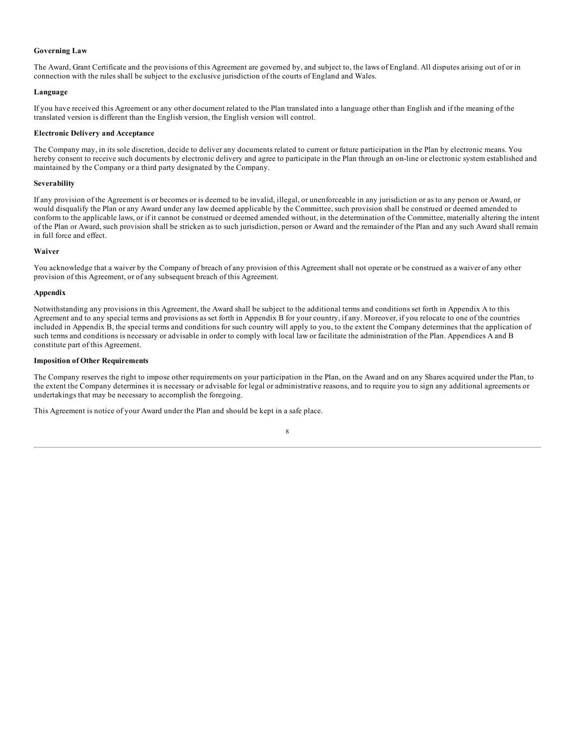#### **Governing Law**

The Award, Grant Certificate and the provisions of this Agreement are governed by, and subject to, the laws of England. All disputes arising out of or in connection with the rules shall be subject to the exclusive jurisdiction of the courts of England and Wales.

#### **Language**

If you have received this Agreement or any other document related to the Plan translated into a language other than English and if the meaning of the translated version is different than the English version, the English version will control.

#### **Electronic Delivery and Acceptance**

The Company may, in its sole discretion, decide to deliver any documents related to current or future participation in the Plan by electronic means. You hereby consent to receive such documents by electronic delivery and agree to participate in the Plan through an on-line or electronic system established and maintained by the Company or a third party designated by the Company.

#### **Severability**

If any provision of the Agreement is or becomes or is deemed to be invalid, illegal, or unenforceable in any jurisdiction or as to any person or Award, or would disqualify the Plan or any Award under any law deemed applicable by the Committee, such provision shall be construed or deemed amended to conform to the applicable laws, or if it cannot be construed or deemed amended without, in the determination of the Committee, materially altering the intent of the Plan or Award, such provision shall be stricken as to such jurisdiction, person or Award and the remainder of the Plan and any such Award shall remain in full force and effect.

#### **Waiver**

You acknowledge that a waiver by the Company of breach of any provision of this Agreement shall not operate or be construed as a waiver of any other provision of this Agreement, or of any subsequent breach of this Agreement.

#### **Appendix**

Notwithstanding any provisions in this Agreement, the Award shall be subject to the additional terms and conditions set forth in Appendix A to this Agreement and to any special terms and provisions as set forth in Appendix B for your country, if any. Moreover, if you relocate to one of the countries included in Appendix B, the special terms and conditions for such country will apply to you, to the extent the Company determines that the application of such terms and conditions is necessary or advisable in order to comply with local law or facilitate the administration of the Plan. Appendices A and B constitute part of this Agreement.

#### **Imposition of Other Requirements**

The Company reserves the right to impose other requirements on your participation in the Plan, on the Award and on any Shares acquired under the Plan, to the extent the Company determines it is necessary or advisable for legal or administrative reasons, and to require you to sign any additional agreements or undertakings that may be necessary to accomplish the foregoing.

This Agreement is notice of your Award under the Plan and should be kept in a safe place.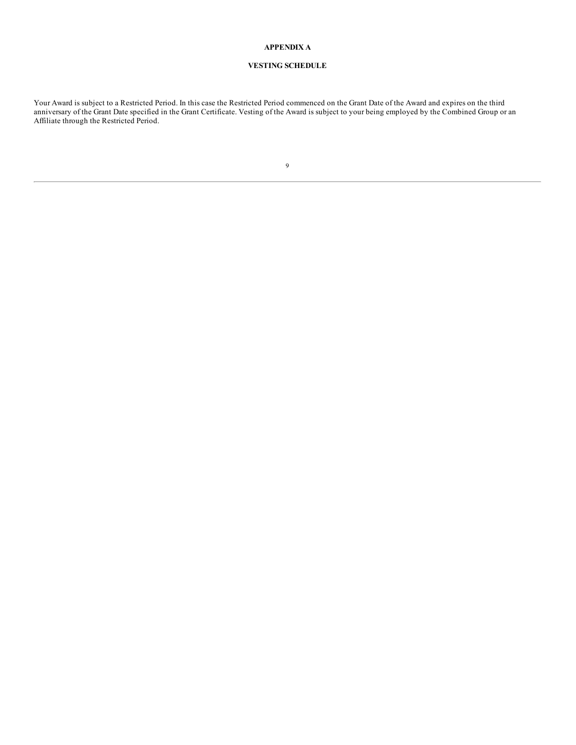### **APPENDIX A**

## **VESTING SCHEDULE**

Your Award is subject to a Restricted Period. In this case the Restricted Period commenced on the Grant Date of the Award and expires on the third anniversary of the Grant Date specified in the Grant Certificate. Vesting of the Award is subject to your being employed by the Combined Group or an Affiliate through the Restricted Period.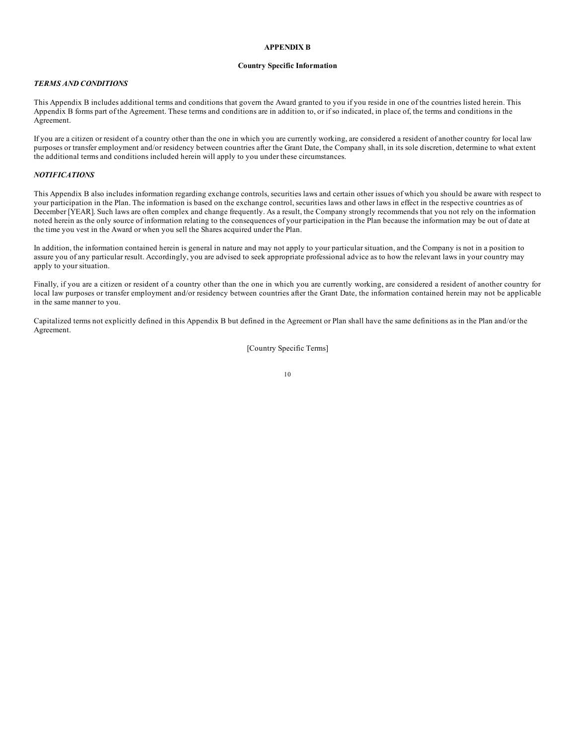#### **APPENDIX B**

#### **Country Specific Information**

#### *TERMS AND CONDITIONS*

This Appendix B includes additional terms and conditions that govern the Award granted to you if you reside in one of the countries listed herein. This Appendix B forms part of the Agreement. These terms and conditions are in addition to, or if so indicated, in place of, the terms and conditions in the Agreement.

If you are a citizen or resident of a country other than the one in which you are currently working, are considered a resident of another country for local law purposes or transfer employment and/or residency between countries after the Grant Date, the Company shall, in its sole discretion, determine to what extent the additional terms and conditions included herein will apply to you under these circumstances.

#### *NOTIFICATIONS*

This Appendix B also includes information regarding exchange controls, securities laws and certain other issues of which you should be aware with respect to your participation in the Plan. The information is based on the exchange control, securities laws and other laws in effect in the respective countries as of December [YEAR]. Such laws are often complex and change frequently. As a result, the Company strongly recommends that you not rely on the information noted herein as the only source of information relating to the consequences of your participation in the Plan because the information may be out of date at the time you vest in the Award or when you sell the Shares acquired under the Plan.

In addition, the information contained herein is general in nature and may not apply to your particular situation, and the Company is not in a position to assure you of any particular result. Accordingly, you are advised to seek appropriate professional advice as to how the relevant laws in your country may apply to your situation.

Finally, if you are a citizen or resident of a country other than the one in which you are currently working, are considered a resident of another country for local law purposes or transfer employment and/or residency between countries after the Grant Date, the information contained herein may not be applicable in the same manner to you.

Capitalized terms not explicitly defined in this Appendix B but defined in the Agreement or Plan shall have the same definitions as in the Plan and/or the Agreement.

[Country Specific Terms]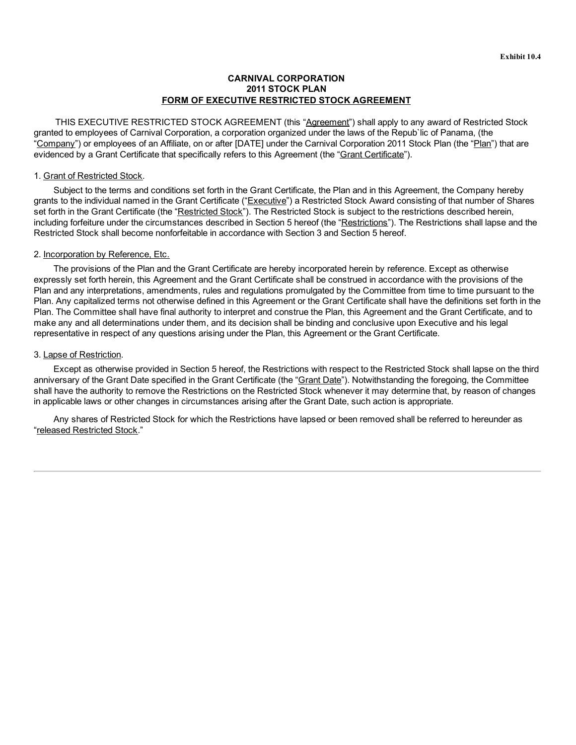## **CARNIVAL CORPORATION 2011 STOCK PLAN FORM OF EXECUTIVE RESTRICTED STOCK AGREEMENT**

THIS EXECUTIVE RESTRICTED STOCK AGREEMENT (this "Agreement") shall apply to any award of Restricted Stock granted to employees of Carnival Corporation, a corporation organized under the laws of the Repub`lic of Panama, (the "Company") or employees of an Affiliate, on or after [DATE] under the Carnival Corporation 2011 Stock Plan (the "Plan") that are evidenced by a Grant Certificate that specifically refers to this Agreement (the "Grant Certificate").

### 1. Grant of Restricted Stock.

Subject to the terms and conditions set forth in the Grant Certificate, the Plan and in this Agreement, the Company hereby grants to the individual named in the Grant Certificate ("Executive") a Restricted Stock Award consisting of that number of Shares set forth in the Grant Certificate (the "Restricted Stock"). The Restricted Stock is subject to the restrictions described herein, including forfeiture under the circumstances described in Section 5 hereof (the "Restrictions"). The Restrictions shall lapse and the Restricted Stock shall become nonforfeitable in accordance with Section 3 and Section 5 hereof.

## 2. Incorporation by Reference, Etc.

The provisions of the Plan and the Grant Certificate are hereby incorporated herein by reference. Except as otherwise expressly set forth herein, this Agreement and the Grant Certificate shall be construed in accordance with the provisions of the Plan and any interpretations, amendments, rules and regulations promulgated by the Committee from time to time pursuant to the Plan. Any capitalized terms not otherwise defined in this Agreement or the Grant Certificate shall have the definitions set forth in the Plan. The Committee shall have final authority to interpret and construe the Plan, this Agreement and the Grant Certificate, and to make any and all determinations under them, and its decision shall be binding and conclusive upon Executive and his legal representative in respect of any questions arising under the Plan, this Agreement or the Grant Certificate.

### 3. Lapse of Restriction.

Except as otherwise provided in Section 5 hereof, the Restrictions with respect to the Restricted Stock shall lapse on the third anniversary of the Grant Date specified in the Grant Certificate (the "Grant Date"). Notwithstanding the foregoing, the Committee shall have the authority to remove the Restrictions on the Restricted Stock whenever it may determine that, by reason of changes in applicable laws or other changes in circumstances arising after the Grant Date, such action is appropriate.

Any shares of Restricted Stock for which the Restrictions have lapsed or been removed shall be referred to hereunder as "released Restricted Stock."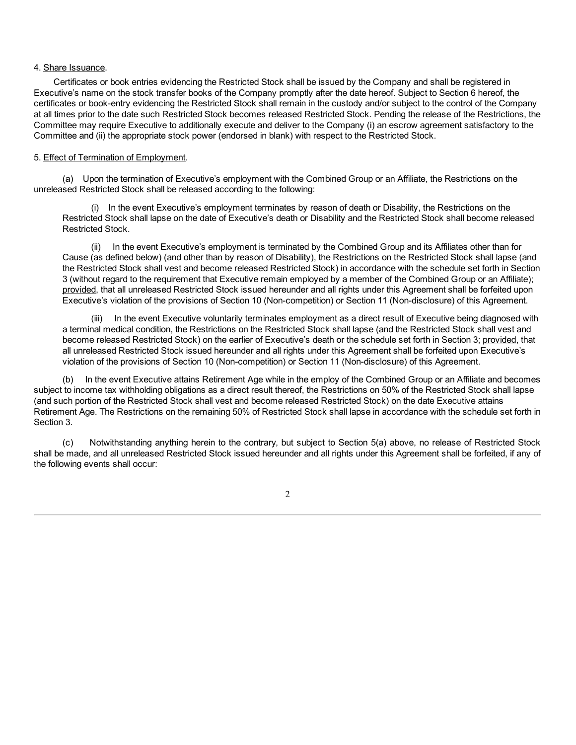## 4. Share Issuance.

Certificates or book entries evidencing the Restricted Stock shall be issued by the Company and shall be registered in Executive's name on the stock transfer books of the Company promptly after the date hereof. Subject to Section 6 hereof, the certificates or [book-entry](#page-1-0) evidencing the Restricted Stock shall remain in the custody and/or subject to the control of the Company at all times prior to the [date](#page-1-0) such Restricted Stock becomes released Restricted Stock. Pending the release of the Restrictions, [th](#page-1-0)e Committee may require Executive to additionally execute and deliver to the Company (i) an escrow agreement satisfactory to t[he](#page-18-0) Committee and (ii) the [appropriate](#page-18-0) stock power (endorsed in blank) with respect to the Restricted Stock.

### 5. Effect of Termination of [Employment.](#page-37-0)

(a) Upon the termination of Executive's employment with the Combined Group or an Affiliate, the Restrictions on the [unreleased](#page-38-0) Restricted Stock shall be released according to the following:

[\(i\)](#page-38-0) In the event Executive's employment terminates by reason of death or Disability, the Restrictions on the Restricted Stock shall lapse on the date of [Executive's](#page-38-0) death or Disability and the Restricted Stock shall become releas[ed](#page-38-0) Res[tricted](#page-39-0) Stock.

(ii) In the event Executive's employment is terminated by the Combined Group and its Affiliates other than for [Cause](#page-41-0) (as defined below) (and other than by reason of Disability), the Restrictions on the Restricted Stock shall lapse ([and](#page-41-0) the Restricted Stock shall vest and become released Restricted Stock) in accordance with the schedule set forth in Section 3 (without regard to the requirement that Executive remain employed by a member of the Combined Group or an Affiliate); provided, that all unreleased Restricted Stock issued hereunder and all rights under this Agreement shall be forfeited upon Executive's violation of the provisions of Section 10 (Non-competition) or Section 11 (Non-disclosure) of this Agreement.

(iii) In the event Executive voluntarily terminates employment as a direct result of Executive being diagnosed with a terminal medical condition, the Restrictions on the Restricted Stock shall lapse (and the Restricted Stock shall vest and become released Restricted Stock) on the earlier of Executive's death or the schedule set forth in Section 3; provided, that all unreleased Restricted Stock issued hereunder and all rights under this Agreement shall be forfeited upon Executive's violation of the provisions of Section 10 (Non-competition) or Section 11 (Non-disclosure) of this Agreement.

(b) In the event Executive attains Retirement Age while in the employ of the Combined Group or an Affiliate and becomes subject to income tax withholding obligations as a direct result thereof, the Restrictions on 50% of the Restricted Stock shall lapse (and such portion of the Restricted Stock shall vest and become released Restricted Stock) on the date Executive attains Retirement Age. The Restrictions on the remaining 50% of Restricted Stock shall lapse in accordance with the schedule set forth in Section 3.

(c) Notwithstanding anything herein to the contrary, but subject to Section 5(a) above, no release of Restricted Stock shall be made, and all unreleased Restricted Stock issued hereunder and all rights under this Agreement shall be forfeited, if any of the following events shall occur: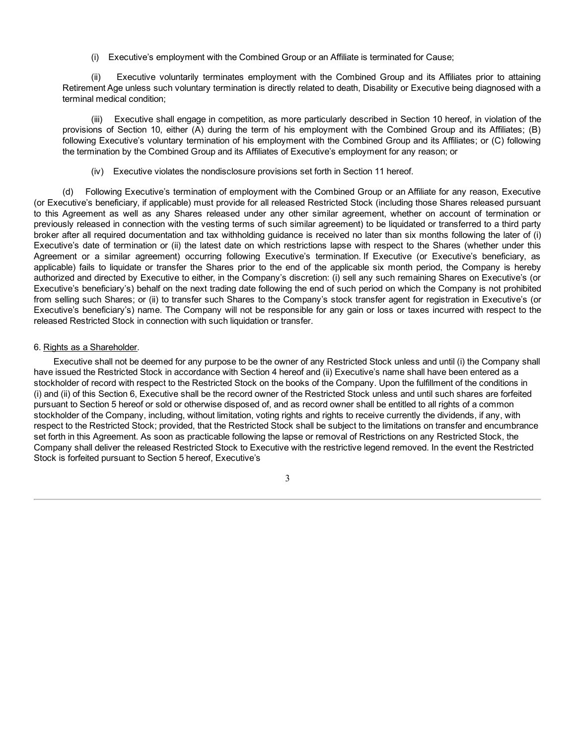(i) Executive's employment with the Combined Group or an Affiliate is terminated for Cause;

(ii) Executive voluntarily terminates employment with the Combined Group and its Affiliates prior to attaining Retirement Age unless such voluntary termination is directly related to death, Disability or Executive being diagnosed with a terminal medical condition;

(iii) Executive shall engage in competition, as more particularly described in Section 10 hereof, in violation of the provisions of Section 10, either (A) during the term of his employment with the Combined Group and its Affiliates; (B) following Executive's voluntary termination of his employment with the Combined Group and its Affiliates; or (C) following the termination by the Combined Group and its Affiliates of Executive's employment for any reason; or

(iv) Executive violates the nondisclosure provisions set forth in Section 11 hereof.

(d) Following Executive's termination of employment with the Combined Group or an Affiliate for any reason, Executive (or Executive's beneficiary, if applicable) must provide for all released Restricted Stock (including those Shares released pursuant to this Agreement as well as any Shares released under any other similar agreement, whether on account of termination or previously released in connection with the vesting terms of such similar agreement) to be liquidated or transferred to a third party broker after all required documentation and tax withholding guidance is received no later than six months following the later of (i) Executive's date of termination or (ii) the latest date on which restrictions lapse with respect to the Shares (whether under this Agreement or a similar agreement) occurring following Executive's termination. If Executive (or Executive's beneficiary, as applicable) fails to liquidate or transfer the Shares prior to the end of the applicable six month period, the Company is hereby authorized and directed by Executive to either, in the Company's discretion: (i) sell any such remaining Shares on Executive's (or Executive's beneficiary's) behalf on the next trading date following the end of such period on which the Company is not prohibited from selling such Shares; or (ii) to transfer such Shares to the Company's stock transfer agent for registration in Executive's (or Executive's beneficiary's) name. The Company will not be responsible for any gain or loss or taxes incurred with respect to the released Restricted Stock in connection with such liquidation or transfer.

## 6. Rights as a Shareholder.

Executive shall not be deemed for any purpose to be the owner of any Restricted Stock unless and until (i) the Company shall have issued the Restricted Stock in accordance with Section 4 hereof and (ii) Executive's name shall have been entered as a stockholder of record with respect to the Restricted Stock on the books of the Company. Upon the fulfillment of the conditions in (i) and (ii) of this Section 6, Executive shall be the record owner of the Restricted Stock unless and until such shares are forfeited pursuant to Section 5 hereof or sold or otherwise disposed of, and as record owner shall be entitled to all rights of a common stockholder of the Company, including, without limitation, voting rights and rights to receive currently the dividends, if any, with respect to the Restricted Stock; provided, that the Restricted Stock shall be subject to the limitations on transfer and encumbrance set forth in this Agreement. As soon as practicable following the lapse or removal of Restrictions on any Restricted Stock, the Company shall deliver the released Restricted Stock to Executive with the restrictive legend removed. In the event the Restricted Stock is forfeited pursuant to Section 5 hereof, Executive's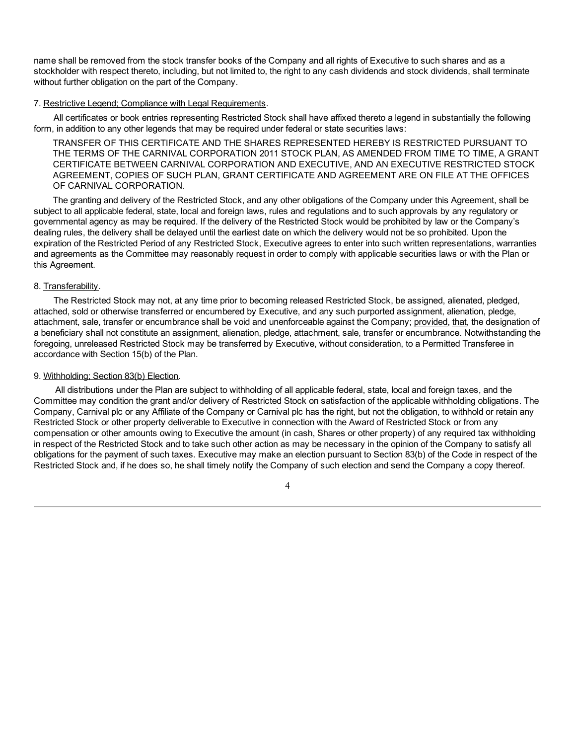name shall be removed from the stock transfer books of the Company and all rights of Executive to such shares and as a stockholder with respect thereto, including, but not limited to, the right to any cash dividends and stock dividends, shall terminate without further obligation on the part of the Company.

### 7. Restrictive Legend; Compliance with Legal Requirements.

All certificates or book entries representing Restricted Stock shall have affixed thereto a legend in substantially the following form, in addition to any other legends that may be required under federal or state securities laws:

TRANSFER OF THIS CERTIFICATE AND THE SHARES REPRESENTED HEREBY IS RESTRICTED PURSUANT TO THE TERMS OF THE CARNIVAL CORPORATION 2011 STOCK PLAN, AS AMENDED FROM TIME TO TIME, A GRANT CERTIFICATE BETWEEN CARNIVAL CORPORATION AND EXECUTIVE, AND AN EXECUTIVE RESTRICTED STOCK AGREEMENT, COPIES OF SUCH PLAN, GRANT CERTIFICATE AND AGREEMENT ARE ON FILE AT THE OFFICES OF CARNIVAL CORPORATION.

The granting and delivery of the Restricted Stock, and any other obligations of the Company under this Agreement, shall be subject to all applicable federal, state, local and foreign laws, rules and regulations and to such approvals by any regulatory or governmental agency as may be required. If the delivery of the Restricted Stock would be prohibited by law or the Company's dealing rules, the delivery shall be delayed until the earliest date on which the delivery would not be so prohibited. Upon the expiration of the Restricted Period of any Restricted Stock, Executive agrees to enter into such written representations, warranties and agreements as the Committee may reasonably request in order to comply with applicable securities laws or with the Plan or this Agreement.

## 8. Transferability.

The Restricted Stock may not, at any time prior to becoming released Restricted Stock, be assigned, alienated, pledged, attached, sold or otherwise transferred or encumbered by Executive, and any such purported assignment, alienation, pledge, attachment, sale, transfer or encumbrance shall be void and unenforceable against the Company; provided, that, the designation of a beneficiary shall not constitute an assignment, alienation, pledge, attachment, sale, transfer or encumbrance. Notwithstanding the foregoing, unreleased Restricted Stock may be transferred by Executive, without consideration, to a Permitted Transferee in accordance with Section 15(b) of the Plan.

#### 9. Withholding; Section 83(b) Election.

All distributions under the Plan are subject to withholding of all applicable federal, state, local and foreign taxes, and the Committee may condition the grant and/or delivery of Restricted Stock on satisfaction of the applicable withholding obligations. The Company, Carnival plc or any Affiliate of the Company or Carnival plc has the right, but not the obligation, to withhold or retain any Restricted Stock or other property deliverable to Executive in connection with the Award of Restricted Stock or from any compensation or other amounts owing to Executive the amount (in cash, Shares or other property) of any required tax withholding in respect of the Restricted Stock and to take such other action as may be necessary in the opinion of the Company to satisfy all obligations for the payment of such taxes. Executive may make an election pursuant to Section 83(b) of the Code in respect of the Restricted Stock and, if he does so, he shall timely notify the Company of such election and send the Company a copy thereof.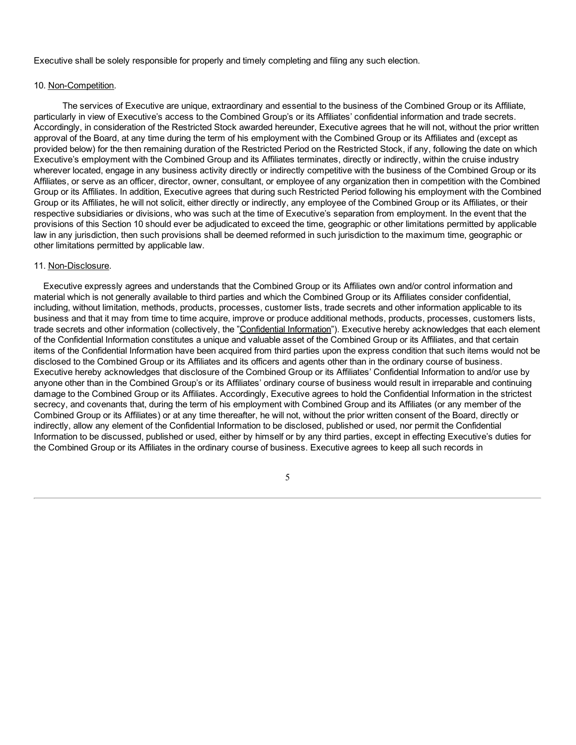Executive shall be solely responsible for properly and timely completing and filing any such election.

### 10. Non-Competition.

The services of Executive are unique, extraordinary and essential to the business of the Combined Group or its Affiliate, particularly in view of Executive's access to the Combined Group's or its Affiliates' confidential information and trade secrets. Accordingly, in consideration of the Restricted Stock awarded hereunder, Executive agrees that he will not, without the prior written approval of the Board, at any time during the term of his employment with the Combined Group or its Affiliates and (except as provided below) for the then remaining duration of the Restricted Period on the Restricted Stock, if any, following the date on which Executive's employment with the Combined Group and its Affiliates terminates, directly or indirectly, within the cruise industry wherever located, engage in any business activity directly or indirectly competitive with the business of the Combined Group or its Affiliates, or serve as an officer, director, owner, consultant, or employee of any organization then in competition with the Combined Group or its Affiliates. In addition, Executive agrees that during such Restricted Period following his employment with the Combined Group or its Affiliates, he will not solicit, either directly or indirectly, any employee of the Combined Group or its Affiliates, or their respective subsidiaries or divisions, who was such at the time of Executive's separation from employment. In the event that the provisions of this Section 10 should ever be adjudicated to exceed the time, geographic or other limitations permitted by applicable law in any jurisdiction, then such provisions shall be deemed reformed in such jurisdiction to the maximum time, geographic or other limitations permitted by applicable law.

### 11. Non-Disclosure.

Executive expressly agrees and understands that the Combined Group or its Affiliates own and/or control information and material which is not generally available to third parties and which the Combined Group or its Affiliates consider confidential, including, without limitation, methods, products, processes, customer lists, trade secrets and other information applicable to its business and that it may from time to time acquire, improve or produce additional methods, products, processes, customers lists, trade secrets and other information (collectively, the "Confidential Information"). Executive hereby acknowledges that each element of the Confidential Information constitutes a unique and valuable asset of the Combined Group or its Affiliates, and that certain items of the Confidential Information have been acquired from third parties upon the express condition that such items would not be disclosed to the Combined Group or its Affiliates and its officers and agents other than in the ordinary course of business. Executive hereby acknowledges that disclosure of the Combined Group or its Affiliates' Confidential Information to and/or use by anyone other than in the Combined Group's or its Affiliates' ordinary course of business would result in irreparable and continuing damage to the Combined Group or its Affiliates. Accordingly, Executive agrees to hold the Confidential Information in the strictest secrecy, and covenants that, during the term of his employment with Combined Group and its Affiliates (or any member of the Combined Group or its Affiliates) or at any time thereafter, he will not, without the prior written consent of the Board, directly or indirectly, allow any element of the Confidential Information to be disclosed, published or used, nor permit the Confidential Information to be discussed, published or used, either by himself or by any third parties, except in effecting Executive's duties for the Combined Group or its Affiliates in the ordinary course of business. Executive agrees to keep all such records in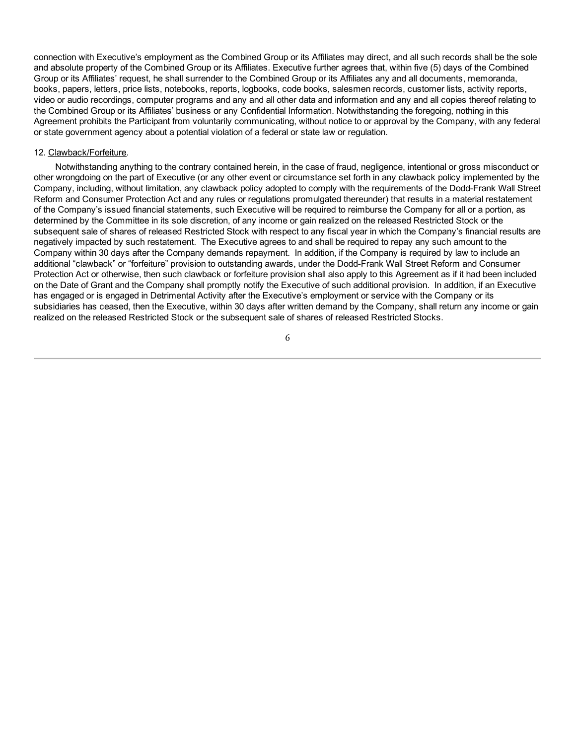connection with Executive's employment as the Combined Group or its Affiliates may direct, and all such records shall be the sole and absolute property of the Combined Group or its Affiliates. Executive further agrees that, within five (5) days of the Combined Group or its Affiliates' request, he shall surrender to the Combined Group or its Affiliates any and all documents, memoranda, books, papers, letters, price lists, notebooks, reports, logbooks, code books, salesmen records, customer lists, activity reports, video or audio recordings, computer programs and any and all other data and information and any and all copies thereof relating to the Combined Group or its Affiliates' business or any Confidential Information. Notwithstanding the foregoing, nothing in this Agreement prohibits the Participant from voluntarily communicating, without notice to or approval by the Company, with any federal or state government agency about a potential violation of a federal or state law or regulation.

#### 12. Clawback/Forfeiture.

Notwithstanding anything to the contrary contained herein, in the case of fraud, negligence, intentional or gross misconduct or other wrongdoing on the part of Executive (or any other event or circumstance set forth in any clawback policy implemented by the Company, including, without limitation, any clawback policy adopted to comply with the requirements of the Dodd-Frank Wall Street Reform and Consumer Protection Act and any rules or regulations promulgated thereunder) that results in a material restatement of the Company's issued financial statements, such Executive will be required to reimburse the Company for all or a portion, as determined by the Committee in its sole discretion, of any income or gain realized on the released Restricted Stock or the subsequent sale of shares of released Restricted Stock with respect to any fiscal year in which the Company's financial results are negatively impacted by such restatement. The Executive agrees to and shall be required to repay any such amount to the Company within 30 days after the Company demands repayment. In addition, if the Company is required by law to include an additional "clawback" or "forfeiture" provision to outstanding awards, under the Dodd-Frank Wall Street Reform and Consumer Protection Act or otherwise, then such clawback or forfeiture provision shall also apply to this Agreement as if it had been included on the Date of Grant and the Company shall promptly notify the Executive of such additional provision. In addition, if an Executive has engaged or is engaged in Detrimental Activity after the Executive's employment or service with the Company or its subsidiaries has ceased, then the Executive, within 30 days after written demand by the Company, shall return any income or gain realized on the released Restricted Stock or the subsequent sale of shares of released Restricted Stocks.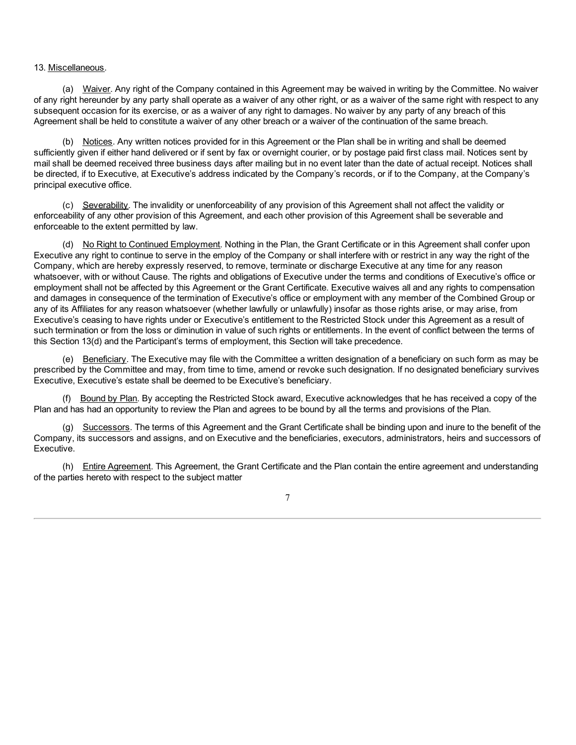## 13. Miscellaneous.

(a) Waiver. Any right of the Company contained in this Agreement may be waived in writing by the Committee. No waiver of any right hereunder by any party shall operate as a waiver of any other right, or as a waiver of the same right with respect to any subsequent occasion for its exercise, or as a waiver of any right to damages. No waiver by any party of any breach of this Agreement shall be held to constitute a waiver of any other breach or a waiver of the continuation of the same breach.

(b) Notices. Any written notices provided for in this Agreement or the Plan shall be in writing and shall be deemed sufficiently given if either hand delivered or if sent by fax or overnight courier, or by postage paid first class mail. Notices sent by mail shall be deemed received three business days after mailing but in no event later than the date of actual receipt. Notices shall be directed, if to Executive, at Executive's address indicated by the Company's records, or if to the Company, at the Company's principal executive office.

(c) Severability. The invalidity or unenforceability of any provision of this Agreement shall not affect the validity or enforceability of any other provision of this Agreement, and each other provision of this Agreement shall be severable and enforceable to the extent permitted by law.

(d) No Right to Continued Employment. Nothing in the Plan, the Grant Certificate or in this Agreement shall confer upon Executive any right to continue to serve in the employ of the Company or shall interfere with or restrict in any way the right of the Company, which are hereby expressly reserved, to remove, terminate or discharge Executive at any time for any reason whatsoever, with or without Cause. The rights and obligations of Executive under the terms and conditions of Executive's office or employment shall not be affected by this Agreement or the Grant Certificate. Executive waives all and any rights to compensation and damages in consequence of the termination of Executive's office or employment with any member of the Combined Group or any of its Affiliates for any reason whatsoever (whether lawfully or unlawfully) insofar as those rights arise, or may arise, from Executive's ceasing to have rights under or Executive's entitlement to the Restricted Stock under this Agreement as a result of such termination or from the loss or diminution in value of such rights or entitlements. In the event of conflict between the terms of this Section 13(d) and the Participant's terms of employment, this Section will take precedence.

(e) Beneficiary. The Executive may file with the Committee a written designation of a beneficiary on such form as may be prescribed by the Committee and may, from time to time, amend or revoke such designation. If no designated beneficiary survives Executive, Executive's estate shall be deemed to be Executive's beneficiary.

(f) Bound by Plan. By accepting the Restricted Stock award, Executive acknowledges that he has received a copy of the Plan and has had an opportunity to review the Plan and agrees to be bound by all the terms and provisions of the Plan.

(g) Successors. The terms of this Agreement and the Grant Certificate shall be binding upon and inure to the benefit of the Company, its successors and assigns, and on Executive and the beneficiaries, executors, administrators, heirs and successors of Executive.

(h) Entire Agreement. This Agreement, the Grant Certificate and the Plan contain the entire agreement and understanding of the parties hereto with respect to the subject matter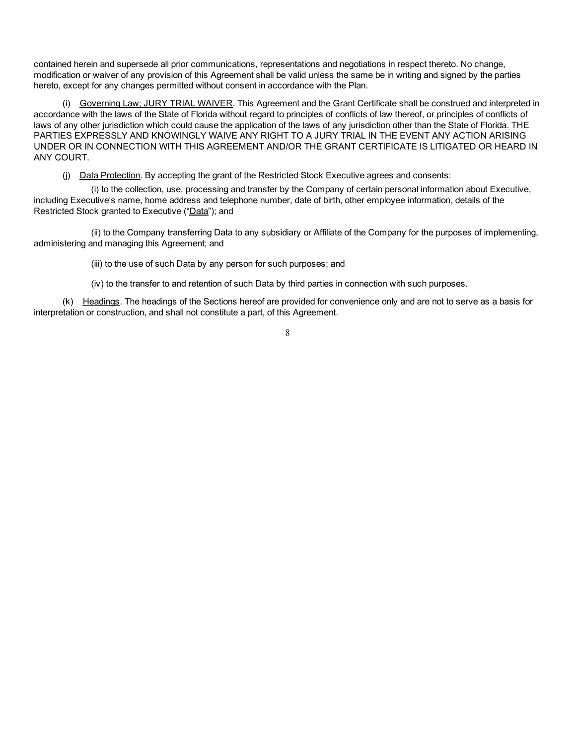contained herein and supersede all prior communications, representations and negotiations in respect thereto. No change, modification or waiver of any provision of this Agreement shall be valid unless the same be in writing and signed by the parties hereto, except for any changes permitted without consent in accordance with the Plan.

(i) Governing Law; JURY TRIAL WAIVER. This Agreement and the Grant Certificate shall be construed and interpreted in accordance with the laws of the State of Florida without regard to principles of conflicts of law thereof, or principles of conflicts of laws of any other jurisdiction which could cause the application of the laws of any jurisdiction other than the State of Florida. THE PARTIES EXPRESSLY AND KNOWINGLY WAIVE ANY RIGHT TO A JURY TRIAL IN THE EVENT ANY ACTION ARISING UNDER OR IN CONNECTION WITH THIS AGREEMENT AND/OR THE GRANT CERTIFICATE IS LITIGATED OR HEARD IN ANY COURT.

(j) Data Protection. By accepting the grant of the Restricted Stock Executive agrees and consents:

(i) to the collection, use, processing and transfer by the Company of certain personal information about Executive, including Executive's name, home address and telephone number, date of birth, other employee information, details of the Restricted Stock granted to Executive ("Data"); and

(ii) to the Company transferring Data to any subsidiary or Affiliate of the Company for the purposes of implementing, administering and managing this Agreement; and

(iii) to the use of such Data by any person for such purposes; and

(iv) to the transfer to and retention of such Data by third parties in connection with such purposes.

(k) Headings. The headings of the Sections hereof are provided for convenience only and are not to serve as a basis for interpretation or construction, and shall not constitute a part, of this Agreement.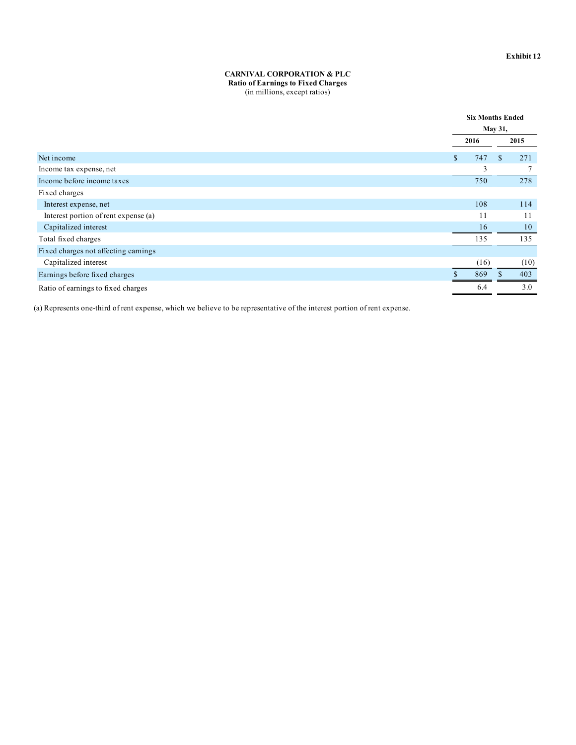## **Exhibit 12**

# **CARNIVAL CORPORATION & PLC Ratio of Earnings to Fixed Charges**

(in millions, except ratios)

|                                      |           | <b>Six Months Ended</b><br><b>May 31,</b> |  |
|--------------------------------------|-----------|-------------------------------------------|--|
|                                      |           |                                           |  |
|                                      | 2016      | 2015                                      |  |
| Net income                           | \$<br>747 | 271<br><b>S</b>                           |  |
| Income tax expense, net              | 3         |                                           |  |
| Income before income taxes           | 750       | 278                                       |  |
| Fixed charges                        |           |                                           |  |
| Interest expense, net                | 108       | 114                                       |  |
| Interest portion of rent expense (a) | 11        | 11                                        |  |
| Capitalized interest                 | 16        | 10                                        |  |
| Total fixed charges                  | 135       | 135                                       |  |
| Fixed charges not affecting earnings |           |                                           |  |
| Capitalized interest                 | (16)      | (10)                                      |  |
| Earnings before fixed charges        | 869       | 403                                       |  |
| Ratio of earnings to fixed charges   | 6.4       | 3.0                                       |  |

(a) Represents one-third of rent expense, which we believe to be representative of the interest portion of rent expense.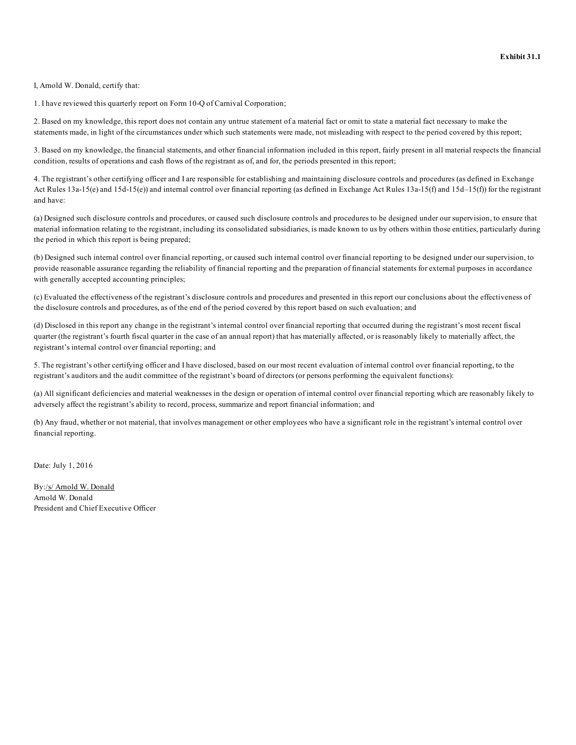I, Arnold W. Donald, certify that:

1. I have reviewed this quarterly report on Form 10-Q of Carnival Corporation;

2. Based on my knowledge, this report does not contain any untrue statement of a material fact or omit to state a material fact necessary to make the statements made, in light of the circumstances under which such statements were made, not misleading with respect to the period covered by this report;

3. Based on my knowledge, the financial statements, and other financial information included in this report, fairly present in all material respects the financial condition, results of operations and cash flows of the registrant as of, and for, the periods presented in this report;

4. The registrant's other certifying officer and I are responsible for establishing and maintaining disclosure controls and procedures (as defined in Exchange Act Rules 13a-15(e) and 15d-15(e)) and internal control over financial reporting (as defined in Exchange Act Rules 13a-15(f) and 15d–15(f)) for the registrant and have:

(a) Designed such disclosure controls and procedures, or caused such disclosure controls and procedures to be designed under our supervision, to ensure that material information relating to the registrant, including its consolidated subsidiaries, is made known to us by others within those entities, particularly during the period in which this report is being prepared;

(b) Designed such internal control over financial reporting, or caused such internal control over financial reporting to be designed under our supervision, to provide reasonable assurance regarding the reliability of financial reporting and the preparation of financial statements for external purposes in accordance with generally accepted accounting principles;

(c) Evaluated the effectiveness of the registrant's disclosure controls and procedures and presented in this report our conclusions about the effectiveness of the disclosure controls and procedures, as of the end of the period covered by this report based on such evaluation; and

(d) Disclosed in this report any change in the registrant's internal control over financial reporting that occurred during the registrant's most recent fiscal quarter (the registrant's fourth fiscal quarter in the case of an annual report) that has materially affected, or is reasonably likely to materially affect, the registrant's internal control over financial reporting; and

5. The registrant's other certifying officer and I have disclosed, based on our most recent evaluation of internal control over financial reporting, to the registrant's auditors and the audit committee of the registrant's board of directors (or persons performing the equivalent functions):

(a) All significant deficiencies and material weaknesses in the design or operation of internal control over financial reporting which are reasonably likely to adversely affect the registrant's ability to record, process, summarize and report financial information; and

(b) Any fraud, whether or not material, that involves management or other employees who have a significant role in the registrant's internal control over financial reporting.

Date: July 1, 2016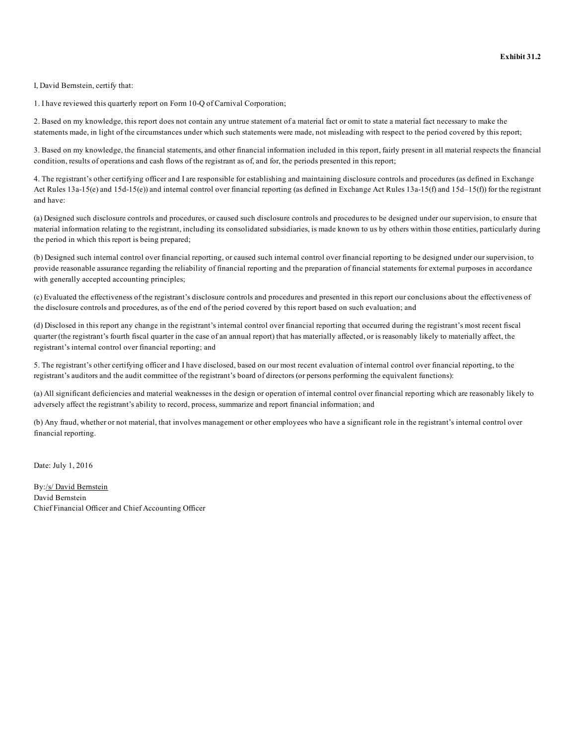I, David Bernstein, certify that:

1. I have reviewed this quarterly report on Form 10-Q of Carnival Corporation;

2. Based on my knowledge, this report does not contain any untrue statement of a material fact or omit to state a material fact necessary to make the statements made, in light of the circumstances under which such statements were made, not misleading with respect to the period covered by this report;

3. Based on my knowledge, the financial statements, and other financial information included in this report, fairly present in all material respects the financial condition, results of operations and cash flows of the registrant as of, and for, the periods presented in this report;

4. The registrant's other certifying officer and I are responsible for establishing and maintaining disclosure controls and procedures (as defined in Exchange Act Rules 13a-15(e) and 15d-15(e)) and internal control over financial reporting (as defined in Exchange Act Rules 13a-15(f) and 15d–15(f)) for the registrant and have:

(a) Designed such disclosure controls and procedures, or caused such disclosure controls and procedures to be designed under our supervision, to ensure that material information relating to the registrant, including its consolidated subsidiaries, is made known to us by others within those entities, particularly during the period in which this report is being prepared;

(b) Designed such internal control over financial reporting, or caused such internal control over financial reporting to be designed under our supervision, to provide reasonable assurance regarding the reliability of financial reporting and the preparation of financial statements for external purposes in accordance with generally accepted accounting principles;

(c) Evaluated the effectiveness of the registrant's disclosure controls and procedures and presented in this report our conclusions about the effectiveness of the disclosure controls and procedures, as of the end of the period covered by this report based on such evaluation; and

(d) Disclosed in this report any change in the registrant's internal control over financial reporting that occurred during the registrant's most recent fiscal quarter (the registrant's fourth fiscal quarter in the case of an annual report) that has materially affected, or is reasonably likely to materially affect, the registrant's internal control over financial reporting; and

5. The registrant's other certifying officer and I have disclosed, based on our most recent evaluation of internal control over financial reporting, to the registrant's auditors and the audit committee of the registrant's board of directors (or persons performing the equivalent functions):

(a) All significant deficiencies and material weaknesses in the design or operation of internal control over financial reporting which are reasonably likely to adversely affect the registrant's ability to record, process, summarize and report financial information; and

(b) Any fraud, whether or not material, that involves management or other employees who have a significant role in the registrant's internal control over financial reporting.

Date: July 1, 2016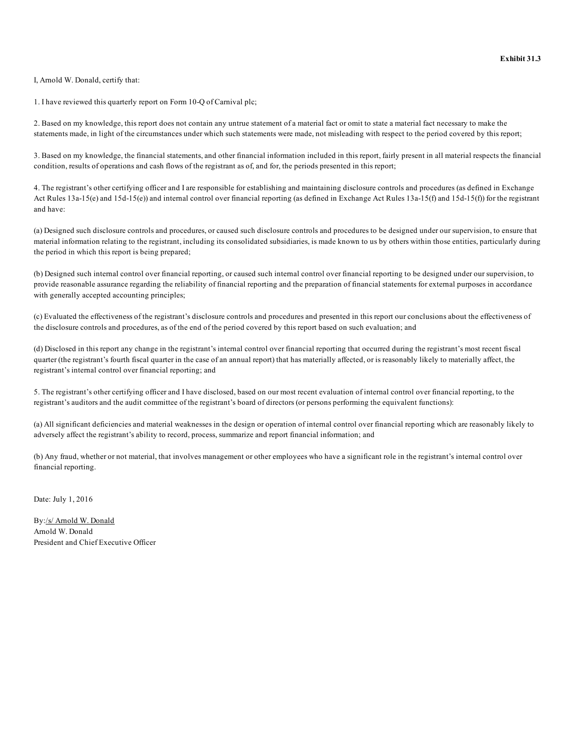I, Arnold W. Donald, certify that:

1. I have reviewed this quarterly report on Form 10-Q of Carnival plc;

2. Based on my knowledge, this report does not contain any untrue statement of a material fact or omit to state a material fact necessary to make the statements made, in light of the circumstances under which such statements were made, not misleading with respect to the period covered by this report;

3. Based on my knowledge, the financial statements, and other financial information included in this report, fairly present in all material respects the financial condition, results of operations and cash flows of the registrant as of, and for, the periods presented in this report;

4. The registrant's other certifying officer and I are responsible for establishing and maintaining disclosure controls and procedures (as defined in Exchange Act Rules 13a-15(e) and 15d-15(e)) and internal control over financial reporting (as defined in Exchange Act Rules 13a-15(f) and 15d-15(f)) for the registrant and have:

(a) Designed such disclosure controls and procedures, or caused such disclosure controls and procedures to be designed under our supervision, to ensure that material information relating to the registrant, including its consolidated subsidiaries, is made known to us by others within those entities, particularly during the period in which this report is being prepared;

(b) Designed such internal control over financial reporting, or caused such internal control over financial reporting to be designed under our supervision, to provide reasonable assurance regarding the reliability of financial reporting and the preparation of financial statements for external purposes in accordance with generally accepted accounting principles;

(c) Evaluated the effectiveness of the registrant's disclosure controls and procedures and presented in this report our conclusions about the effectiveness of the disclosure controls and procedures, as of the end of the period covered by this report based on such evaluation; and

(d) Disclosed in this report any change in the registrant's internal control over financial reporting that occurred during the registrant's most recent fiscal quarter (the registrant's fourth fiscal quarter in the case of an annual report) that has materially affected, or is reasonably likely to materially affect, the registrant's internal control over financial reporting; and

5. The registrant's other certifying officer and I have disclosed, based on our most recent evaluation of internal control over financial reporting, to the registrant's auditors and the audit committee of the registrant's board of directors (or persons performing the equivalent functions):

(a) All significant deficiencies and material weaknesses in the design or operation of internal control over financial reporting which are reasonably likely to adversely affect the registrant's ability to record, process, summarize and report financial information; and

(b) Any fraud, whether or not material, that involves management or other employees who have a significant role in the registrant's internal control over financial reporting.

Date: July 1, 2016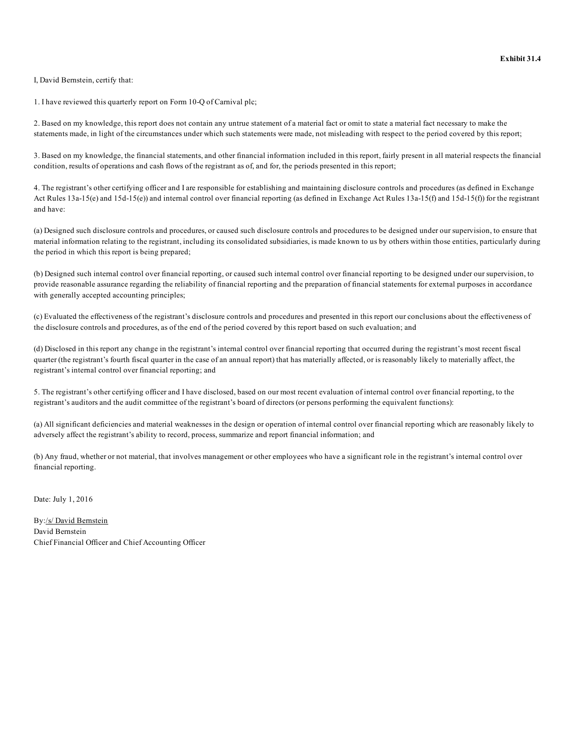I, David Bernstein, certify that:

1. I have reviewed this quarterly report on Form 10-Q of Carnival plc;

2. Based on my knowledge, this report does not contain any untrue statement of a material fact or omit to state a material fact necessary to make the statements made, in light of the circumstances under which such statements were made, not misleading with respect to the period covered by this report;

3. Based on my knowledge, the financial statements, and other financial information included in this report, fairly present in all material respects the financial condition, results of operations and cash flows of the registrant as of, and for, the periods presented in this report;

4. The registrant's other certifying officer and I are responsible for establishing and maintaining disclosure controls and procedures (as defined in Exchange Act Rules 13a-15(e) and 15d-15(e)) and internal control over financial reporting (as defined in Exchange Act Rules 13a-15(f) and 15d-15(f)) for the registrant and have:

(a) Designed such disclosure controls and procedures, or caused such disclosure controls and procedures to be designed under our supervision, to ensure that material information relating to the registrant, including its consolidated subsidiaries, is made known to us by others within those entities, particularly during the period in which this report is being prepared;

(b) Designed such internal control over financial reporting, or caused such internal control over financial reporting to be designed under our supervision, to provide reasonable assurance regarding the reliability of financial reporting and the preparation of financial statements for external purposes in accordance with generally accepted accounting principles;

(c) Evaluated the effectiveness of the registrant's disclosure controls and procedures and presented in this report our conclusions about the effectiveness of the disclosure controls and procedures, as of the end of the period covered by this report based on such evaluation; and

(d) Disclosed in this report any change in the registrant's internal control over financial reporting that occurred during the registrant's most recent fiscal quarter (the registrant's fourth fiscal quarter in the case of an annual report) that has materially affected, or is reasonably likely to materially affect, the registrant's internal control over financial reporting; and

5. The registrant's other certifying officer and I have disclosed, based on our most recent evaluation of internal control over financial reporting, to the registrant's auditors and the audit committee of the registrant's board of directors (or persons performing the equivalent functions):

(a) All significant deficiencies and material weaknesses in the design or operation of internal control over financial reporting which are reasonably likely to adversely affect the registrant's ability to record, process, summarize and report financial information; and

(b) Any fraud, whether or not material, that involves management or other employees who have a significant role in the registrant's internal control over financial reporting.

Date: July 1, 2016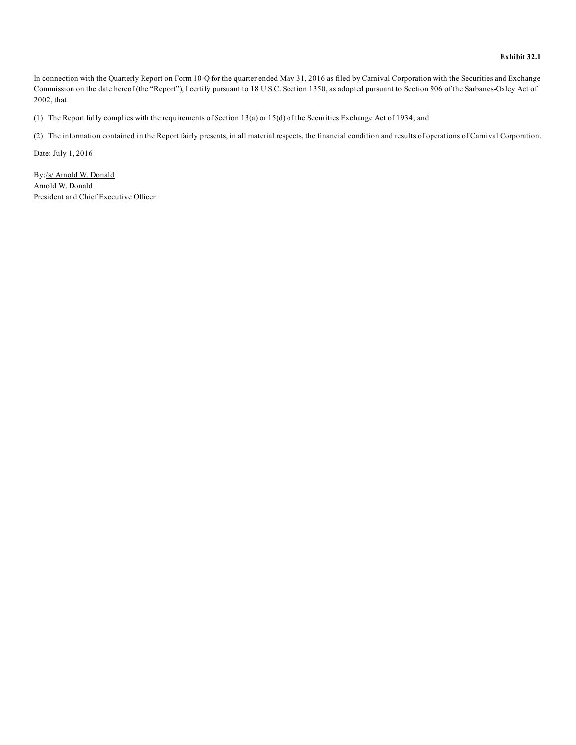In connection with the Quarterly Report on Form 10-Q for the quarter ended May 31, 2016 as filed by Carnival Corporation with the Securities and Exchange Commission on the date hereof (the "Report"), I certify pursuant to 18 U.S.C. Section 1350, as adopted pursuant to Section 906 of the Sarbanes-Oxley Act of 2002, that:

(1) The Report fully complies with the requirements of Section 13(a) or 15(d) of the Securities Exchange Act of 1934; and

(2) The information contained in the Report fairly presents, in all material respects, the financial condition and results of operations of Carnival Corporation.

Date: July 1, 2016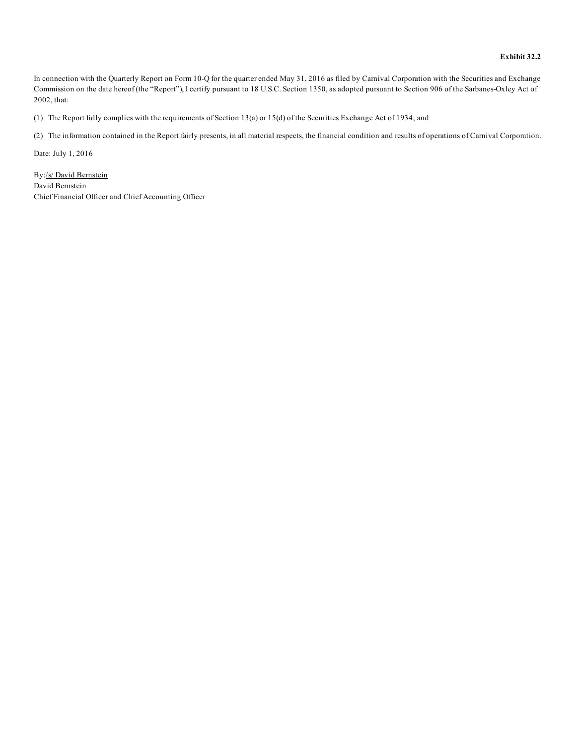In connection with the Quarterly Report on Form 10-Q for the quarter ended May 31, 2016 as filed by Carnival Corporation with the Securities and Exchange Commission on the date hereof (the "Report"), I certify pursuant to 18 U.S.C. Section 1350, as adopted pursuant to Section 906 of the Sarbanes-Oxley Act of 2002, that:

(1) The Report fully complies with the requirements of Section 13(a) or 15(d) of the Securities Exchange Act of 1934; and

(2) The information contained in the Report fairly presents, in all material respects, the financial condition and results of operations of Carnival Corporation.

Date: July 1, 2016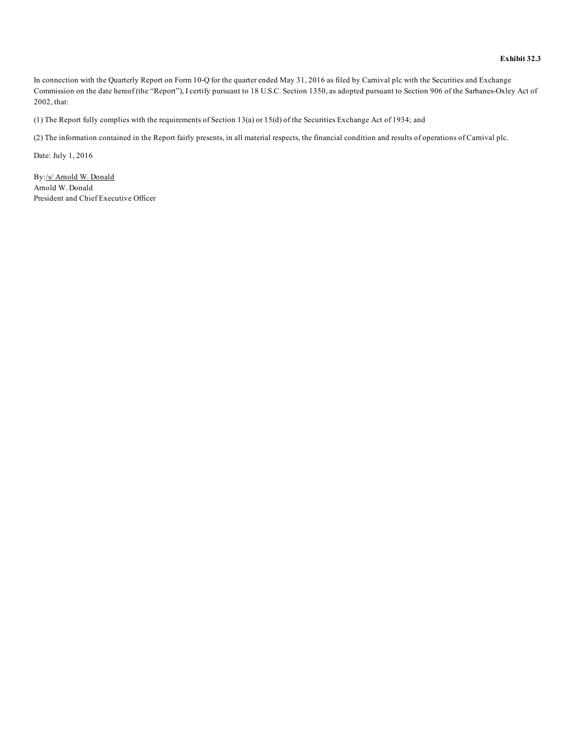In connection with the Quarterly Report on Form 10-Q for the quarter ended May 31, 2016 as filed by Carnival plc with the Securities and Exchange Commission on the date hereof (the "Report"), I certify pursuant to 18 U.S.C. Section 1350, as adopted pursuant to Section 906 of the Sarbanes-Oxley Act of 2002, that:

(1) The Report fully complies with the requirements of Section 13(a) or 15(d) of the Securities Exchange Act of 1934; and

(2) The information contained in the Report fairly presents, in all material respects, the financial condition and results of operations of Carnival plc.

Date: July 1, 2016